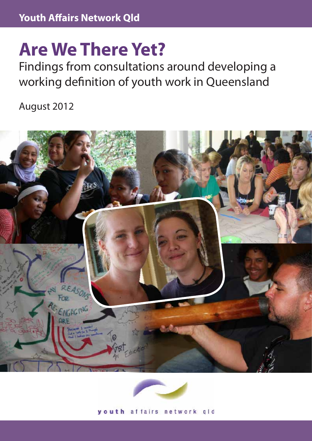# **Are We There Yet?**

Findings from consultations around developing a working definition of youth work in Queensland

August 2012





youth affairs network gld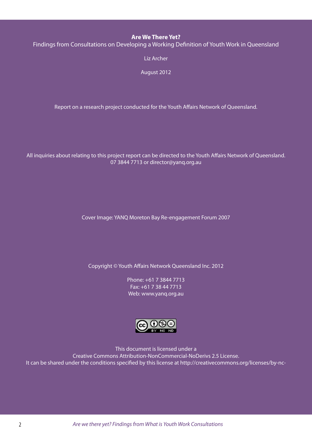#### **Are We There Yet?**

Findings from Consultations on Developing a Working Definition of Youth Work in Queensland

Liz Archer

August 2012

Report on a research project conducted for the Youth Affairs Network of Queensland.

All inquiries about relating to this project report can be directed to the Youth Affairs Network of Queensland. 07 3844 7713 or director@yanq.org.au

Cover Image: YANQ Moreton Bay Re-engagement Forum 2007

Copyright © Youth Affairs Network Queensland Inc. 2012

Phone: +61 7 3844 7713 Fax: +61 7 38 44 7713 Web: www.yanq.org.au



This document is licensed under a Creative Commons Attribution-NonCommercial-NoDerivs 2.5 License. It can be shared under the conditions specified by this license at http://creativecommons.org/licenses/by-nc-

2 *Are we there yet? Findings from What is Youth Work Consultations*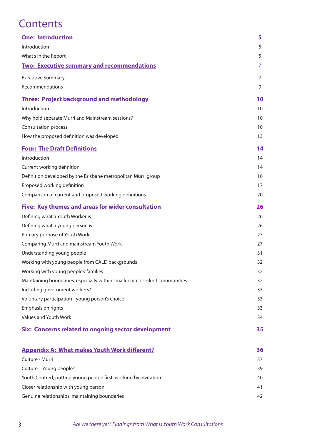# **Contents**

| <b>One: Introduction</b>                                                    | 5  |
|-----------------------------------------------------------------------------|----|
| Introduction                                                                | 5  |
| What's in the Report                                                        | 5  |
| <b>Two: Executive summary and recommendations</b>                           | 7  |
| <b>Executive Summary</b>                                                    | 7  |
| Recommendations                                                             | 9  |
| <b>Three: Project background and methodology</b>                            | 10 |
| Introduction                                                                | 10 |
| Why hold separate Murri and Mainstream sessions?                            | 10 |
| <b>Consultation process</b>                                                 | 10 |
| How the proposed definition was developed                                   | 13 |
| <b>Four: The Draft Definitions</b>                                          | 14 |
| Introduction                                                                | 14 |
| Current working definition                                                  | 14 |
| Definition developed by the Brisbane metropolitan Murri group               | 16 |
| Proposed working definition                                                 | 17 |
| Comparison of current and proposed working definitions                      | 20 |
| <b>Five: Key themes and areas for wider consultation</b>                    | 26 |
| Defining what a Youth Worker is                                             | 26 |
| Defining what a young person is                                             | 26 |
| Primary purpose of Youth Work                                               | 27 |
| Comparing Murri and mainstream Youth Work                                   | 27 |
| Understanding young people                                                  | 31 |
| Working with young people from CALD backgrounds                             | 32 |
| Working with young people's families                                        | 32 |
| Maintaining boundaries, especially within smaller or close-knit communities | 32 |
| Including government workers?                                               | 33 |
| Voluntary participation - young person's choice                             | 33 |
| Emphasis on rights                                                          | 33 |
| Values and Youth Work                                                       | 34 |
| <b>Six: Concerns related to ongoing sector development</b>                  | 35 |
| <b>Appendix A: What makes Youth Work different?</b>                         | 36 |
| Culture - Murri                                                             | 37 |
| Culture - Young people's                                                    | 39 |
| Youth Centred, putting young people first, working by invitation            | 40 |
| Closer relationship with young person                                       | 41 |
| Genuine relationships; maintaining boundaries                               | 42 |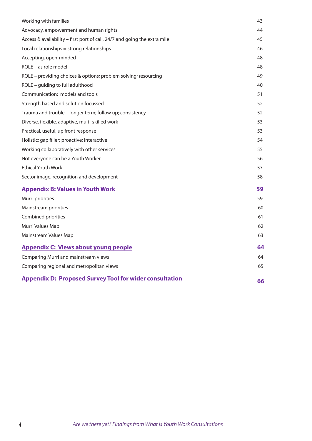| Working with families                                                     | 43 |
|---------------------------------------------------------------------------|----|
| Advocacy, empowerment and human rights                                    | 44 |
| Access & availability - first port of call, 24/7 and going the extra mile | 45 |
| Local relationships = strong relationships                                | 46 |
| Accepting, open-minded                                                    | 48 |
| ROLE – as role model                                                      | 48 |
| ROLE - providing choices & options; problem solving; resourcing           | 49 |
| ROLE - guiding to full adulthood                                          | 40 |
| Communication: models and tools                                           | 51 |
| Strength based and solution focussed                                      | 52 |
| Trauma and trouble - longer term; follow up; consistency                  | 52 |
| Diverse, flexible, adaptive, multi-skilled work                           | 53 |
| Practical, useful, up front response                                      | 53 |
| Holistic; gap filler; proactive; interactive                              | 54 |
| Working collaboratively with other services                               | 55 |
| Not everyone can be a Youth Worker                                        | 56 |
| <b>Ethical Youth Work</b>                                                 | 57 |
| Sector image, recognition and development                                 | 58 |
| <b>Appendix B: Values in Youth Work</b>                                   | 59 |
| Murri priorities                                                          | 59 |
| Mainstream priorities                                                     | 60 |
| Combined priorities                                                       | 61 |
| Murri Values Map                                                          | 62 |
| Mainstream Values Map                                                     | 63 |
| <b>Appendix C: Views about young people</b>                               | 64 |
| Comparing Murri and mainstream views                                      | 64 |
| Comparing regional and metropolitan views                                 | 65 |
| <b>Appendix D: Proposed Survey Tool for wider consultation</b>            | 66 |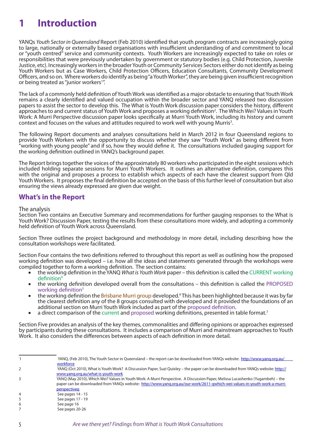# **1 Introduction**

YANQs *Youth Sector in Queensland* Report (Feb 2010) identified that youth program contracts are increasingly going to large, nationally or externally based organisations with insufficient understanding of and commitment to local or "youth centred" service and community contexts. Youth Workers are increasingly expected to take on roles or responsibilities that were previously undertaken by government or statutory bodies (e.g. Child Protection, Juvenile Justice, etc). Increasingly workers in the broader Youth or Community Services Sectors either do not identify as being Youth Workers but as Case Workers, Child Protection Officers, Education Consultants, Community Development Officers, and so on. Where workers do identify as being "a Youth Worker", they are being given insufficient recognition or being treated as "junior workers<sup>1</sup>".

The lack of a commonly held definition of Youth Work was identified as a major obstacle to ensuring that Youth Work remains a clearly identified and valued occupation within the broader sector and YANQ released two discussion papers to assist the sector to develop this. The What is Youth Work discussion paper considers the history, different approaches to and current status of Youth Work and proposes a working definition<sup>2</sup>. The Which Wei? Values in Youth Work: A Murri Perspective discussion paper looks specifically at Murri Youth Work, including its history and current context and focuses on the values and attitudes required to work well with young Murris<sup>3</sup>.

The following Report documents and analyses consultations held in March 2012 in four Queensland regions to provide Youth Workers with the opportunity to discuss whether they saw "Youth Work" as being different from "working with young people" and if so, how they would define it. The consultations included gauging support for the working definition outlined in YANQ's background paper.

The Report brings together the voices of the approximately 80 workers who participated in the eight sessions which included holding separate sessions for Murri Youth Workers. It outlines an alternative definition, compares this with the original and proposes a process to establish which aspects of each have the clearest support from Qld Youth Workers. It proposes the final definition be accepted on the basis of this further level of consultation but also ensuring the views already expressed are given due weight.

#### **What's in the Report**

#### The analysis

Section Two contains an Executive Summary and recommendations for further gauging responses to the What is Youth Work? Discussion Paper, testing the results from these consultations more widely, and adopting a commonly held definition of Youth Work across Queensland.

Section Three outlines the project background and methodology in more detail, including describing how the consultation workshops were facilitated.

Section Four contains the two definitions referred to throughout this report as well as outlining how the proposed working definition was developed – i.e. how all the ideas and statements generated through the workshops were compiled together to form a working definition. The section contains:

- • the working definition in the YANQ *What is Youth Work* paper this definition is called the CURRENT working definition4
- the working definition developed overall from the consultations this definition is called the PROPOSED working definition<sup>5</sup>
- the working definition the Brisbane Murri group developed.<sup>6</sup> This has been highlighted because it was by far the clearest definition any of the 8 groups consulted with developed and it provided the foundations of an additional section on Murri Youth Work included as part of the proposed definition.
- a direct comparison of the current and proposed working definitions, presented in table format.<sup>7</sup>

Section Five provides an analysis of the key themes, commonalities and differing opinions or approaches expressed by participants during these consultations. It includes a comparison of Murri and mainstream approaches to Youth Work. It also considers the differences between aspects of each definition in more detail.

|   | YANQ, (Feb 2010), The Youth Sector in Queensland – the report can be downloaded from YANQs website: http://www.yang.org.au/     |
|---|---------------------------------------------------------------------------------------------------------------------------------|
|   | workforce                                                                                                                       |
|   | YANQ (Oct 2010), What is Youth Work? A Discussion Paper, Suzi Quixley – the paper can be downloaded from YANQs website: http:// |
|   | www.yang.org.au/what-is-youth-work                                                                                              |
|   | YANQ (May 2010), Which Wei? Values in Youth Work: A Murri Perspective. A Discussion Paper, Melissa Lucashenko (Yugambeh) – the  |
|   | paper can be downloaded from YANQs website: http://www.yang.org.au/our-work/2611-gwhich-wei-values-in-youth-work-a-murri-       |
|   | perspectiveg                                                                                                                    |
| 4 | See pages 14 - 15                                                                                                               |
| 5 | See pages 17 - 19                                                                                                               |
| 6 | See page 16                                                                                                                     |
|   | See pages 20-26                                                                                                                 |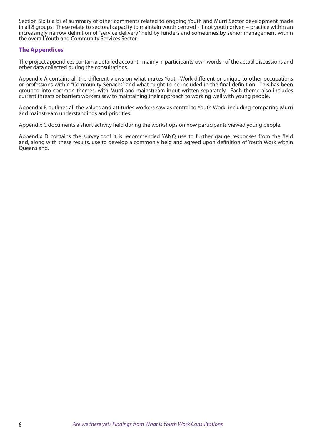Section Six is a brief summary of other comments related to ongoing Youth and Murri Sector development made in all 8 groups. These relate to sectoral capacity to maintain youth centred - if not youth driven – practice within an increasingly narrow definition of "service delivery" held by funders and sometimes by senior management within the overall Youth and Community Services Sector.

#### **The Appendices**

The project appendices contain a detailed account - mainly in participants' own words - of the actual discussions and other data collected during the consultations.

Appendix A contains all the different views on what makes Youth Work different or unique to other occupations or professions within "Community Services" and what ought to be included in the final definition. This has been grouped into common themes, with Murri and mainstream input written separately. Each theme also includes current threats or barriers workers saw to maintaining their approach to working well with young people.

Appendix B outlines all the values and attitudes workers saw as central to Youth Work, including comparing Murri and mainstream understandings and priorities.

Appendix C documents a short activity held during the workshops on how participants viewed young people.

Appendix D contains the survey tool it is recommended YANQ use to further gauge responses from the field and, along with these results, use to develop a commonly held and agreed upon definition of Youth Work within Queensland.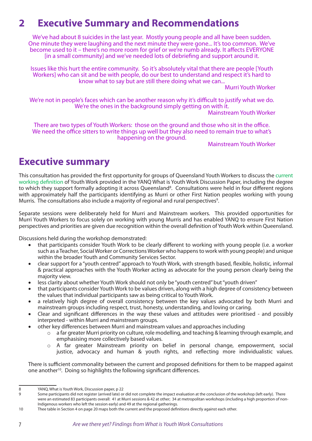# **2 Executive Summary and Recommendations**

We've had about 8 suicides in the last year. Mostly young people and all have been sudden. One minute they were laughing and the next minute they were gone... It's too common. We've become used to it – there's no more room for grief or we're numb already. It affects EVERYONE [in a small community] and we've needed lots of debriefing and support around it.

Issues like this hurt the entire community. So it's absolutely vital that there are people [Youth Workers] who can sit and be with people, do our best to understand and respect it's hard to know what to say but are still there doing what we can...

Murri Youth Worker

We're not in people's faces which can be another reason why it's difficult to justify what we do. We're the ones in the background simply getting on with it.

Mainstream Youth Worker

There are two types of Youth Workers: those on the ground and those who sit in the office. We need the office sitters to write things up well but they also need to remain true to what's happening on the ground.

Mainstream Youth Worker

# **Executive summary**

This consultation has provided the first opportunity for groups of Queensland Youth Workers to discuss the current working definition of Youth Work provided in the YANQ What is Youth Work Discussion Paper, including the degree to which they support formally adopting it across Queensland<sup>8</sup>. Consultations were held in four different regions with approximately half the participants identifying as Murri or other First Nation peoples working with young Murris. The consultations also include a majority of regional and rural perspectives<sup>9</sup>.

Separate sessions were deliberately held for Murri and Mainstream workers. This provided opportunities for Murri Youth Workers to focus solely on working with young Murris and has enabled YANQ to ensure First Nation perspectives and priorities are given due recognition within the overall definition of Youth Work within Queensland.

Discussions held during the workshop demonstrated:

- that participants consider Youth Work to be clearly different to working with young people (i.e. a worker such as a Teacher, Social Worker or Corrections Worker who happens to work with young people) and unique within the broader Youth and Community Services Sector.
- clear support for a "youth centred" approach to Youth Work, with strength based, flexible, holistic, informal & practical approaches with the Youth Worker acting as advocate for the young person clearly being the majority view.
- less clarity about whether Youth Work should not only be "youth centred" but "youth driven"
- that participants consider Youth Work to be values driven, along with a high degree of consistency between the values that individual participants saw as being critical to Youth Work.
- a relatively high degree of overall consistency between the key values advocated by both Murri and mainstream groups including respect, trust, honesty, understanding, and loving or caring.
- Clear and significant differences in the way these values and attitudes were prioritised and possibly interpreted - within Murri and mainstream groups.
- other key differences between Murri and mainstream values and approaches including
	- $\circ$  a far greater Murri priority on culture, role modelling, and teaching & learning through example, and emphasising more collectively based values.
	- o A far greater Mainstream priority on belief in personal change, empowerment, social justice, advocacy and human & youth rights, and reflecting more individualistic values.

There is sufficient commonality between the current and proposed definitions for them to be mapped against one another10. Doing so highlights the following significant differences.

<sup>8</sup> YANQ, What is Youth Work, Discussion paper, p 22

<sup>9</sup> Some participants did not register (arrived late) or did not complete the impact evaluation at the conclusion of the workshop (left early). There were an estimated 83 participants overall: 41 at Murri sessions & 42 at other; 34 at metropolitan workshops (including a high proportion of non-Indigenous workers who left the session early) and 49 at the regional gatherings.

<sup>10</sup> Thee table in Section 4 on page 20 maps both the current and the proposed definitions directly against each other.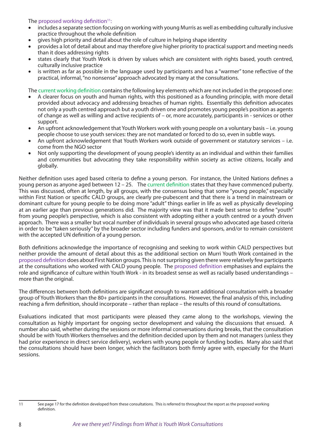The proposed working definition $11$ :

- includes a separate section focusing on working with young Murris as well as embedding culturally inclusive practice throughout the whole definition
- gives high priority and detail about the role of culture in helping shape identity
- provides a lot of detail about and may therefore give higher priority to practical support and meeting needs than it does addressing rights
- states clearly that Youth Work is driven by values which are consistent with rights based, youth centred, culturally inclusive practice
- • is written as far as possible in the language used by participants and has a "warmer" tone reflective of the practical, informal, "no nonsense" approach advocated by many at the consultations.

The current working definition contains the following key elements which are not included in the proposed one:

- A clearer focus on youth and human rights, with this positioned as a founding principle, with more detail provided about advocacy and addressing breaches of human rights. Essentially this definition advocates not only a youth centred approach but a youth driven one and promotes young people's position as agents of change as well as willing and active recipients of – or, more accurately, participants in - services or other support.
- An upfront acknowledgement that Youth Workers work with young people on a voluntary basis i.e. young people choose to use youth services: they are not mandated or forced to do so, even in subtle ways.
- An upfront acknowledgement that Youth Workers work outside of government or statutory services i.e. come from the NGO sector
- Not only supporting the development of young people's identity as an individual and within their families and communities but advocating they take responsibility within society as active citizens, locally and globally.

Neither definition uses aged based criteria to define a young person. For instance, the United Nations defines a young person as anyone aged between 12 – 25. The current definition states that they have commenced puberty. This was discussed, often at length, by all groups, with the consensus being that some "young people," especially within First Nation or specific CALD groups, are clearly pre-pubescent and that there is a trend in mainstream or dominant culture for young people to be doing more "adult" things earlier in life as well as physically developing at an earlier age than previous generations did. The majority view was that it made best sense to define "youth" from young people's perspective, which is also consistent with adopting either a youth centred or a youth driven approach. There was a smaller but vocal number of individuals in several groups who advocated age based criteria in order to be "taken seriously" by the broader sector including funders and sponsors, and/or to remain consistent with the accepted UN definition of a young person.

Both definitions acknowledge the importance of recognising and seeking to work within CALD perspectives but neither provide the amount of detail about this as the additional section on Murri Youth Work contained in the proposed definition does about First Nation groups. This is not surprising given there were relatively few participants at the consultations who worked with CALD young people. The proposed definition emphasises and explains the role and significance of culture within Youth Work - in its broadest sense as well as racially based understandings – more than the original.

The differences between both definitions are significant enough to warrant additional consultation with a broader group of Youth Workers than the 80+ participants in the consultations. However, the final analysis of this, including reaching a firm definition, should incorporate – rather than replace – the results of this round of consultations.

Evaluations indicated that most participants were pleased they came along to the workshops, viewing the consultation as highly important for ongoing sector development and valuing the discussions that ensued. A number also said, whether during the sessions or more informal conversations during breaks, that the consultation should be with Youth Workers themselves and the definition decided upon by them and not managers (unless they had prior experience in direct service delivery), workers with young people or funding bodies. Many also said that the consultations should have been longer, which the facilitators both firmly agree with, especially for the Murri sessions.

<sup>11</sup> See page 17 for the definition developed from these consultations. This is referred to throughout the report as the proposed working definition.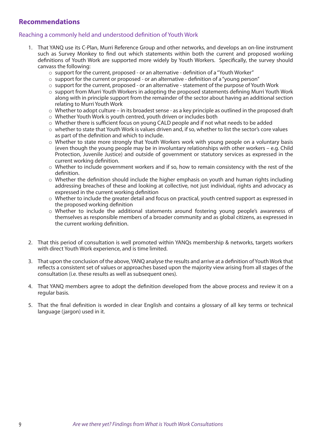### **Recommendations**

#### Reaching a commonly held and understood definition of Youth Work

- 1. That YANQ use its C-Plan, Murri Reference Group and other networks, and develops an on-line instrument such as Survey Monkey to find out which statements within both the current and proposed working definitions of Youth Work are supported more widely by Youth Workers. Specifically, the survey should canvass the following:
	- $\circ$  support for the current, proposed or an alternative definition of a "Youth Worker"
	- $\circ$  support for the current or proposed or an alternative definition of a "young person"
	- $\circ$  support for the current, proposed or an alternative statement of the purpose of Youth Work
	- o support from Murri Youth Workers in adopting the proposed statements defining Murri Youth Work along with in principle support from the remainder of the sector about having an additional section relating to Murri Youth Work
	- o Whether to adopt culture in its broadest sense as a key principle as outlined in the proposed draft
	- o Whether Youth Work is youth centred, youth driven or includes both
	- o Whether there is sufficient focus on young CALD people and if not what needs to be added
	- o whether to state that Youth Work is values driven and, if so, whether to list the sector's core values as part of the definition and which to include.
	- o Whether to state more strongly that Youth Workers work with young people on a voluntary basis (even though the young people may be in involuntary relationships with other workers – e.g. Child Protection, Juvenile Justice) and outside of government or statutory services as expressed in the current working definition.
	- o Whether to include government workers and if so, how to remain consistency with the rest of the definition.
	- $\circ$  Whether the definition should include the higher emphasis on youth and human rights including addressing breaches of these and looking at collective, not just individual, rights and advocacy as expressed in the current working definition
	- o Whether to include the greater detail and focus on practical, youth centred support as expressed in the proposed working definition
	- o Whether to include the additional statements around fostering young people's awareness of themselves as responsible members of a broader community and as global citizens, as expressed in the current working definition.
- 2. That this period of consultation is well promoted within YANQs membership & networks, targets workers with direct Youth Work experience, and is time limited.
- 3. That upon the conclusion of the above, YANQ analyse the results and arrive at a definition of Youth Work that reflects a consistent set of values or approaches based upon the majority view arising from all stages of the consultation (i.e. these results as well as subsequent ones).
- 4. That YANQ members agree to adopt the definition developed from the above process and review it on a regular basis.
- 5. That the final definition is worded in clear English and contains a glossary of all key terms or technical language (jargon) used in it.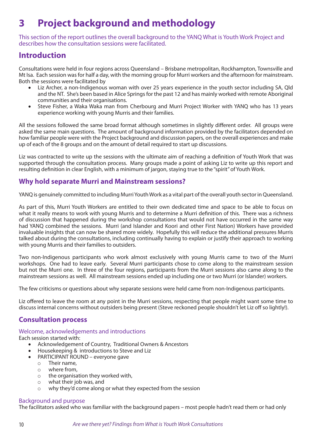# **3 Project background and methodology**

This section of the report outlines the overall background to the YANQ What is Youth Work Project and describes how the consultation sessions were facilitated.

### **Introduction**

Consultations were held in four regions across Queensland – Brisbane metropolitan, Rockhampton, Townsville and Mt Isa. Each session was for half a day, with the morning group for Murri workers and the afternoon for mainstream. Both the sessions were facilitated by

- Liz Archer, a non-Indigenous woman with over 25 years experience in the youth sector including SA, Qld and the NT. She's been based in Alice Springs for the past 12 and has mainly worked with remote Aboriginal communities and their organisations.
- Steve Fisher, a Waka Waka man from Cherbourg and Murri Project Worker with YANQ who has 13 years experience working with young Murris and their families.

All the sessions followed the same broad format although sometimes in slightly different order. All groups were asked the same main questions. The amount of background information provided by the facilitators depended on how familiar people were with the Project background and discussion papers, on the overall experiences and make up of each of the 8 groups and on the amount of detail required to start up discussions.

Liz was contracted to write up the sessions with the ultimate aim of reaching a definition of Youth Work that was supported through the consultation process. Many groups made a point of asking Liz to write up this report and resulting definition in clear English, with a minimum of jargon, staying true to the "spirit" of Youth Work.

### **Why hold separate Murri and Mainstream sessions?**

YANQ is genuinely committed to including Murri Youth Work as a vital part of the overall youth sector in Queensland.

As part of this, Murri Youth Workers are entitled to their own dedicated time and space to be able to focus on what it really means to work with young Murris and to determine a Murri definition of this. There was a richness of discussion that happened during the workshop consultations that would not have occurred in the same way had YANQ combined the sessions. Murri (and Islander and Koori and other First Nation) Workers have provided invaluable insights that can now be shared more widely. Hopefully this will reduce the additional pressures Murris talked about during the consultations, including continually having to explain or justify their approach to working with young Murris and their families to outsiders.

Two non-Indigenous participants who work almost exclusively with young Murris came to two of the Murri workshops. One had to leave early. Several Murri participants chose to come along to the mainstream session but not the Murri one. In three of the four regions, participants from the Murri sessions also came along to the mainstream sessions as well. All mainstream sessions ended up including one or two Murri (or Islander) workers.

The few criticisms or questions about why separate sessions were held came from non-Indigenous participants.

Liz offered to leave the room at any point in the Murri sessions, respecting that people might want some time to discuss internal concerns without outsiders being present (Steve reckoned people shouldn't let Liz off so lightly!).

### **Consultation process**

#### Welcome, acknowledgements and introductions

Each session started with:

- Acknowledgement of Country, Traditional Owners & Ancestors
- Housekeeping & introductions to Steve and Liz
- PARTICIPANT ROUND everyone gave
	- o Their name,
		- where from,
	- o the organisation they worked with,
	- o what their job was, and
	- o why they'd come along or what they expected from the session

#### Background and purpose

The facilitators asked who was familiar with the background papers – most people hadn't read them or had only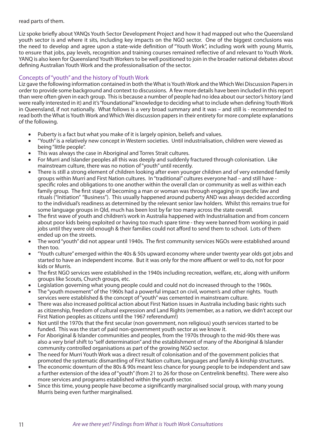#### read parts of them.

Liz spoke briefly about YANQs Youth Sector Development Project and how it had mapped out who the Queensland youth sector is and where it sits, including key impacts on the NGO sector. One of the biggest conclusions was the need to develop and agree upon a state-wide definition of "Youth Work", including work with young Murris, to ensure that jobs, pay levels, recognition and training courses remained reflective of and relevant to Youth Work. YANQ is also keen for Queensland Youth Workers to be well positioned to join in the broader national debates about defining Australian Youth Work and the professionalisation of the sector.

#### Concepts of "youth" and the history of Youth Work

Liz gave the following information contained in both the What is Youth Work and the Which Wei Discussion Papers in order to provide some background and context to discussions. A few more details have been included in this report than were often given in each group. This is because a number of people had no idea about our sector's history (and were really interested in it) and it's "foundational" knowledge to deciding what to include when defining Youth Work in Queensland, if not nationally. What follows is a very broad summary and it was – and still is - recommended to read both the What is Youth Work and Which Wei discussion papers in their entirety for more complete explanations of the following.

- Puberty is a fact but what you make of it is largely opinion, beliefs and values.
- • "Youth" is a relatively new concept in Western societies. Until industrialisation, children were viewed as being "little people".
- This was always the case in Aboriginal and Torres Strait cultures.
- For Murri and Islander peoples all this was deeply and suddenly fractured through colonisation. Like mainstream culture, there was no notion of "youth" until recently.
- There is still a strong element of children looking after even younger children and of very extended family groups within Murri and First Nation cultures. In "traditional" cultures everyone had – and still have specific roles and obligations to one another within the overall clan or community as well as within each family group. The first stage of becoming a man or woman was through engaging in specific law and rituals ("Initiation" "Business"). This usually happened around puberty AND was always decided according to the individual's readiness as determined by the relevant senior law holders. Whilst this remains true for some language groups in Qld, much has been lost by far too many across the state overall.
- The first wave of youth and children's work in Australia happened with Industrialisation and from concern about poor kids being exploited or having too much spare time - they were banned from working in paid jobs until they were old enough & their families could not afford to send them to school. Lots of them ended up on the streets.
- The word "youth" did not appear until 1940s. The first community services NGOs were established around then too.
- • "Youth culture" emerged within the 40s & 50s upward economy where under twenty year olds got jobs and started to have an independent income. But it was only for the more affluent or well to do, not for poor kids or Murris.
- The first NGO services were established in the 1940s including recreation, welfare, etc, along with uniform groups like Scouts, Church groups, etc.
- Legislation governing what young people could and could not do increased through to the 1960s.
- The "youth movement" of the 1960s had a powerful impact on civil, women's and other rights. Youth services were established & the concept of "youth" was cemented in mainstream culture.
- There was also increased political action about First Nation issues in Australia including basic rights such as citizenship, freedom of cultural expression and Land Rights (remember, as a nation, we didn't accept our First Nation peoples as citizens until the 1967 referendum!)
- Not until the 1970s that the first secular (non government, non religious) youth services started to be funded. This was the start of paid non-government youth sector as we know it.
- For Aboriginal & Islander communities and peoples, from the 1970s through to the mid-90s there was also a very brief shift to "self determination" and the establishment of many of the Aboriginal & Islander community controlled organisations as part of the growing NGO sector.
- The need for Murri Youth Work was a direct result of colonisation and of the government policies that promoted the systematic dismantling of First Nation culture, languages and family & kinship structures.
- The economic downturn of the 80s & 90s meant less chance for young people to be independent and saw a further extension of the idea of "youth" (from 21 to 26 for those on Centrelink benefits). There were also more services and programs established within the youth sector.
- Since this time, young people have become a significantly marginalised social group, with many young Murris being even further marginalised.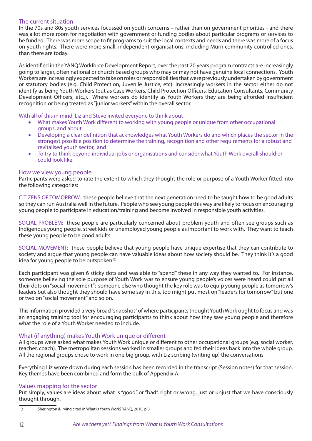#### The current situation

In the 70s and 80s youth services focussed on youth concerns – rather than on government priorities - and there was a lot more room for negotiation with government or funding bodies about particular programs or services to be funded. There was more scope to fit programs to suit the local contexts and needs and there was more of a focus on youth rights. There were more small, independent organisations, including Murri community controlled ones, than there are today.

As identified in the YANQ Workforce Development Report, over the past 20 years program contracts are increasingly going to larger, often national or church based groups who may or may not have genuine local connections. Youth Workers are increasingly expected to take on roles or responsibilities that were previously undertaken by government or statutory bodies (e.g. Child Protection, Juvenile Justice, etc). Increasingly workers in the sector either do not identify as being Youth Workers (but as Case Workers, Child Protection Officers, Education Consultants, Community Development Officers, etc.,). Where workers do identify as Youth Workers they are being afforded insufficient recognition or being treated as "junior workers" within the overall sector.

With all of this in mind, Liz and Steve invited everyone to think about

- What makes Youth Work different to working with young people or unique from other occupational groups, and about
- **•** Developing a clear definition that acknowledges what Youth Workers do and which places the sector in the strongest possible position to determine the training, recognition and other requirements for a robust and revitalised youth sector, and
- To try to think beyond individual jobs or organisations and consider what Youth Work overall should or could look like.

#### How we view young people

Participants were asked to rate the extent to which they thought the role or purpose of a Youth Worker fitted into the following categories:

CITIZENS OF TOMORROW: these people believe that the next generation need to be taught how to be good adults so they can run Australia well in the future. People who see young people this way are likely to focus on encouraging young people to participate in education/training and become involved in responsible youth activities.

SOCIAL PROBLEM: these people are particularly concerned about problem youth and often see groups such as Indigenous young people, street kids or unemployed young people as important to work with. They want to teach these young people to be good adults.

SOCIAL MOVEMENT: these people believe that young people have unique expertise that they can contribute to society and argue that young people can have valuable ideas about how society should be. They think it's a good idea for young people to be outspoken<sup>12</sup>

Each participant was given 6 sticky dots and was able to "spend" these in any way they wanted to. For instance, someone believing the sole purpose of Youth Work was to ensure young people's voices were heard could put all their dots on "social movement"; someone else who thought the key role was to equip young people as tomorrow's leaders but also thought they should have some say in this, too might put most on "leaders for tomorrow" but one or two on "social movement" and so on.

This information provided a very broad "snapshot" of where participants thought Youth Work ought to focus and was an engaging training tool for encouraging participants to think about how they saw young people and therefore what the role of a Youth Worker needed to include.

#### What (if anything) makes Youth Work unique or different

All groups were asked what makes Youth Work unique or different to other occupational groups (e.g. social worker, teacher, coach). The metropolitan sessions worked in smaller groups and fed their ideas back into the whole group. All the regional groups chose to work in one big group, with Liz scribing (writing up) the conversations.

Everything Liz wrote down during each session has been recorded in the transcript (Session notes) for that session. Key themes have been combined and form the bulk of Appendix A.

#### Values mapping for the sector

Put simply, values are ideas about what is "good" or "bad", right or wrong, just or unjust that we have consciously thought through.

<sup>12</sup> Sherington & Irving cited in What is Youth Work? YANQ, 2010, p 8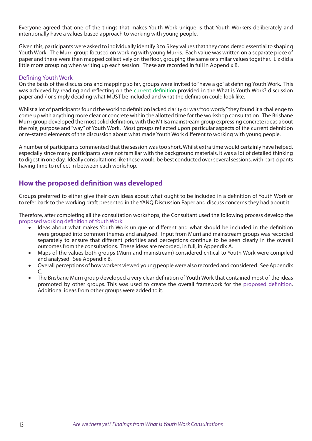Everyone agreed that one of the things that makes Youth Work unique is that Youth Workers deliberately and intentionally have a values-based approach to working with young people.

Given this, participants were asked to individually identify 3 to 5 key values that they considered essential to shaping Youth Work. The Murri group focused on working with young Murris. Each value was written on a separate piece of paper and these were then mapped collectively on the floor, grouping the same or similar values together. Liz did a little more grouping when writing up each session. These are recorded in full in Appendix B.

#### Defining Youth Work

On the basis of the discussions and mapping so far, groups were invited to "have a go" at defining Youth Work. This was achieved by reading and reflecting on the current definition provided in the What is Youth Work? discussion paper and / or simply deciding what MUST be included and what the definition could look like.

Whilst a lot of participants found the working definition lacked clarity or was "too wordy" they found it a challenge to come up with anything more clear or concrete within the allotted time for the workshop consultation. The Brisbane Murri group developed the most solid definition, with the Mt Isa mainstream group expressing concrete ideas about the role, purpose and "way" of Youth Work. Most groups reflected upon particular aspects of the current definition or re-stated elements of the discussion about what made Youth Work different to working with young people.

A number of participants commented that the session was too short. Whilst extra time would certainly have helped, especially since many participants were not familiar with the background materials, it was a lot of detailed thinking to digest in one day. Ideally consultations like these would be best conducted over several sessions, with participants having time to reflect in between each workshop.

### **How the proposed definition was developed**

Groups preferred to either give their own ideas about what ought to be included in a definition of Youth Work or to refer back to the working draft presented in the YANQ Discussion Paper and discuss concerns they had about it.

Therefore, after completing all the consultation workshops, the Consultant used the following process develop the proposed working definition of Youth Work:

- Ideas about what makes Youth Work unique or different and what should be included in the definition were grouped into common themes and analysed. Input from Murri and mainstream groups was recorded separately to ensure that different priorities and perceptions continue to be seen clearly in the overall outcomes from the consultations. These ideas are recorded, in full, in Appendix A.
- Maps of the values both groups (Murri and mainstream) considered critical to Youth Work were compiled and analysed. See Appendix B.
- Overall perceptions of how workers viewed young people were also recorded and considered. See Appendix C.
- The Brisbane Murri group developed a very clear definition of Youth Work that contained most of the ideas promoted by other groups. This was used to create the overall framework for the proposed definition. Additional ideas from other groups were added to it.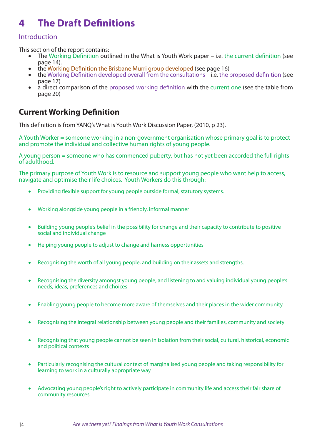# **4 The Draft Definitions**

#### Introduction

This section of the report contains:

- The Working Definition outlined in the What is Youth Work paper i.e. the current definition (see page 14).
- the Working Definition the Brisbane Murri group developed (see page 16)
- the Working Definition developed overall from the consultations i.e. the proposed definition (see page 17)
- a direct comparison of the proposed working definition with the current one (see the table from page 20)

### **Current Working Definition**

This definition is from YANQ's What is Youth Work Discussion Paper, (2010, p 23).

A Youth Worker = someone working in a non-government organisation whose primary goal is to protect and promote the individual and collective human rights of young people.

A young person = someone who has commenced puberty, but has not yet been accorded the full rights of adulthood.

The primary purpose of Youth Work is to resource and support young people who want help to access, navigate and optimise their life choices. Youth Workers do this through:

- Providing flexible support for young people outside formal, statutory systems.
- Working alongside young people in a friendly, informal manner
- Building young people's belief in the possibility for change and their capacity to contribute to positive social and individual change
- Helping young people to adjust to change and harness opportunities
- Recognising the worth of all young people, and building on their assets and strengths.
- Recognising the diversity amongst young people, and listening to and valuing individual young people's needs, ideas, preferences and choices
- Enabling young people to become more aware of themselves and their places in the wider community
- Recognising the integral relationship between young people and their families, community and society
- Recognising that young people cannot be seen in isolation from their social, cultural, historical, economic and political contexts
- Particularly recognising the cultural context of marginalised young people and taking responsibility for learning to work in a culturally appropriate way
- Advocating young people's right to actively participate in community life and access their fair share of community resources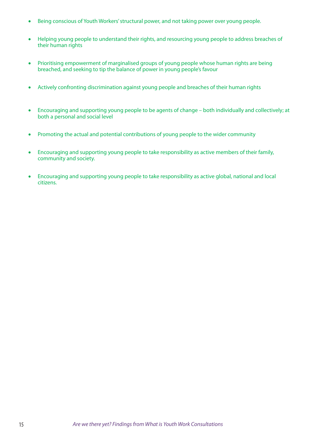- Being conscious of Youth Workers' structural power, and not taking power over young people.
- Helping young people to understand their rights, and resourcing young people to address breaches of their human rights
- Prioritising empowerment of marginalised groups of young people whose human rights are being breached, and seeking to tip the balance of power in young people's favour
- Actively confronting discrimination against young people and breaches of their human rights
- Encouraging and supporting young people to be agents of change both individually and collectively; at both a personal and social level
- Promoting the actual and potential contributions of young people to the wider community
- Encouraging and supporting young people to take responsibility as active members of their family, community and society.
- Encouraging and supporting young people to take responsibility as active global, national and local citizens.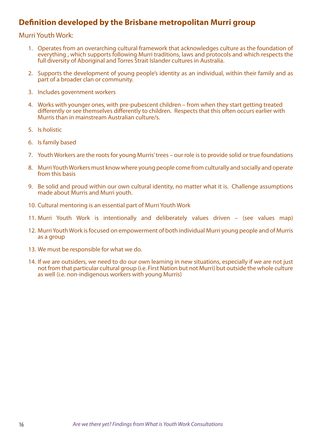### **Definition developed by the Brisbane metropolitan Murri group**

#### Murri Youth Work:

- 1. Operates from an overarching cultural framework that acknowledges culture as the foundation of everything , which supports following Murri traditions, laws and protocols and which respects the full diversity of Aboriginal and Torres Strait Islander cultures in Australia.
- 2. Supports the development of young people's identity as an individual, within their family and as part of a broader clan or community.
- 3. Includes government workers
- 4. Works with younger ones, with pre-pubescent children from when they start getting treated differently or see themselves differently to children. Respects that this often occurs earlier with Murris than in mainstream Australian culture/s.
- 5. Is holistic
- 6. Is family based
- 7. Youth Workers are the roots for young Murris' trees our role is to provide solid or true foundations
- 8. Murri Youth Workers must know where young people come from culturally and socially and operate from this basis
- 9. Be solid and proud within our own cultural identity, no matter what it is. Challenge assumptions made about Murris and Murri youth.
- 10. Cultural mentoring is an essential part of Murri Youth Work
- 11. Murri Youth Work is intentionally and deliberately values driven (see values map)
- 12. Murri Youth Work is focused on empowerment of both individual Murri young people and of Murris as a group
- 13. We must be responsible for what we do.
- 14. If we are outsiders, we need to do our own learning in new situations, especially if we are not just not from that particular cultural group (i.e. First Nation but not Murri) but outside the whole culture as well (i.e. non-indigenous workers with young Murris)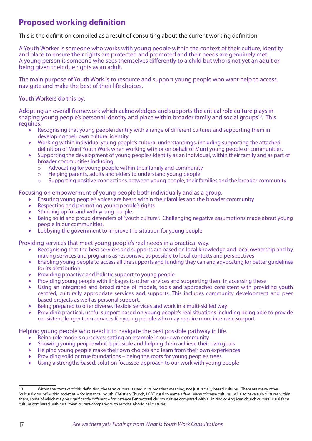### **Proposed working definition**

This is the definition compiled as a result of consulting about the current working definition

A Youth Worker is someone who works with young people within the context of their culture, identity and place to ensure their rights are protected and promoted and their needs are genuinely met. A young person is someone who sees themselves differently to a child but who is not yet an adult or being given their due rights as an adult.

The main purpose of Youth Work is to resource and support young people who want help to access, navigate and make the best of their life choices.

Youth Workers do this by:

Adopting an overall framework which acknowledges and supports the critical role culture plays in shaping young people's personal identity and place within broader family and social groups<sup>13</sup>. This requires:

- Recognising that young people identify with a range of different cultures and supporting them in developing their own cultural identity.
- • Working within individual young people's cultural understandings, including supporting the attached definition of Murri Youth Work when working with or on behalf of Murri young people or communities.
- Supporting the development of young people's identity as an individual, within their family and as part of broader communities including.
	- $\circ$  Advocating for young people within their family and community  $\circ$  Helping parents, adults and elders to understand young people
	- o Helping parents, adults and elders to understand young people<br>
	o Supporting positive connections between young people, their fa
	- Supporting positive connections between young people, their families and the broader community

Focusing on empowerment of young people both individually and as a group.

- Ensuring young people's voices are heard within their families and the broader community
- Respecting and promoting young people's rights
- Standing up for and with young people.
- Being solid and proud defenders of "youth culture". Challenging negative assumptions made about young people in our communities.
- Lobbying the government to improve the situation for young people

Providing services that meet young people's real needs in a practical way.

- Recognising that the best services and supports are based on local knowledge and local ownership and by making services and programs as responsive as possible to local contexts and perspectives
- • Enabling young people to access all the supports and funding they can and advocating for better guidelines for its distribution
- Providing proactive and holistic support to young people
- Providing young people with linkages to other services and supporting them in accessing these
- Using an integrated and broad range of models, tools and approaches consistent with providing youth centred, culturally appropriate services and supports. This includes community development and peer based projects as well as personal support.
- Being prepared to offer diverse, flexible services and work in a multi-skilled way
- Providing practical, useful support based on young people's real situations including being able to provide consistent, longer term services for young people who may require more intensive support

Helping young people who need it to navigate the best possible pathway in life.

- Being role models ourselves: setting an example in our own community
- Showing young people what is possible and helping them achieve their own goals
- Helping young people make their own choices and learn from their own experiences
- Providing solid or true foundations being the roots for young people's trees
- Using a strengths based, solution focussed approach to our work with young people

<sup>13</sup> Within the context of this definition, the term culture is used in its broadest meaning, not just racially based cultures. There are many other "cultural groups" within societies – for instance: youth, Christian Church, LGBT, rural to name a few. Many of these cultures will also have sub-cultures within them, some of which may be significantly different – for instance Pentecostal church culture compared with a Uniting or Anglican church culture; rural farm culture compared with rural town culture compared with remote Aboriginal cultures.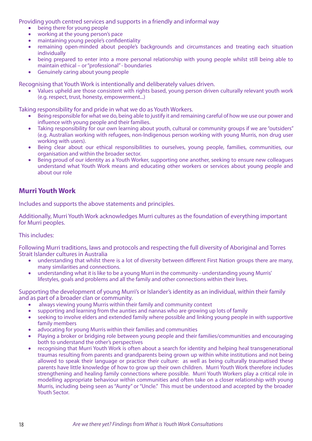Providing youth centred services and supports in a friendly and informal way

- being there for young people
- working at the young person's pace
- maintaining young people's confidentiality
- remaining open-minded about people's backgrounds and circumstances and treating each situation individually
- being prepared to enter into a more personal relationship with young people whilst still being able to maintain ethical – or "professional" - boundaries
- **Genuinely caring about young people**

Recognising that Youth Work is intentionally and deliberately values driven.

Values upheld are those consistent with rights based, young person driven culturally relevant youth work (e.g. respect, trust, honesty, empowerment...)

Taking responsibility for and pride in what we do as Youth Workers.

- Being responsible for what we do, being able to justify it and remaining careful of how we use our power and influence with young people and their families.
- Taking responsibility for our own learning about youth, cultural or community groups if we are "outsiders" (e.g. Australian working with refugees, non-Indigenous person working with young Murris, non drug user working with users).
- Being clear about our ethical responsibilities to ourselves, young people, families, communities, our organisation and within the broader sector.
- Being proud of our identity as a Youth Worker, supporting one another, seeking to ensure new colleagues understand what Youth Work means and educating other workers or services about young people and about our role

### **Murri Youth Work**

Includes and supports the above statements and principles.

Additionally, Murri Youth Work acknowledges Murri cultures as the foundation of everything important for Murri peoples.

#### This includes:

Following Murri traditions, laws and protocols and respecting the full diversity of Aboriginal and Torres Strait Islander cultures in Australia

- understanding that whilst there is a lot of diversity between different First Nation groups there are many, many similarities and connections.
- understanding what it is like to be a young Murri in the community understanding young Murris' lifestyles, goals and problems and all the family and other connections within their lives.

Supporting the development of young Murri's or Islander's identity as an individual, within their family and as part of a broader clan or community.

- always viewing young Murris within their family and community context
- supporting and learning from the aunties and nannas who are growing up lots of family
- seeking to involve elders and extended family where possible and linking young people in with supportive family members
- advocating for young Murris within their families and communities
- Playing a broker or bridging role between young people and their families/communities and encouraging both to understand the other's perspectives
- recognising that Murri Youth Work is often about a search for identity and helping heal transgenerational traumas resulting from parents and grandparents being grown up within white institutions and not being allowed to speak their language or practice their culture: as well as being culturally traumatised these parents have little knowledge of how to grow up their own children. Murri Youth Work therefore includes strengthening and healing family connections where possible. Murri Youth Workers play a critical role in modelling appropriate behaviour within communities and often take on a closer relationship with young Murris, including being seen as "Aunty" or "Uncle." This must be understood and accepted by the broader Youth Sector.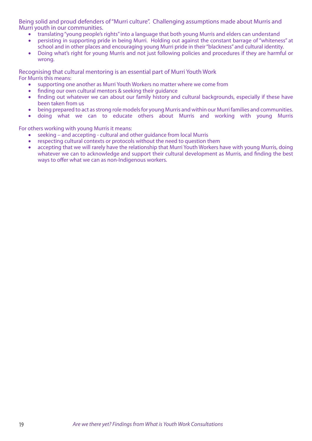Being solid and proud defenders of "Murri culture". Challenging assumptions made about Murris and Murri youth in our communities.

- • translating "young people's rights" into a language that both young Murris and elders can understand
- persisting in supporting pride in being Murri. Holding out against the constant barrage of "whiteness" at school and in other places and encouraging young Murri pride in their "blackness" and cultural identity.
- Doing what's right for young Murris and not just following policies and procedures if they are harmful or wrong.

Recognising that cultural mentoring is an essential part of Murri Youth Work For Murris this means:

- supporting one another as Murri Youth Workers no matter where we come from
- finding our own cultural mentors & seeking their guidance
- finding out whatever we can about our family history and cultural backgrounds, especially if these have been taken from us
- being prepared to act as strong role models for young Murris and within our Murri families and communities.
- doing what we can to educate others about Murris and working with young Murris

For others working with young Murris it means:

- seeking and accepting cultural and other guidance from local Murris
- respecting cultural contexts or protocols without the need to question them
- accepting that we will rarely have the relationship that Murri Youth Workers have with young Murris, doing whatever we can to acknowledge and support their cultural development as Murris, and finding the best ways to offer what we can as non-Indigenous workers.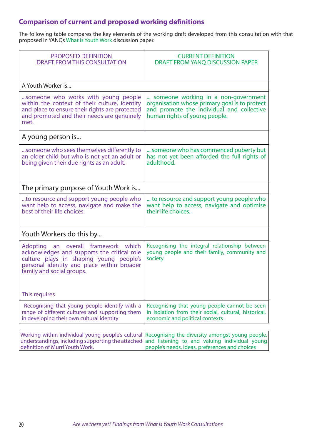### **Comparison of current and proposed working definitions**

The following table compares the key elements of the working draft developed from this consultation with that proposed in YANQs What is Youth Work discussion paper.

| <b>PROPOSED DEFINITION</b><br><b>DRAFT FROM THIS CONSULTATION</b>                                                                                                                                        | <b>CURRENT DEFINITION</b><br>DRAFT FROM YANQ DISCUSSION PAPER                                                                                                      |  |
|----------------------------------------------------------------------------------------------------------------------------------------------------------------------------------------------------------|--------------------------------------------------------------------------------------------------------------------------------------------------------------------|--|
| A Youth Worker is                                                                                                                                                                                        |                                                                                                                                                                    |  |
| someone who works with young people<br>within the context of their culture, identity<br>and place to ensure their rights are protected<br>and promoted and their needs are genuinely<br>met.             | someone working in a non-government<br>organisation whose primary goal is to protect<br>and promote the individual and collective<br>human rights of young people. |  |
| A young person is                                                                                                                                                                                        |                                                                                                                                                                    |  |
| someone who sees themselves differently to<br>an older child but who is not yet an adult or<br>being given their due rights as an adult.                                                                 | someone who has commenced puberty but<br>has not yet been afforded the full rights of<br>adulthood.                                                                |  |
| The primary purpose of Youth Work is                                                                                                                                                                     |                                                                                                                                                                    |  |
| to resource and support young people who<br>want help to access, navigate and make the<br>best of their life choices.                                                                                    | to resource and support young people who<br>want help to access, navigate and optimise<br>their life choices.                                                      |  |
| Youth Workers do this by                                                                                                                                                                                 |                                                                                                                                                                    |  |
| Adopting an overall framework which<br>acknowledges and supports the critical role<br>culture plays in shaping young people's<br>personal identity and place within broader<br>family and social groups. | Recognising the integral relationship between<br>young people and their family, community and<br>society                                                           |  |
| This requires                                                                                                                                                                                            |                                                                                                                                                                    |  |
| Recognising that young people identify with a<br>range of different cultures and supporting them<br>in developing their own cultural identity                                                            | Recognising that young people cannot be seen<br>in isolation from their social, cultural, historical,<br>economic and political contexts                           |  |
|                                                                                                                                                                                                          |                                                                                                                                                                    |  |
| Working within individual young people's cultural<br>understandings, including supporting the attached<br>definition of Murri Youth Work.                                                                | Recognising the diversity amongst young people,<br>and listening to and valuing individual young<br>people's needs, ideas, preferences and choices                 |  |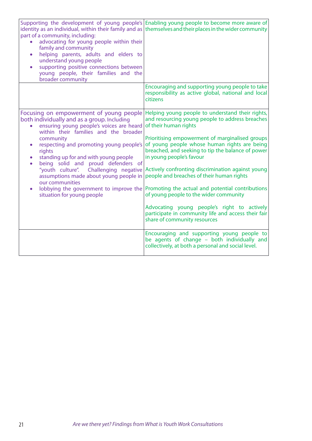| identity as an individual, within their family and as<br>part of a community, including:<br>advocating for young people within their<br>family and community<br>helping parents, adults and elders to<br>$\bullet$<br>understand young people<br>supporting positive connections between<br>$\bullet$<br>young people, their families and the<br>broader community                                                                                                                                                                                | Supporting the development of young people's Enabling young people to become more aware of<br>themselves and their places in the wider community                                                                                                                                                                                                                                                                                                                                                                                                                                                                                                                                                                                                                                                          |
|---------------------------------------------------------------------------------------------------------------------------------------------------------------------------------------------------------------------------------------------------------------------------------------------------------------------------------------------------------------------------------------------------------------------------------------------------------------------------------------------------------------------------------------------------|-----------------------------------------------------------------------------------------------------------------------------------------------------------------------------------------------------------------------------------------------------------------------------------------------------------------------------------------------------------------------------------------------------------------------------------------------------------------------------------------------------------------------------------------------------------------------------------------------------------------------------------------------------------------------------------------------------------------------------------------------------------------------------------------------------------|
|                                                                                                                                                                                                                                                                                                                                                                                                                                                                                                                                                   | Encouraging and supporting young people to take<br>responsibility as active global, national and local<br>citizens                                                                                                                                                                                                                                                                                                                                                                                                                                                                                                                                                                                                                                                                                        |
| Focusing on empowerment of young people<br>both individually and as a group. Including<br>ensuring young people's voices are heard<br>$\bullet$<br>within their families and the broader<br>community<br>respecting and promoting young people's<br>$\bullet$<br>rights<br>standing up for and with young people<br>$\bullet$<br>being solid and proud defenders of<br>"youth culture". Challenging negative<br>assumptions made about young people in<br>our communities<br>lobbying the government to improve the<br>situation for young people | Helping young people to understand their rights,<br>and resourcing young people to address breaches<br>of their human rights<br>Prioritising empowerment of marginalised groups<br>of young people whose human rights are being<br>breached, and seeking to tip the balance of power<br>in young people's favour<br>Actively confronting discrimination against young<br>people and breaches of their human rights<br>Promoting the actual and potential contributions<br>of young people to the wider community<br>Advocating young people's right to actively<br>participate in community life and access their fair<br>share of community resources<br>Encouraging and supporting young people to<br>be agents of change - both individually and<br>collectively, at both a personal and social level. |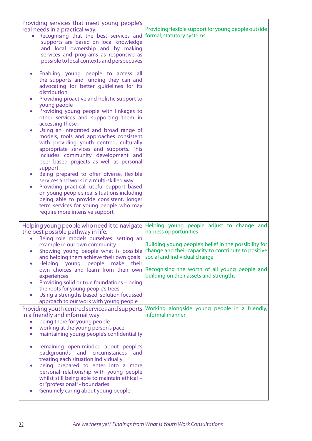| Providing services that meet young people's<br>real needs in a practical way.<br>Recognising that the best services and<br>$\bullet$<br>supports are based on local knowledge<br>and local ownership and by making<br>services and programs as responsive as<br>possible to local contexts and perspectives                                                                                                                                                                                                                                                                                                                                                                                                                                                                                                                                                                                                                                                                        | Providing flexible support for young people outside<br>formal, statutory systems                                                                                                                                                                                                                                                                    |
|------------------------------------------------------------------------------------------------------------------------------------------------------------------------------------------------------------------------------------------------------------------------------------------------------------------------------------------------------------------------------------------------------------------------------------------------------------------------------------------------------------------------------------------------------------------------------------------------------------------------------------------------------------------------------------------------------------------------------------------------------------------------------------------------------------------------------------------------------------------------------------------------------------------------------------------------------------------------------------|-----------------------------------------------------------------------------------------------------------------------------------------------------------------------------------------------------------------------------------------------------------------------------------------------------------------------------------------------------|
| Enabling young people to access all<br>$\bullet$<br>the supports and funding they can and<br>advocating for better guidelines for its<br>distribution<br>Providing proactive and holistic support to<br>$\bullet$<br>young people<br>Providing young people with linkages to<br>$\bullet$<br>other services and supporting them in<br>accessing these<br>Using an integrated and broad range of<br>$\bullet$<br>models, tools and approaches consistent<br>with providing youth centred, culturally<br>appropriate services and supports. This<br>includes community development and<br>peer based projects as well as personal<br>support.<br>Being prepared to offer diverse, flexible<br>$\bullet$<br>services and work in a multi-skilled way<br>Providing practical, useful support based<br>$\bullet$<br>on young people's real situations including<br>being able to provide consistent, longer<br>term services for young people who may<br>require more intensive support |                                                                                                                                                                                                                                                                                                                                                     |
| Helping young people who need it to navigate<br>the best possible pathway in life.<br>Being role models ourselves: setting an<br>$\bullet$<br>example in our own community<br>$\bullet$<br>and helping them achieve their own goals<br>Helping young people<br>make<br>their<br>$\bullet$<br>own choices and learn from their own<br>experiences<br>Providing solid or true foundations - being<br>$\bullet$<br>the roots for young people's trees<br>Using a strengths based, solution focussed<br>$\bullet$<br>approach to our work with young people                                                                                                                                                                                                                                                                                                                                                                                                                            | Helping young people adjust to change and<br>harness opportunities<br>Building young people's belief in the possibility for<br>Showing young people what is possible change and their capacity to contribute to positive<br>social and individual change<br>Recognising the worth of all young people and<br>building on their assets and strengths |
| Providing youth centred services and supports<br>in a friendly and informal way<br>being there for young people<br>$\bullet$<br>working at the young person's pace<br>$\bullet$<br>maintaining young people's confidentiality<br>$\bullet$<br>remaining open-minded about people's<br>$\bullet$<br>backgrounds and circumstances<br>and<br>treating each situation individually<br>being prepared to enter into a more<br>$\bullet$<br>personal relationship with young people<br>whilst still being able to maintain ethical -<br>or "professional" - boundaries<br>Genuinely caring about young people<br>$\bullet$                                                                                                                                                                                                                                                                                                                                                              | Working alongside young people in a friendly,<br>informal manner                                                                                                                                                                                                                                                                                    |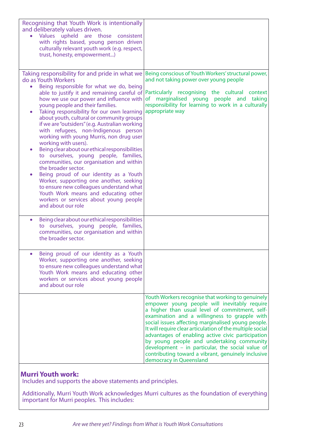| Recognising that Youth Work is intentionally<br>and deliberately values driven.<br>Values upheld are those consistent<br>with rights based, young person driven<br>culturally relevant youth work (e.g. respect,<br>trust, honesty, empowerment)                                                                                                                                                                                                                                                                                                                                                                                                                                                                                                                                                                                                                                                                            |                                                                                                                                                                                                                                                                                                                                                                                                                                                                                                                                                                |
|-----------------------------------------------------------------------------------------------------------------------------------------------------------------------------------------------------------------------------------------------------------------------------------------------------------------------------------------------------------------------------------------------------------------------------------------------------------------------------------------------------------------------------------------------------------------------------------------------------------------------------------------------------------------------------------------------------------------------------------------------------------------------------------------------------------------------------------------------------------------------------------------------------------------------------|----------------------------------------------------------------------------------------------------------------------------------------------------------------------------------------------------------------------------------------------------------------------------------------------------------------------------------------------------------------------------------------------------------------------------------------------------------------------------------------------------------------------------------------------------------------|
| Taking responsibility for and pride in what we<br>do as Youth Workers<br>Being responsible for what we do, being<br>$\bullet$<br>able to justify it and remaining careful of<br>how we use our power and influence with<br>young people and their families.<br>Taking responsibility for our own learning<br>about youth, cultural or community groups<br>if we are "outsiders" (e.g. Australian working<br>with refugees, non-Indigenous person<br>working with young Murris, non drug user<br>working with users).<br>Being clear about our ethical responsibilities<br>to ourselves, young people, families,<br>communities, our organisation and within<br>the broader sector.<br>Being proud of our identity as a Youth<br>Worker, supporting one another, seeking<br>to ensure new colleagues understand what<br>Youth Work means and educating other<br>workers or services about young people<br>and about our role | Being conscious of Youth Workers' structural power,<br>and not taking power over young people<br>Particularly recognising the cultural context<br>marginalised young people and<br><b>of</b><br>taking<br>responsibility for learning to work in a culturally<br>appropriate way                                                                                                                                                                                                                                                                               |
| Being clear about our ethical responsibilities<br>$\bullet$<br>to ourselves, young people, families,<br>communities, our organisation and within<br>the broader sector.                                                                                                                                                                                                                                                                                                                                                                                                                                                                                                                                                                                                                                                                                                                                                     |                                                                                                                                                                                                                                                                                                                                                                                                                                                                                                                                                                |
| Being proud of our identity as a Youth<br>Worker, supporting one another, seeking<br>to ensure new colleagues understand what<br>Youth Work means and educating other<br>workers or services about young people<br>and about our role                                                                                                                                                                                                                                                                                                                                                                                                                                                                                                                                                                                                                                                                                       |                                                                                                                                                                                                                                                                                                                                                                                                                                                                                                                                                                |
|                                                                                                                                                                                                                                                                                                                                                                                                                                                                                                                                                                                                                                                                                                                                                                                                                                                                                                                             | Youth Workers recognise that working to genuinely<br>empower young people will inevitably require<br>a higher than usual level of commitment, self-<br>examination and a willingness to grapple with<br>social issues affecting marginalised young people.<br>It will require clear articulation of the multiple social<br>advantages of enabling active civic participation<br>by young people and undertaking community<br>development - in particular, the social value of<br>contributing toward a vibrant, genuinely inclusive<br>democracy in Queensland |

#### **Murri Youth work:**

Includes and supports the above statements and principles.

Additionally, Murri Youth Work acknowledges Murri cultures as the foundation of everything important for Murri peoples. This includes: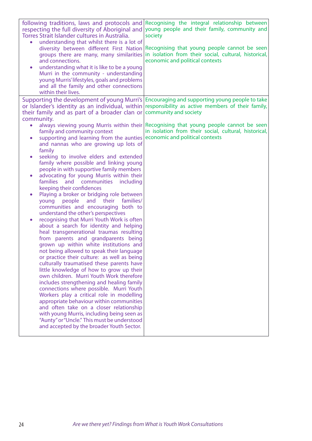| following traditions, laws and protocols and<br>respecting the full diversity of Aboriginal and<br>Torres Strait Islander cultures in Australia.<br>understanding that whilst there is a lot of<br>diversity between different First Nation<br>groups there are many, many similarities<br>and connections.<br>understanding what it is like to be a young<br>$\bullet$<br>Murri in the community - understanding<br>young Murris' lifestyles, goals and problems<br>and all the family and other connections<br>within their lives.                                                                                                                                                                                                                                                                                                                                                                                                                                                                                                                                                                                                                                                                                                                                                                                                                                                                                                                                                                                                     | Recognising the integral relationship between<br>young people and their family, community and<br>society<br>Recognising that young people cannot be seen<br>in isolation from their social, cultural, historical,<br>economic and political contexts |
|------------------------------------------------------------------------------------------------------------------------------------------------------------------------------------------------------------------------------------------------------------------------------------------------------------------------------------------------------------------------------------------------------------------------------------------------------------------------------------------------------------------------------------------------------------------------------------------------------------------------------------------------------------------------------------------------------------------------------------------------------------------------------------------------------------------------------------------------------------------------------------------------------------------------------------------------------------------------------------------------------------------------------------------------------------------------------------------------------------------------------------------------------------------------------------------------------------------------------------------------------------------------------------------------------------------------------------------------------------------------------------------------------------------------------------------------------------------------------------------------------------------------------------------|------------------------------------------------------------------------------------------------------------------------------------------------------------------------------------------------------------------------------------------------------|
| their family and as part of a broader clan or                                                                                                                                                                                                                                                                                                                                                                                                                                                                                                                                                                                                                                                                                                                                                                                                                                                                                                                                                                                                                                                                                                                                                                                                                                                                                                                                                                                                                                                                                            | Supporting the development of young Murri's   Encouraging and supporting young people to take<br>or Islander's identity as an individual, within responsibility as active members of their family,<br>community and society                          |
| community.<br>always viewing young Murris within their<br>$\bullet$<br>family and community context<br>supporting and learning from the aunties<br>$\bullet$<br>and nannas who are growing up lots of<br>family<br>seeking to involve elders and extended<br>$\bullet$<br>family where possible and linking young<br>people in with supportive family members<br>advocating for young Murris within their<br>$\bullet$<br>and communities<br>including<br><b>families</b><br>keeping their confidences<br>Playing a broker or bridging role between<br>$\bullet$<br>families/<br>people<br>and<br>their<br>young<br>communities and encouraging both to<br>understand the other's perspectives<br>recognising that Murri Youth Work is often<br>$\bullet$<br>about a search for identity and helping<br>heal transgenerational traumas resulting<br>from parents and grandparents being<br>grown up within white institutions and<br>not being allowed to speak their language<br>or practice their culture: as well as being<br>culturally traumatised these parents have<br>little knowledge of how to grow up their<br>own children. Murri Youth Work therefore<br>includes strengthening and healing family<br>connections where possible. Murri Youth<br>Workers play a critical role in modelling<br>appropriate behaviour within communities<br>and often take on a closer relationship<br>with young Murris, including being seen as<br>"Aunty" or "Uncle." This must be understood<br>and accepted by the broader Youth Sector. | Recognising that young people cannot be seen<br>in isolation from their social, cultural, historical,<br>economic and political contexts                                                                                                             |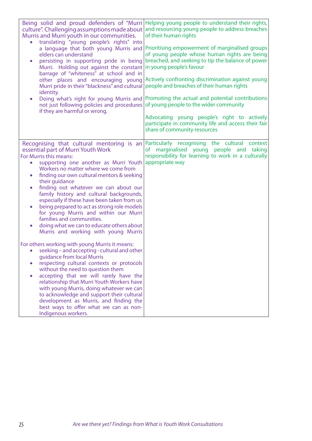| Being solid and proud defenders of "Murri<br>culture". Challenging assumptions made about<br>Murris and Murri youth in our communities.<br>of their human rights<br>translating "young people's rights" into<br>a language that both young Murris and<br>elders can understand<br>persisting in supporting pride in being<br>$\bullet$<br>in young people's favour<br>Murri. Holding out against the constant<br>barrage of "whiteness" at school and in<br>other places and encouraging young<br>Murri pride in their "blackness" and cultural<br>identity.<br>Doing what's right for young Murris and<br>٠<br>not just following policies and procedures<br>if they are harmful or wrong.<br>share of community resources                                                                                                                                                                                                                                                                                                                                                                          | Helping young people to understand their rights,<br>and resourcing young people to address breaches<br>Prioritising empowerment of marginalised groups<br>of young people whose human rights are being<br>breached, and seeking to tip the balance of power<br>Actively confronting discrimination against young<br>people and breaches of their human rights<br>Promoting the actual and potential contributions<br>of young people to the wider community<br>Advocating young people's right to actively<br>participate in community life and access their fair |
|------------------------------------------------------------------------------------------------------------------------------------------------------------------------------------------------------------------------------------------------------------------------------------------------------------------------------------------------------------------------------------------------------------------------------------------------------------------------------------------------------------------------------------------------------------------------------------------------------------------------------------------------------------------------------------------------------------------------------------------------------------------------------------------------------------------------------------------------------------------------------------------------------------------------------------------------------------------------------------------------------------------------------------------------------------------------------------------------------|-------------------------------------------------------------------------------------------------------------------------------------------------------------------------------------------------------------------------------------------------------------------------------------------------------------------------------------------------------------------------------------------------------------------------------------------------------------------------------------------------------------------------------------------------------------------|
| Recognising that cultural mentoring is an<br>essential part of Murri Youth Work<br>For Murris this means:<br>appropriate way<br>supporting one another as Murri Youth<br>$\bullet$<br>Workers no matter where we come from<br>finding our own cultural mentors & seeking<br>٠<br>their guidance<br>finding out whatever we can about our<br>$\bullet$<br>family history and cultural backgrounds,<br>especially if these have been taken from us<br>being prepared to act as strong role models<br>$\bullet$<br>for young Murris and within our Murri<br>families and communities.<br>doing what we can to educate others about<br>$\bullet$<br>Murris and working with young Murris<br>For others working with young Murris it means:<br>seeking – and accepting - cultural and other<br>quidance from local Murris<br>respecting cultural contexts or protocols<br>without the need to question them<br>accepting that we will rarely have the<br>$\bullet$<br>relationship that Murri Youth Workers have<br>with young Murris, doing whatever we can<br>to acknowledge and support their cultural | Particularly recognising the cultural context<br>of marginalised young people<br>and<br>taking<br>responsibility for learning to work in a culturally                                                                                                                                                                                                                                                                                                                                                                                                             |
| best ways to offer what we can as non-<br>Indigenous workers.                                                                                                                                                                                                                                                                                                                                                                                                                                                                                                                                                                                                                                                                                                                                                                                                                                                                                                                                                                                                                                        |                                                                                                                                                                                                                                                                                                                                                                                                                                                                                                                                                                   |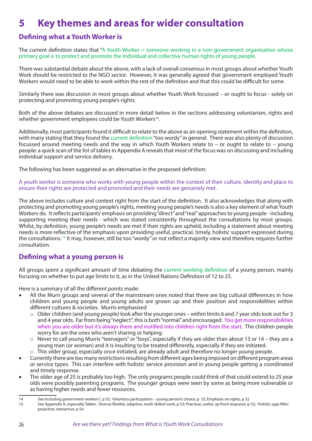# **5 Key themes and areas for wider consultation**

### **Defining what a Youth Worker is**

The current definition states that "A Youth Worker = someone working in a non-government organisation whose primary goal is to protect and promote the individual and collective human rights of young people.

There was substantial debate about the above, with a lack of overall consensus in most groups about whether Youth Work should be restricted to the NGO sector. However, it was generally agreed that government employed Youth Workers would need to be able to work within the rest of the definition and that this could be difficult for some.

Similarly there was discussion in most groups about whether Youth Work focussed – or ought to focus - solely on protecting and promoting young people's rights.

Both of the above debates are discussed in more detail below in the sections addressing voluntarism, rights and whether government employees could be Youth Workers<sup>14</sup>.

Additionally, most participants found it difficult to relate to the above as an opening statement within the definition, with many stating that they found the current definition "too wordy" in general. There was also plenty of discussion focussed around meeting needs and the way in which Youth Workers relate to – or ought to relate to – young people: a quick scan of the list of tables in Appendix A reveals that most of the focus was on discussing and including individual support and service delivery.

The following has been suggested as an alternative in the proposed definition:

A youth worker is someone who works with young people within the context of their culture, identity and place to ensure their rights are protected and promoted and their needs are genuinely met.

The above includes culture and context right from the start of the definition. It also acknowledges that along with protecting and promoting young people's rights, meeting young people's needs is also a key element of what Youth Workers do. It reflects participants' emphasis on providing "direct" and "real" approaches to young people - including supporting meeting their needs - which was stated consistently throughout the consultations by most groups. Whilst, by definition, young people's needs are met if their rights are upheld, including a statement about meeting needs is more reflective of the emphasis upon providing useful, practical, timely, holistic support expressed during the consultations. <sup>15</sup> It may, however, still be too "wordy" or not reflect a majority view and therefore requires further consultation.

### **Defining what a young person is**

All groups spent a significant amount of time debating the current working definition of a young person, mainly focusing on whether to put age limits to it, as in the United Nations Definition of 12 to 25.

Here is a summary of all the different points made:

- All the Murri groups and several of the mainstream ones noted that there are big cultural differences in how children and young people and young adults are grown up and their position and responsibilities within different cultures & societies. Murris emphasised
	- o Older children (and young people) look after the younger ones within limits 6 and 7 year olds look out for 3 and 4 year olds. Far from being "neglect", this is both "normal" and encouraged. You get more responsibilities when you are older but it's always there and instilled into children right from the start. The children people worry for are the ones who aren't sharing or helping.
	- $\circ$  Never to call young Murris "teenagers" or "boys", especially if they are older than about 13 or 14 they are a young man (or woman) and it is insulting to be treated differently, especially if they are initiated.
	- $\circ$  This older group, especially once initiated, are already adult and therefore no longer young people.
- Currently there are too many restrictions resulting from different ages being imposed on different program areas or service types. This can interfere with holistic service provision and in young people getting a coordinated and timely response.
- The older age of 25 is probably too high. The only programs people could think of that could extend to 25 year olds were possibly parenting programs. The younger groups were seen by some as being more vulnerable or as having higher needs and fewer resources.

<sup>14</sup> See Including government workers?, p 32; Voluntary participation – young person's choice, p 32; Emphasis on rights, p 32

<sup>15</sup> See Appendix A, especially Tables: Diverse flexible, adaptive, multi-skilled work, p 53; Practical, useful, up front response, p 53; Holistic; gap-filler; proactive; interactive, p 54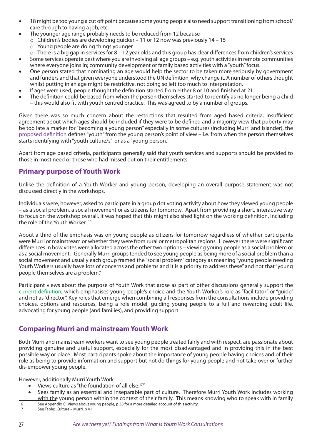- 18 might be too young a cut off point because some young people also need support transitioning from school/ care through to having a job, etc.
	- The younger age range probably needs to be reduced from 12 because
	- o Children's bodies are developing quicker 11 or 12 now was previously 14 15
	- o Young people are doing things younger
	- $\circ$  There is a big gap in services for 8 12 year olds and this group has clear differences from children's services
- Some services operate best where you are involving all age groups e.g. youth activities in remote communities where everyone joins in; community development or family based activities with a "youth" focus.
- One person stated that nominating an age would help the sector to be taken more seriously by government and funders and that given everyone understood the UN definition, why change it. A number of others thought whilst putting in an age might be restrictive, not doing so left too much to interpretation.
- If ages were used, people thought the definition started from either 8 or 10 and finished at 21.
- The definition could be based from when the person themselves started to identify as no longer being a child – this would also fit with youth centred practice. This was agreed to by a number of groups.

Given there was so much concern about the restrictions that resulted from aged based criteria, insufficient agreement about which ages should be included if they were to be defined and a majority view that puberty may be too late a marker for "becoming a young person" especially in some cultures (including Murri and Islander), the proposed definition defines "youth" from the young person's point of view – i.e. from when the person themselves starts identifying with "youth culture/s" or as a "young person."

Apart from age based criteria, participants generally said that youth services and supports should be provided to those in most need or those who had missed out on their entitlements.

#### **Primary purpose of Youth Work**

Unlike the definition of a Youth Worker and young person, developing an overall purpose statement was not discussed directly in the workshops.

Individuals were, however, asked to participate in a group dot voting activity about how they viewed young people – as a social problem, a social movement or as citizens for tomorrow. Apart from providing a short, interactive way to focus on the workshop overall, it was hoped that this might also shed light on the working definition, including the role of the Youth Worker. 16

About a third of the emphasis was on young people as citizens for tomorrow regardless of whether participants were Murri or mainstream or whether they were from rural or metropolitan regions. However there were significant differences in how votes were allocated across the other two options – viewing young people as a social problem or as a social movement. Generally Murri groups tended to see young people as being more of a social problem than a social movement and usually each group framed the "social problem" category as meaning "young people needing Youth Workers usually have lots of concerns and problems and it is a priority to address these" and not that "young people themselves are a problem."

Participant views about the purpose of Youth Work that arose as part of other discussions generally support the current definition, which emphasises young people's choice and the Youth Worker's role as "facilitator" or "guide" and not as "director". Key roles that emerge when combining all responses from the consultations include providing choices, options and resources, being a role model, guiding young people to a full and rewarding adult life, advocating for young people (and families), and providing support.

### **Comparing Murri and mainstream Youth Work**

Both Murri and mainstream workers want to see young people treated fairly and with respect, are passionate about providing genuine and useful support, especially for the most disadvantaged and in providing this in the best possible way or place. Most participants spoke about the importance of young people having choices and of their role as being to provide information and support but not do things for young people and not take over or further dis-empower young people.

However, additionally Murri Youth Work:

- Views culture as "the foundation of all else.<sup>17"</sup>
- Sees family as an essential and inseparable part of culture. Therefore Murri Youth Work includes working with the young person within the context of their family. This means knowing who to speak with in family
- 16 See Appendix C: Views about young people, p 38 for a more detailed account of this activity.

17 See Table: Culture – Murri, p 41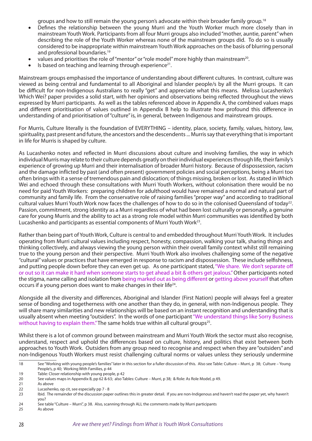groups and how to still remain the young person's advocate within their broader family group.18

- Defines the relationship between the young Murri and the Youth Worker much more closely than in mainstream Youth Work. Participants from all four Murri groups also included "mother, auntie, parent" when describing the role of the Youth Worker whereas none of the mainstream groups did. To do so is usually considered to be inappropriate within mainstream Youth Work approaches on the basis of blurring personal and professional boundaries.<sup>19</sup>
- values and prioritises the role of "mentor" or "role model" more highly than mainstream<sup>20</sup>.
- Is based on teaching and learning through experience<sup>21</sup>.

Mainstream groups emphasised the importance of understanding about different cultures. In contrast, culture was viewed as being central and fundamental to all Aboriginal and Islander people/s by all the Murri groups. It can be difficult for non-Indigenous Australians to really "get" and appreciate what this means. Melissa Lucashenko's Which Wei? paper provides a solid start, with her opinions and observations being reflected throughout the views expressed by Murri participants. As well as the tables referenced above in Appendix A, the combined values maps and different prioritisation of values outlined in Appendix B help to illustrate how profound this difference in understanding of and prioritisation of "culture" is, in general, between Indigenous and mainstream groups.

For Murris, Culture literally is the foundation of EVERYTHING – identity, place, society, family, values, history, law, spirituality, past present and future, the ancestors and the descendents ... Murris say that everything that is important in life for Murris is shaped by culture.

As Lucashenko notes and reflected in Murri discussions about culture and involving families, the way in which individual Murris may relate to their culture depends greatly on their individual experiences through life, their family's experience of growing up Murri and their internalisation of broader Murri history. Because of dispossession, racism and the damage inflicted by past (and often present) government policies and social perceptions, being a Murri too often brings with it a sense of tremendous pain and dislocation; of things missing, broken or lost. As stated in Which Wei and echoed through these consultations with Murri Youth Workers, without colonisation there would be no need for paid Youth Workers: preparing children for adulthood would have remained a normal and natural part of community and family life. From the conservative role of raising families "proper way" and according to traditional cultural values Murri Youth Work now faces the challenges of how to do so in the colonised Queensland of today<sup>22</sup>. Passion, commitment, strong identity as a Murri regardless of what had been lost culturally or personally, a genuine care for young Murris and the ability to act as a strong role model within Murri communities was identified by both Lucashenko and participants as essential components of Murri Youth Work<sup>23</sup>.

Rather than being part of Youth Work, Culture is central to and embedded throughout Murri Youth Work. It includes operating from Murri cultural values including respect, honesty, compassion, walking your talk, sharing things and thinking collectively, and always viewing the young person within their overall family context whilst still remaining true to the young person and their perspective. Murri Youth Work also involves challenging some of the negative "cultural" values or practices that have emerged in response to racism and dispossession. These include selfishness, and putting people down before they can even get up. As one participant stated, "We share. We don't separate off or out so it can make it hard when someone starts to get ahead a bit & others get jealous." Other participants noted the stigma, name calling and isolation from being marked out as being different or getting above yourself that often occurs if a young person does want to make changes in their life24.

Alongside all the diversity and differences, Aboriginal and Islander (First Nation) people will always feel a greater sense of bonding and togetherness with one another than they do, in general, with non-Indigenous people. They will share many similarities and new relationships will be based on an instant recognition and understanding that is usually absent when meeting "outsiders". In the words of one participant "We understand things like Sorry Business without having to explain them." The same holds true within all cultural groups<sup>25</sup>.

Whilst there is a lot of common ground between mainstream and Murri Youth Work the sector must also recognise, understand, respect and uphold the differences based on culture, history, and politics that exist between both approaches to Youth Work. Outsiders from any group need to recognise and respect when they are "outsiders" and non-Indigenous Youth Workers must resist challenging cultural norms or values unless they seriously undermine

<sup>18</sup> See "Working with young people's families" later in this section for a fuller discussion of this. Also see Table: Culture – Murri, p 38; Culture – Young People's, p 40; Working With Families, p 44

<sup>19</sup> Table: Closer relationship with young people, p 42

<sup>20</sup> See values maps in Appendix B, pp 62 & 63; also Tables: Culture – Murri, p 38; & Role: As Role Model, p 49.

<sup>21</sup> As above

<sup>22</sup> Lucashenko, op cit, see especially pp 7 - 8

<sup>23</sup> Ibid. The remainder of the discussion paper outlines this in greater detail. If you are non-Indigenous and haven't read the paper yet, why haven't you?

<sup>24</sup> See table "Culture – Murri", p 38. Also, scanning through ALL the comments made by Murri participants

<sup>25</sup> As above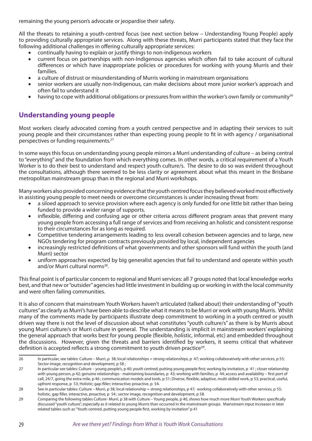remaining the young person's advocate or jeopardise their safety.

All the threats to retaining a youth-centred focus (see next section below – Understanding Young People) apply to providing culturally appropriate services. Along with these threats, Murri participants stated that they face the following additional challenges in offering culturally appropriate services:

- continually having to explain or justify things to non-indigenous workers
- • current focus on partnerships with non-Indigenous agencies which often fail to take account of cultural differences or which have inappropriate policies or procedures for working with young Murris and their families.
- a culture of distrust or misunderstanding of Murris working in mainstream organisations
- senior workers are usually non-Indigenous, can make decisions about more junior worker's approach and often fail to understand it
- having to cope with additional obligations or pressures from within the worker's own family or community<sup>26</sup>

### **Understanding young people**

Most workers clearly advocated coming from a youth centred perspective and in adapting their services to suit young people and their circumstances rather than expecting young people to fit in with agency / organisational perspectives or funding requirements.27

In some ways this focus on understanding young people mirrors a Murri understanding of culture – as being central to "everything" and the foundation from which everything comes. In other words, a critical requirement of a Youth Worker is to do their best to understand and respect youth culture/s. The desire to do so was evident throughout the consultations, although there seemed to be less clarity or agreement about what this meant in the Brisbane metropolitan mainstream group than in the regional and Murri workshops.

Many workers also provided concerning evidence that the youth centred focus they believed worked most effectively in assisting young people to meet needs or overcome circumstances is under increasing threat from:

- a siloed approach to service provision where each agency is only funded for one little bit rather than being funded to provide a wider range of supports.
- inflexible, differing and confusing age or other criteria across different program areas that prevent many young people from accessing a full range of services and from receiving an holistic and consistent response to their circumstances for as long as required.
- Competitive tendering arrangements leading to less overall cohesion between agencies and to large, new NGOs tendering for program contracts previously provided by local, independent agencies
- increasingly restricted definitions of what governments and other sponsors will fund within the youth (and Murri) sector
- uniform approaches expected by big generalist agencies that fail to understand and operate within youth and/or Murri cultural norms<sup>28</sup>.

This final point is of particular concern to regional and Murri services: all 7 groups noted that local knowledge works best, and that new or "outsider" agencies had little investment in building up or working in with the local community and were often failing communities.

It is also of concern that mainstream Youth Workers haven't articulated (talked about) their understanding of "youth cultures" as clearly as Murri's have been able to describe what it means to be Murri or work with young Murris. Whilst many of the comments made by participants illustrate deep commitment to working in a youth centred or youth driven way there is not the level of discussion about what constitutes "youth culture/s" as there is by Murris about young Murri culture/s or Murri culture in general. The understanding is implicit in mainstream workers' explaining the general approach that works best for young people (flexible, holistic, informal, etc) and embedded throughout the discussions. However, given the threats and barriers identified by workers, it seems critical that whatever definition is accepted reflects a strong commitment to youth driven practice<sup>29</sup>.

<sup>26</sup> In particular, see tables: Culture – Murri, p 38; local relationships = strong relationships, p 47; working collaboratively with other services, p 55; Sector image, recognition and development, p 58 ;

<sup>27</sup> In particular see tables: Culture – young people's, p 40; youth centred; putting young people first; working by invitation, p 41 ; closer relationship with young person, p 42; genuine relationships - maintaining boundaries, p 43; working with families, p 44; access and availability – first port of call, 24/7, going the extra mile, p 46 ; communication models and tools, p 51; Diverse, flexible, adaptive, multi-skilled work, p 53; practical, useful, upfront response, p 53; Holistic; gap-filler; interactive; proactive, p 54.

<sup>28</sup> See in particular tables: Culture – Murri, p 38; local relationship = strong relationships, p 47; working collaboratively with other services, p 55; holistic, gap filler, interactive, proactive, p 54; sector image, recognition and development, p 58.

<sup>29</sup> Comparing the following tables Culture- Murri, p 38 with Culture – Young people, p 40, shows how much more Murri Youth Workers specifically discussed "youth culture", especially as it related to young Murris than occurred in the mainstream groups. Mainstream input increases in later related tables such as "Youth centred, putting young people first, working by invitation" p 41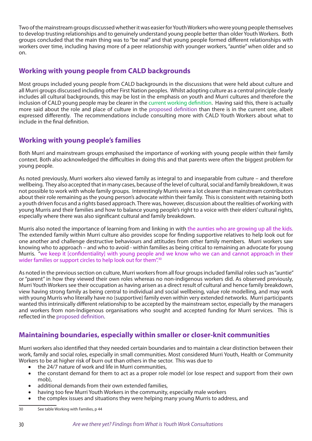Two of the mainstream groups discussed whether it was easier for Youth Workers who were young people themselves to develop trusting relationships and to genuinely understand young people better than older Youth Workers. Both groups concluded that the main thing was to "be real" and that young people formed different relationships with workers over time, including having more of a peer relationship with younger workers, "auntie" when older and so on.

### **Working with young people from CALD backgrounds**

Most groups included young people from CALD backgrounds in the discussions that were held about culture and all Murri groups discussed including other First Nation peoples. Whilst adopting culture as a central principle clearly includes all cultural backgrounds, this may be lost in the emphasis on youth and Murri cultures and therefore the inclusion of CALD young people may be clearer in the current working definition. Having said this, there is actually more said about the role and place of culture in the proposed definition than there is in the current one, albeit expressed differently. The recommendations include consulting more with CALD Youth Workers about what to include in the final definition.

### **Working with young people's families**

Both Murri and mainstream groups emphasised the importance of working with young people within their family context. Both also acknowledged the difficulties in doing this and that parents were often the biggest problem for young people.

As noted previously, Murri workers also viewed family as integral to and inseparable from culture – and therefore wellbeing. They also accepted that in many cases, because of the level of cultural, social and family breakdown, it was not possible to work with whole family groups. Interestingly Murris were a lot clearer than mainstream contributors about their role remaining as the young person's advocate within their family. This is consistent with retaining both a youth driven focus and a rights based approach. There was, however, discussion about the realities of working with young Murris and their families and how to balance young people's right to a voice with their elders' cultural rights, especially where there was also significant cultural and family breakdown.

Murris also noted the importance of learning from and linking in with the aunties who are growing up all the kids. The extended family within Murri culture also provides scope for finding supportive relatives to help look out for one another and challenge destructive behaviours and attitudes from other family members. Murri workers saw knowing who to approach – and who to avoid - within families as being critical to remaining an advocate for young Murris. "we keep it [confidentiality] with young people and we know who we can and cannot approach in their wider families or support circles to help look out for them".<sup>30</sup>

As noted in the previous section on culture, Murri workers from all four groups included familial roles such as "auntie" or "parent" in how they viewed their own roles whereas no non-indigenous workers did. As observed previously, Murri Youth Workers see their occupation as having arisen as a direct result of cultural and hence family breakdown, view having strong family as being central to individual and social wellbeing, value role modelling, and may work with young Murris who literally have no (supportive) family even within very extended networks. Murri participants wanted this intrinsically different relationship to be accepted by the mainstream sector, especially by the managers and workers from non-Indigenous organisations who sought and accepted funding for Murri services. This is reflected in the proposed definition.

### **Maintaining boundaries, especially within smaller or closer-knit communities**

Murri workers also identified that they needed certain boundaries and to maintain a clear distinction between their work, family and social roles, especially in small communities. Most considered Murri Youth, Health or Community Workers to be at higher risk of burn out than others in the sector. This was due to

- the 24/7 nature of work and life in Murri communities,
- the constant demand for them to act as a proper role model (or lose respect and support from their own mob),
- additional demands from their own extended families,
- having too few Murri Youth Workers in the community, especially male workers
- the complex issues and situations they were helping many young Murris to address, and

<sup>30</sup> See table Working with Families, p 44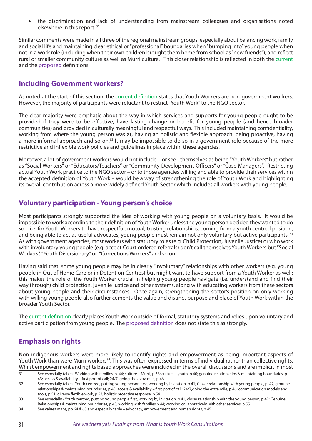the discrimination and lack of understanding from mainstream colleagues and organisations noted elsewhere in this report. <sup>31</sup>

Similar comments were made in all three of the regional mainstream groups, especially about balancing work, family and social life and maintaining clear ethical or "professional" boundaries when "bumping into" young people when not in a work role (including when their own children brought them home from school as "new friends"), and reflect rural or smaller community culture as well as Murri culture. This closer relationship is reflected in both the current and the proposed definitions.

### **Including Government workers?**

As noted at the start of this section, the current definition states that Youth Workers are non-government workers. However, the majority of participants were reluctant to restrict "Youth Work" to the NGO sector.

The clear majority were emphatic about the way in which services and supports for young people ought to be provided if they were to be effective, have lasting change or benefit for young people (and hence broader communities) and provided in culturally meaningful and respectful ways. This included maintaining confidentiality, working from where the young person was at, having an holistic and flexible approach, being proactive, having a more informal approach and so on.<sup>32</sup> It may be impossible to do so in a government role because of the more restrictive and inflexible work policies and guidelines in place within these agencies.

Moreover, a lot of government workers would not include – or see - themselves as being "Youth Workers" but rather as "Social Workers" or "Educators/Teachers" or "Community Development Officers" or "Case Managers". Restricting actual Youth Work practice to the NGO sector – or to those agencies willing and able to provide their services within the accepted definition of Youth Work – would be a way of strengthening the role of Youth Work and highlighting its overall contribution across a more widely defined Youth Sector which includes all workers with young people.

### **Voluntary participation - Young person's choice**

Most participants strongly supported the idea of working with young people on a voluntary basis. It would be impossible to work according to their definition of Youth Worker unless the young person decided they wanted to do so – i.e. for Youth Workers to have respectful, mutual, trusting relationships, coming from a youth centred position, and being able to act as useful advocates, young people must remain not only voluntary but active participants.<sup>33</sup> As with government agencies, most workers with statutory roles (e.g. Child Protection, Juvenile Justice) or who work with involuntary young people (e.g. accept Court ordered referrals) don't call themselves Youth Workers but "Social Workers", "Youth Diversionary" or "Corrections Workers" and so on.

Having said that, some young people may be in clearly "involuntary" relationships with other workers (e.g. young people in Out of Home Care or in Detention Centres) but might want to have support from a Youth Worker as well: this makes the role of the Youth Worker crucial in helping young people navigate (i.e. understand and find their way through) child protection, juvenile justice and other systems, along with educating workers from these sectors about young people and their circumstances. Once again, strengthening the sector's position on only working with willing young people also further cements the value and distinct purpose and place of Youth Work within the broader Youth Sector.

The current definition clearly places Youth Work outside of formal, statutory systems and relies upon voluntary and active participation from young people. The proposed definition does not state this as strongly.

### **Emphasis on rights**

Non indigenous workers were more likely to identify rights and empowerment as being important aspects of Youth Work than were Murri workers<sup>34</sup>. This was often expressed in terms of individual rather than collective rights. Whilst empowerment and rights based approaches were included in the overall discussions and are implicit in most

<sup>31</sup> See especially tables: Working with families, p 44; culture – Murri, p 38; culture – youth, p 40; genuine relationships & maintaining boundaries, p 43; access & availability – first port of call; 24/7, going the extra mile, p 46.

<sup>32</sup> See especially tables: Youth centred, putting young person first, working by invitation, p 41; Closer relationship with young people, p 42; genuine relationships & maintaining boundaries, p 43; access & availability – first port of call; 24/7,going the extra mile, p 46; communication models and tools, p 51; diverse flexible work, p 53; holistic proactive response, p 54

<sup>33</sup> See especially - Youth centred, putting young people first, working by invitation, p 41; closer relationship with the young person, p 42; Genuine

Relationships & maintaining boundaries, p 43; working with families p 44; working collaboratively with other services, p 55

<sup>34</sup> See values maps, pp 64 & 65 and especially table – advocacy, empowerment and human rights, p 45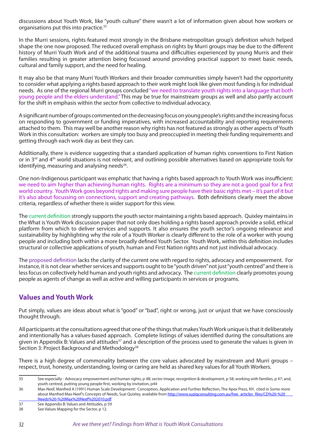discussions about Youth Work, like "youth culture" there wasn't a lot of information given about how workers or organisations put this into practice.35

In the Murri sessions, rights featured most strongly in the Brisbane metropolitan group's definition which helped shape the one now proposed. The reduced overall emphasis on rights by Murri groups may be due to the different history of Murri Youth Work and of the additional trauma and difficulties experienced by young Murris and their families resulting in greater attention being focussed around providing practical support to meet basic needs, cultural and family support, and the need for healing.

It may also be that many Murri Youth Workers and their broader communities simply haven't had the opportunity to consider what applying a rights based approach to their work might look like given most funding is for individual needs. As one of the regional Murri groups concluded "we need to translate youth rights into a language that both young people and the elders understand." This may be true for mainstream groups as well and also partly account for the shift in emphasis within the sector from collective to individual advocacy.

A significant number of groups commented on the decreasing focus on young people's rights and the increasing focus on responding to government or funding imperatives, with increased accountability and reporting requirements attached to them. This may well be another reason why rights has not featured as strongly as other aspects of Youth Work in this consultation: workers are simply too busy and preoccupied in meeting their funding requirements and getting through each work day as best they can.

Additionally, there is evidence suggesting that a standard application of human rights conventions to First Nation or in 3rd and 4th world situations is not relevant, and outlining possible alternatives based on appropriate tools for identifying, measuring and analysing needs<sup>36</sup>.

One non-Indigenous participant was emphatic that having a rights based approach to Youth Work was insufficient: we need to aim higher than achieving human rights. Rights are a minimum so they are not a good goal for a first world country. Youth Work goes beyond rights and making sure people have their basic rights met – it's part of it but it's also about focussing on connections, support and creating pathways. Both definitions clearly meet the above criteria, regardless of whether there is wider support for this view.

The current definition strongly supports the youth sector maintaining a rights based approach. Quixley maintains in the What is Youth Work discussion paper that not only does holding a rights based approach provide a solid, ethical platform from which to deliver services and supports. It also ensures the youth sector's ongoing relevance and sustainability by highlighting why the role of a Youth Worker is clearly different to the role of a worker with young people and including both within a more broadly defined Youth Sector. Youth Work, within this definition includes structural or collective applications of youth, human and First Nation rights and not just individual advocacy.

The proposed definition lacks the clarity of the current one with regard to rights, advocacy and empowerment. For instance, it is not clear whether services and supports ought to be "youth driven" not just "youth centred" and there is less focus on collectively held human and youth rights and advocacy. The current definition clearly promotes young people as agents of change as well as active and willing participants in services or programs.

### **Values and Youth Work**

Put simply, values are ideas about what is "good" or "bad", right or wrong, just or unjust that we have consciously thought through.

All participants at the consultations agreed that one of the things that makes Youth Work unique is that it deliberately and intentionally has a values-based approach. Complete listings of values identified during the consultations are given in Appendix B: Values and attitudes<sup>37</sup> and a description of the process used to generate the values is given in Section 3: Project Background and Methodology<sup>38</sup>

There is a high degree of commonality between the core values advocated by mainstream and Murri groups – respect, trust, honesty, understanding, loving or caring are held as shared key values for all Youth Workers.

<sup>35</sup> See especially - Advocacy empowerment and human rights, p 48; sector image, recognition & development, p 58; working with families, p 47; and, youth centred, putting young people first, working by invitation, p44

<sup>36</sup> Max-Neef, Manfred A (1991) Human Scale Development: Conception, Application and Further Reflection, The Apex Press, NY, cited in Some more about Manfred Max-Neef's Concepts of Needs, Suzi Quixley, available from http://www.suziqconsulting.com.au/free\_articles\_files/CD%20-%20 Needs%20-%20Max%20Neef%202010.pdf

<sup>37</sup> See Appendix B: Values and Attitudes, p 59

<sup>38</sup> See Values Mapping for the Sector, p 12.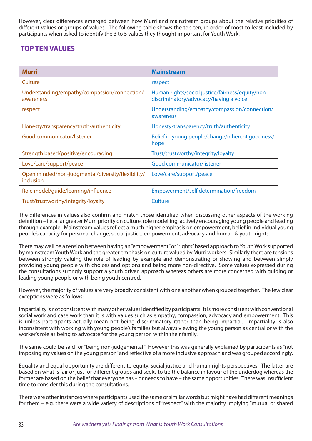However, clear differences emerged between how Murri and mainstream groups about the relative priorities of different values or groups of values. The following table shows the top ten, in order of most to least included by participants when asked to identify the 3 to 5 values they thought important for Youth Work.

### **TOP TEN VALUES**

| <b>Murri</b>                                                   | <b>Mainstream</b>                                                                          |
|----------------------------------------------------------------|--------------------------------------------------------------------------------------------|
| Culture                                                        | respect                                                                                    |
| Understanding/empathy/compassion/connection/<br>awareness      | Human rights/social justice/fairness/equity/non-<br>discriminatory/advocacy/having a voice |
| respect                                                        | Understanding/empathy/compassion/connection/<br>awareness                                  |
| Honesty/transparency/truth/authenticity                        | Honesty/transparency/truth/authenticity                                                    |
| Good communicator/listener                                     | Belief in young people/change/inherent goodness/<br>hope                                   |
| Strength based/positive/encouraging                            | Trust/trustworthy/integrity/loyalty                                                        |
| Love/care/support/peace                                        | Good communicator/listener                                                                 |
| Open minded/non-judgmental/diversity/flexibility/<br>inclusion | Love/care/support/peace                                                                    |
| Role model/guide/learning/influence                            | Empowerment/self determination/freedom                                                     |
| Trust/trustworthy/integrity/loyalty                            | Culture                                                                                    |

The differences in values also confirm and match those identified when discussing other aspects of the working definition – i.e. a far greater Murri priority on culture, role modelling, actively encouraging young people and leading through example. Mainstream values reflect a much higher emphasis on empowerment, belief in individual young people's capacity for personal change, social justice, empowerment, advocacy and human & youth rights.

There may well be a tension between having an "empowerment" or "rights" based approach to Youth Work supported by mainstream Youth Work and the greater emphasis on culture valued by Murri workers. Similarly there are tensions between strongly valuing the role of leading by example and demonstrating or showing and between simply providing young people with choices and options and being more non-directive. Some values expressed during the consultations strongly support a youth driven approach whereas others are more concerned with guiding or leading young people or with being youth centred.

However, the majority of values are very broadly consistent with one another when grouped together. The few clear exceptions were as follows:

Impartiality is not consistent with many other values identified by participants. It is more consistent with conventional social work and case work than it is with values such as empathy, compassion, advocacy and empowerment. This is unless participants actually mean not being discriminatory rather than being impartial. Impartiality is also inconsistent with working with young people's families but always viewing the young person as central or with the worker's role as being to advocate for the young person within their family.

The same could be said for "being non-judgemental." However this was generally explained by participants as "not imposing my values on the young person" and reflective of a more inclusive approach and was grouped accordingly.

Equality and equal opportunity are different to equity, social justice and human rights perspectives. The latter are based on what is fair or just for different groups and seeks to tip the balance in favour of the underdog whereas the former are based on the belief that everyone has – or needs to have – the same opportunities. There was insufficient time to consider this during the consultations.

There were other instances where participants used the same or similar words but might have had different meanings for them – e.g. there were a wide variety of descriptions of "respect" with the majority implying "mutual or shared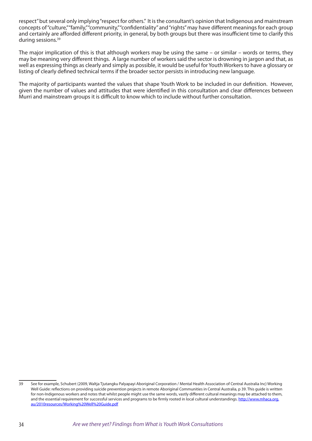respect" but several only implying "respect for others." It is the consultant's opinion that Indigenous and mainstream concepts of "culture," "family," "community," "confidentiality" and "rights" may have different meanings for each group and certainly are afforded different priority, in general, by both groups but there was insufficient time to clarify this during sessions.<sup>39</sup>

The major implication of this is that although workers may be using the same – or similar – words or terms, they may be meaning very different things. A large number of workers said the sector is drowning in jargon and that, as well as expressing things as clearly and simply as possible, it would be useful for Youth Workers to have a glossary or listing of clearly defined technical terms if the broader sector persists in introducing new language.

The majority of participants wanted the values that shape Youth Work to be included in our definition. However, given the number of values and attitudes that were identified in this consultation and clear differences between Murri and mainstream groups it is difficult to know which to include without further consultation.

<sup>39</sup> See for example, Schubert (2009, Waltja Tjutangku Palyapayi Aboriginal Corporation / Mental Health Association of Central Australia Inc) Working Well Guide: reflections on providing suicide prevention projects in remote Aboriginal Communities in Central Australia, p 39. This guide is written for non-Indigenous workers and notes that whilst people might use the same words, vastly different cultural meanings may be attached to them, and the essential requirement for successful services and programs to be firmly rooted in local cultural understandings. http://www.mhaca.org. au/2010resources/Working%20Well%20Guide.pdf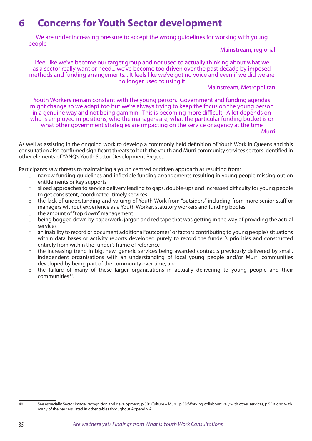# **6 Concerns for Youth Sector development**

We are under increasing pressure to accept the wrong guidelines for working with young people

Mainstream, regional

I feel like we've become our target group and not used to actually thinking about what we as a sector really want or need... we've become too driven over the past decade by imposed methods and funding arrangements... It feels like we've got no voice and even if we did we are no longer used to using it

#### Mainstream, Metropolitan

Youth Workers remain constant with the young person. Government and funding agendas might change so we adapt too but we're always trying to keep the focus on the young person in a genuine way and not being gammin. This is becoming more difficult. A lot depends on who is employed in positions, who the managers are, what the particular funding bucket is or what other government strategies are impacting on the service or agency at the time

**Murri** 

As well as assisting in the ongoing work to develop a commonly held definition of Youth Work in Queensland this consultation also confirmed significant threats to both the youth and Murri community services sectors identified in other elements of YANQ's Youth Sector Development Project.

Participants saw threats to maintaining a youth centred or driven approach as resulting from:

- o narrow funding guidelines and inflexible funding arrangements resulting in young people missing out on entitlements or key supports
- $\circ$  siloed approaches to service delivery leading to gaps, double-ups and increased difficulty for young people to get consistent, coordinated, timely services
- o the lack of understanding and valuing of Youth Work from "outsiders" including from more senior staff or managers without experience as a Youth Worker, statutory workers and funding bodies
- o the amount of "top down" management
- o being bogged down by paperwork, jargon and red tape that was getting in the way of providing the actual services
- o an inability to record or document additional "outcomes" or factors contributing to young people's situations within data bases or activity reports developed purely to record the funder's priorities and constructed entirely from within the funder's frame of reference
- o the increasing trend in big, new, generic services being awarded contracts previously delivered by small, independent organisations with an understanding of local young people and/or Murri communities developed by being part of the community over time, and
- the failure of many of these larger organisations in actually delivering to young people and their communities<sup>40</sup>.

<sup>40</sup> See especially Sector image, recognition and development, p 58; Culture – Murri, p 38; Working collaboratively with other services, p 55 along with many of the barriers listed in other tables throughout Appendix A.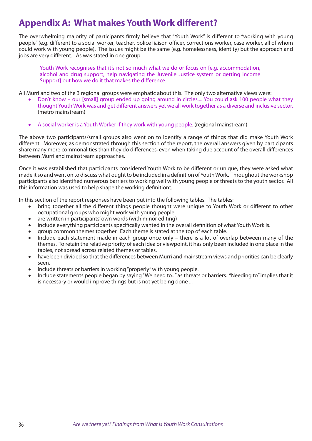## **Appendix A: What makes Youth Work different?**

The overwhelming majority of participants firmly believe that "Youth Work" is different to "working with young people" (e.g. different to a social worker, teacher, police liaison officer, corrections worker, case worker, all of whom could work with young people). The issues might be the same (e.g. homelessness, identity) but the approach and jobs are very different. As was stated in one group:

Youth Work recognises that it's not so much what we do or focus on [e.g. accommodation, alcohol and drug support, help navigating the Juvenile Justice system or getting Income Support] but how we do it that makes the difference.

All Murri and two of the 3 regional groups were emphatic about this. The only two alternative views were:

- Don't know our [small] group ended up going around in circles.... You could ask 100 people what they thought Youth Work was and get different answers yet we all work together as a diverse and inclusive sector. (metro mainstream)
- A social worker is a Youth Worker if they work with young people. (regional mainstream)

The above two participants/small groups also went on to identify a range of things that did make Youth Work different. Moreover, as demonstrated through this section of the report, the overall answers given by participants share many more commonalities than they do differences, even when taking due account of the overall differences between Murri and mainstream approaches.

Once it was established that participants considered Youth Work to be different or unique, they were asked what made it so and went on to discuss what ought to be included in a definition of Youth Work. Throughout the workshop participants also identified numerous barriers to working well with young people or threats to the youth sector. All this information was used to help shape the working definitiont.

In this section of the report responses have been put into the following tables. The tables:

- bring together all the different things people thought were unique to Youth Work or different to other occupational groups who might work with young people.
- are written in participants' own words (with minor editing)
- include everything participants specifically wanted in the overall definition of what Youth Work is.
- group common themes together. Each theme is stated at the top of each table.
- Include each statement made in each group once only there is a lot of overlap between many of the themes. To retain the relative priority of each idea or viewpoint, it has only been included in one place in the tables, not spread across related themes or tables.
- have been divided so that the differences between Murri and mainstream views and priorities can be clearly seen.
- include threats or barriers in working "properly" with young people.
- Include statements people began by saying "We need to..." as threats or barriers. "Needing to" implies that it is necessary or would improve things but is not yet being done ...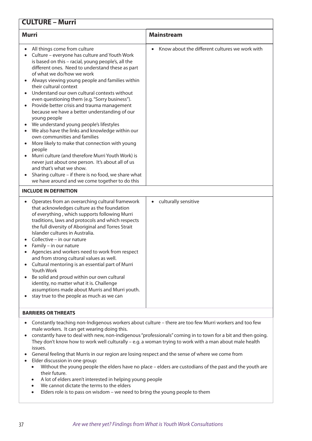## **CULTURE – Murri**

| <b>Murri</b>                                                                                                                                                                                                                                                                                                                                                                                                                                                                                                                                                                                                                                                                                                                                                                                                                                                                                                                                                                                         | <b>Mainstream</b>                              |
|------------------------------------------------------------------------------------------------------------------------------------------------------------------------------------------------------------------------------------------------------------------------------------------------------------------------------------------------------------------------------------------------------------------------------------------------------------------------------------------------------------------------------------------------------------------------------------------------------------------------------------------------------------------------------------------------------------------------------------------------------------------------------------------------------------------------------------------------------------------------------------------------------------------------------------------------------------------------------------------------------|------------------------------------------------|
| All things come from culture<br>Culture - everyone has culture and Youth Work<br>is based on this - racial, young people's, all the<br>different ones. Need to understand these as part<br>of what we do/how we work<br>Always viewing young people and families within<br>their cultural context<br>Understand our own cultural contexts without<br>even questioning them (e.g. "Sorry business").<br>Provide better crisis and trauma management<br>$\bullet$<br>because we have a better understanding of our<br>young people<br>We understand young people's lifestyles<br>We also have the links and knowledge within our<br>$\bullet$<br>own communities and families<br>More likely to make that connection with young<br>people<br>Murri culture (and therefore Murri Youth Work) is<br>never just about one person. It's about all of us<br>and that's what we show.<br>Sharing culture - if there is no food, we share what<br>$\bullet$<br>we have around and we come together to do this | Know about the different cultures we work with |
| <b>INCLUDE IN DEFINITION</b>                                                                                                                                                                                                                                                                                                                                                                                                                                                                                                                                                                                                                                                                                                                                                                                                                                                                                                                                                                         |                                                |
| Operates from an overarching cultural framework<br>$\bullet$<br>that acknowledges culture as the foundation<br>of everything, which supports following Murri<br>traditions, laws and protocols and which respects<br>the full diversity of Aboriginal and Torres Strait<br>Islander cultures in Australia.<br>Collective - in our nature<br>Family - in our nature<br>Agencies and workers need to work from respect<br>$\bullet$<br>and from strong cultural values as well.<br>Cultural mentoring is an essential part of Murri<br><b>Youth Work</b><br>Be solid and proud within our own cultural<br>$\bullet$<br>identity, no matter what it is. Challenge<br>assumptions made about Murris and Murri youth.<br>stay true to the people as much as we can                                                                                                                                                                                                                                        | culturally sensitive<br>$\bullet$              |

## **BARRIERS OR THREATS**

- • Constantly teaching non-Indigenous workers about culture there are too few Murri workers and too few male workers. It can get wearing doing this.
- constantly have to deal with new, non-indigenous "professionals" coming in to town for a bit and then going. They don't know how to work well culturally – e.g. a woman trying to work with a man about male health issues.
- General feeling that Murris in our region are losing respect and the sense of where we come from
- • Elder discussion in one group:
	- Without the young people the elders have no place elders are custodians of the past and the youth are their future.
	- • A lot of elders aren't interested in helping young people
	- • We cannot dictate the terms to the elders
	- Elders role is to pass on wisdom we need to bring the young people to them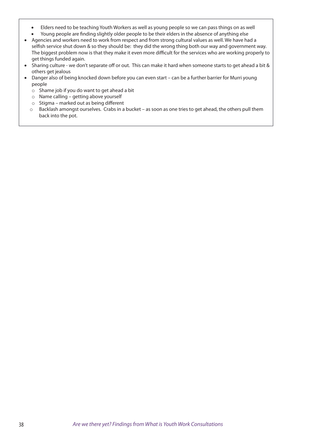- Elders need to be teaching Youth Workers as well as young people so we can pass things on as well
- Young people are finding slightly older people to be their elders in the absence of anything else
- • Agencies and workers need to work from respect and from strong cultural values as well. We have had a selfish service shut down & so they should be: they did the wrong thing both our way and government way. The biggest problem now is that they make it even more difficult for the services who are working properly to get things funded again.
- Sharing culture we don't separate off or out. This can make it hard when someone starts to get ahead a bit & others get jealous
- Danger also of being knocked down before you can even start can be a further barrier for Murri young people
	- $\circ$  Shame job if you do want to get ahead a bit
	- o Name calling getting above yourself
	- o Stigma marked out as being different
	- o Backlash amongst ourselves. Crabs in a bucket as soon as one tries to get ahead, the others pull them back into the pot.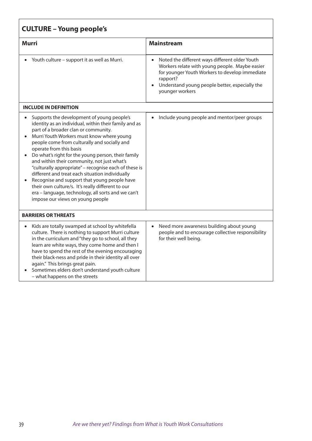| <b>CULTURE - Young people's</b>                                                                                                                                                                                                                                                                                                                                                                                                                                                                                                                                                                                                                                                                  |                                                                                                                                                                                                                                     |  |
|--------------------------------------------------------------------------------------------------------------------------------------------------------------------------------------------------------------------------------------------------------------------------------------------------------------------------------------------------------------------------------------------------------------------------------------------------------------------------------------------------------------------------------------------------------------------------------------------------------------------------------------------------------------------------------------------------|-------------------------------------------------------------------------------------------------------------------------------------------------------------------------------------------------------------------------------------|--|
| <b>Murri</b>                                                                                                                                                                                                                                                                                                                                                                                                                                                                                                                                                                                                                                                                                     | <b>Mainstream</b>                                                                                                                                                                                                                   |  |
| Youth culture - support it as well as Murri.                                                                                                                                                                                                                                                                                                                                                                                                                                                                                                                                                                                                                                                     | Noted the different ways different older Youth<br>Workers relate with young people. Maybe easier<br>for younger Youth Workers to develop immediate<br>rapport?<br>Understand young people better, especially the<br>younger workers |  |
| <b>INCLUDE IN DEFINITION</b>                                                                                                                                                                                                                                                                                                                                                                                                                                                                                                                                                                                                                                                                     |                                                                                                                                                                                                                                     |  |
| Supports the development of young people's<br>$\bullet$<br>identity as an individual, within their family and as<br>part of a broader clan or community.<br>Murri Youth Workers must know where young<br>people come from culturally and socially and<br>operate from this basis<br>Do what's right for the young person, their family<br>and within their community, not just what's<br>"culturally appropriate" - recognise each of these is<br>different and treat each situation individually<br>Recognise and support that young people have<br>their own culture/s. It's really different to our<br>era - language, technology, all sorts and we can't<br>impose our views on young people | Include young people and mentor/peer groups                                                                                                                                                                                         |  |
| <b>BARRIERS OR THREATS</b>                                                                                                                                                                                                                                                                                                                                                                                                                                                                                                                                                                                                                                                                       |                                                                                                                                                                                                                                     |  |
| Kids are totally swamped at school by whitefella<br>$\bullet$<br>culture. There is nothing to support Murri culture<br>in the curriculum and "they go to school, all they<br>learn are white ways, they come home and then I<br>have to spend the rest of the evening encouraging<br>their black-ness and pride in their identity all over<br>again." This brings great pain.<br>Sometimes elders don't understand youth culture<br>- what happens on the streets                                                                                                                                                                                                                                | Need more awareness building about young<br>people and to encourage collective responsibility<br>for their well being.                                                                                                              |  |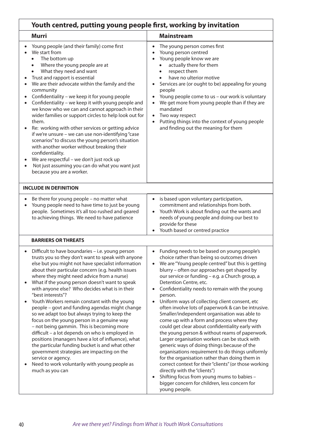| Youth centred, putting young people first, working by invitation                                                                                                                                                                                                                                                                                                                                                                                                                                                                                                                                                                                                                                                                                                                                                                                                                                                                                                                                                                                                 |  |  |
|------------------------------------------------------------------------------------------------------------------------------------------------------------------------------------------------------------------------------------------------------------------------------------------------------------------------------------------------------------------------------------------------------------------------------------------------------------------------------------------------------------------------------------------------------------------------------------------------------------------------------------------------------------------------------------------------------------------------------------------------------------------------------------------------------------------------------------------------------------------------------------------------------------------------------------------------------------------------------------------------------------------------------------------------------------------|--|--|
| <b>Mainstream</b>                                                                                                                                                                                                                                                                                                                                                                                                                                                                                                                                                                                                                                                                                                                                                                                                                                                                                                                                                                                                                                                |  |  |
| The young person comes first<br>$\bullet$<br>Young person centred<br>Young people know we are<br>actually there for them<br>respect them<br>$\bullet$<br>have no ulterior motive<br>Services are (or ought to be) appealing for young<br>people<br>Young people come to us - our work is voluntary<br>We get more from young people than if they are<br>$\bullet$<br>mandated<br>Two way respect<br>Putting things into the context of young people<br>and finding out the meaning for them                                                                                                                                                                                                                                                                                                                                                                                                                                                                                                                                                                      |  |  |
|                                                                                                                                                                                                                                                                                                                                                                                                                                                                                                                                                                                                                                                                                                                                                                                                                                                                                                                                                                                                                                                                  |  |  |
| is based upon voluntary participation,<br>$\bullet$<br>Young people need to have time to just be young<br>commitment and relationships from both.<br>people. Sometimes it's all too rushed and geared<br>Youth Work is about finding out the wants and<br>$\bullet$<br>to achieving things. We need to have patience<br>needs of young people and doing our best to<br>provide for these<br>Youth based or centred practice                                                                                                                                                                                                                                                                                                                                                                                                                                                                                                                                                                                                                                      |  |  |
|                                                                                                                                                                                                                                                                                                                                                                                                                                                                                                                                                                                                                                                                                                                                                                                                                                                                                                                                                                                                                                                                  |  |  |
| Funding needs to be based on young people's<br>$\bullet$<br>choice rather than being so outcomes driven<br>We are "Young people centred" but this is getting<br>blurry - often our approaches get shaped by<br>our service or funding - e.g. a Church group, a<br>Detention Centre, etc.<br>Confidentiality needs to remain with the young<br>person.<br>Uniform ways of collecting client consent, etc<br>often involve lots of paperwork & can be intrusive.<br>Smaller/independent organisation was able to<br>come up with a form and process where they<br>could get clear about confidentiality early with<br>the young person & without reams of paperwork.<br>Larger organisation workers can be stuck with<br>generic ways of doing things because of the<br>organisations requirement to do things uniformly<br>for the organisation rather than doing them in<br>correct context for their "clients" (or those working<br>directly with the "clients")<br>Shifting focus from young mums to babies -<br>bigger concern for children, less concern for |  |  |
|                                                                                                                                                                                                                                                                                                                                                                                                                                                                                                                                                                                                                                                                                                                                                                                                                                                                                                                                                                                                                                                                  |  |  |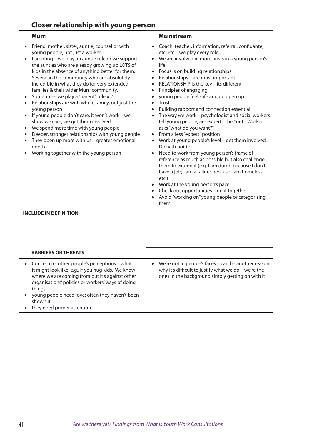| <b>Closer relationship with young person</b>                                                                                                                                                                                                                                                                                                                                                                                                                                                                                                                                                                                                                                                                                                                                                 |                                                                                                                                                                                                                                                                                                                                                                                                                                                                                                                                                                                                                                                                                                                                                                                                                                                                                                                                                                                                                                             |  |
|----------------------------------------------------------------------------------------------------------------------------------------------------------------------------------------------------------------------------------------------------------------------------------------------------------------------------------------------------------------------------------------------------------------------------------------------------------------------------------------------------------------------------------------------------------------------------------------------------------------------------------------------------------------------------------------------------------------------------------------------------------------------------------------------|---------------------------------------------------------------------------------------------------------------------------------------------------------------------------------------------------------------------------------------------------------------------------------------------------------------------------------------------------------------------------------------------------------------------------------------------------------------------------------------------------------------------------------------------------------------------------------------------------------------------------------------------------------------------------------------------------------------------------------------------------------------------------------------------------------------------------------------------------------------------------------------------------------------------------------------------------------------------------------------------------------------------------------------------|--|
| <b>Murri</b>                                                                                                                                                                                                                                                                                                                                                                                                                                                                                                                                                                                                                                                                                                                                                                                 | <b>Mainstream</b>                                                                                                                                                                                                                                                                                                                                                                                                                                                                                                                                                                                                                                                                                                                                                                                                                                                                                                                                                                                                                           |  |
| Friend, mother, sister, auntie, counsellor with<br>young people, not just a worker<br>Parenting - we play an auntie role or we support<br>the aunties who are already growing up LOTS of<br>kids in the absence of anything better for them.<br>Several in the community who are absolutely<br>incredible in what they do for very extended<br>families & their wider Murri community.<br>Sometimes we play a "parent" role x 2<br>Relationships are with whole family, not just the<br>young person<br>If young people don't care, it won't work - we<br>show we care, we get them involved<br>We spend more time with young people<br>Deeper, stronger relationships with young people<br>They open up more with us - greater emotional<br>depth<br>Working together with the young person | Coach, teacher, information, referral, confidante,<br>$\bullet$<br>etc. Etc - we play every role<br>We are involved in more areas in a young person's<br>life<br>Focus is on building relationships<br>Relationships - are most important<br>RELATIONSHIP is the key - its different<br>$\bullet$<br>Principles of engaging<br>young people feel safe and do open up<br><b>Trust</b><br>Building rapport and connection essential<br>The way we work - psychologist and social workers<br>tell young people, are expert. The Youth Worker<br>asks "what do you want?"<br>From a less "expert" position<br>Work at young people's level - get them involved.<br>Do with not to<br>Need to work from young person's frame of<br>reference as much as possible but also challenge<br>them to extend it (e.g. I am dumb because I don't<br>have a job; I am a failure because I am homeless,<br>etc.)<br>Work at the young person's pace<br>Check out opportunities - do it together<br>Avoid "working on" young people or categorising<br>them |  |
| <b>INCLUDE IN DEFINITION</b>                                                                                                                                                                                                                                                                                                                                                                                                                                                                                                                                                                                                                                                                                                                                                                 |                                                                                                                                                                                                                                                                                                                                                                                                                                                                                                                                                                                                                                                                                                                                                                                                                                                                                                                                                                                                                                             |  |
|                                                                                                                                                                                                                                                                                                                                                                                                                                                                                                                                                                                                                                                                                                                                                                                              |                                                                                                                                                                                                                                                                                                                                                                                                                                                                                                                                                                                                                                                                                                                                                                                                                                                                                                                                                                                                                                             |  |
| <b>BARRIERS OR THREATS</b>                                                                                                                                                                                                                                                                                                                                                                                                                                                                                                                                                                                                                                                                                                                                                                   |                                                                                                                                                                                                                                                                                                                                                                                                                                                                                                                                                                                                                                                                                                                                                                                                                                                                                                                                                                                                                                             |  |
| Concern re: other people's perceptions - what<br>$\bullet$<br>it might look like, e.g., if you hug kids. We know<br>where we are coming from but it's against other<br>organisations' policies or workers' ways of doing<br>things.<br>young people need love: often they haven't been<br>shown it<br>they need proper attention                                                                                                                                                                                                                                                                                                                                                                                                                                                             | We're not in people's faces - can be another reason<br>why it's difficult to justify what we do - we're the<br>ones in the background simply getting on with it                                                                                                                                                                                                                                                                                                                                                                                                                                                                                                                                                                                                                                                                                                                                                                                                                                                                             |  |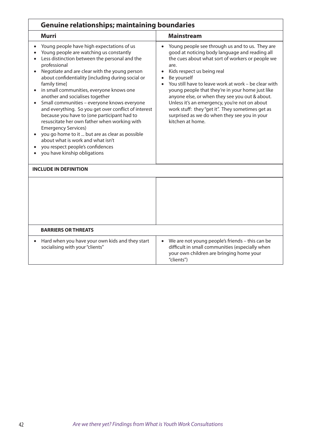| <b>Genuine relationships; maintaining boundaries</b>                                                                                                                                                                                                                                                                                                                                                                                                                                                                                                                                                                                                                                                                                                                                                           |                                                                                                                                                                                                                                                                                                                                                                                                                                                                                                                                                                                                       |  |
|----------------------------------------------------------------------------------------------------------------------------------------------------------------------------------------------------------------------------------------------------------------------------------------------------------------------------------------------------------------------------------------------------------------------------------------------------------------------------------------------------------------------------------------------------------------------------------------------------------------------------------------------------------------------------------------------------------------------------------------------------------------------------------------------------------------|-------------------------------------------------------------------------------------------------------------------------------------------------------------------------------------------------------------------------------------------------------------------------------------------------------------------------------------------------------------------------------------------------------------------------------------------------------------------------------------------------------------------------------------------------------------------------------------------------------|--|
| <b>Murri</b>                                                                                                                                                                                                                                                                                                                                                                                                                                                                                                                                                                                                                                                                                                                                                                                                   | <b>Mainstream</b>                                                                                                                                                                                                                                                                                                                                                                                                                                                                                                                                                                                     |  |
| Young people have high expectations of us<br>Young people are watching us constantly<br>Less distinction between the personal and the<br>$\bullet$<br>professional<br>Negotiate and are clear with the young person<br>$\bullet$<br>about confidentiality [including during social or<br>family time]<br>in small communities, everyone knows one<br>$\bullet$<br>another and socialises together<br>Small communities - everyone knows everyone<br>$\bullet$<br>and everything. So you get over conflict of interest<br>because you have to (one participant had to<br>resuscitate her own father when working with<br><b>Emergency Services)</b><br>you go home to it  but are as clear as possible<br>about what is work and what isn't<br>you respect people's confidences<br>you have kinship obligations | Young people see through us and to us. They are<br>$\bullet$<br>good at noticing body language and reading all<br>the cues about what sort of workers or people we<br>are.<br>Kids respect us being real<br>$\bullet$<br>Be yourself<br>$\bullet$<br>You still have to leave work at work - be clear with<br>$\bullet$<br>young people that they're in your home just like<br>anyone else, or when they see you out & about.<br>Unless it's an emergency, you're not on about<br>work stuff: they "get it". They sometimes get as<br>surprised as we do when they see you in your<br>kitchen at home. |  |
| <b>INCLUDE IN DEFINITION</b>                                                                                                                                                                                                                                                                                                                                                                                                                                                                                                                                                                                                                                                                                                                                                                                   |                                                                                                                                                                                                                                                                                                                                                                                                                                                                                                                                                                                                       |  |
|                                                                                                                                                                                                                                                                                                                                                                                                                                                                                                                                                                                                                                                                                                                                                                                                                |                                                                                                                                                                                                                                                                                                                                                                                                                                                                                                                                                                                                       |  |
| <b>BARRIERS OR THREATS</b>                                                                                                                                                                                                                                                                                                                                                                                                                                                                                                                                                                                                                                                                                                                                                                                     |                                                                                                                                                                                                                                                                                                                                                                                                                                                                                                                                                                                                       |  |
| Hard when you have your own kids and they start<br>$\bullet$<br>socialising with your "clients"                                                                                                                                                                                                                                                                                                                                                                                                                                                                                                                                                                                                                                                                                                                | We are not young people's friends - this can be<br>$\bullet$<br>difficult in small communities (especially when<br>your own children are bringing home your<br>"clients")                                                                                                                                                                                                                                                                                                                                                                                                                             |  |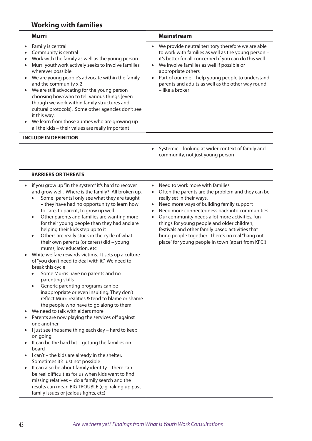| <b>Working with families</b>                                                                                                                                                                                                                                                                                                                                                                                                                                                                                                                                                                                                                                                                                                                                                                                                                                                                                                                                                                                                                                                                                                                                                                                                                                                                                                                                                                                                                                                                                                                                |                                                                                                                                                                                                                                                                                                                                                                                                                                                                                                                      |  |
|-------------------------------------------------------------------------------------------------------------------------------------------------------------------------------------------------------------------------------------------------------------------------------------------------------------------------------------------------------------------------------------------------------------------------------------------------------------------------------------------------------------------------------------------------------------------------------------------------------------------------------------------------------------------------------------------------------------------------------------------------------------------------------------------------------------------------------------------------------------------------------------------------------------------------------------------------------------------------------------------------------------------------------------------------------------------------------------------------------------------------------------------------------------------------------------------------------------------------------------------------------------------------------------------------------------------------------------------------------------------------------------------------------------------------------------------------------------------------------------------------------------------------------------------------------------|----------------------------------------------------------------------------------------------------------------------------------------------------------------------------------------------------------------------------------------------------------------------------------------------------------------------------------------------------------------------------------------------------------------------------------------------------------------------------------------------------------------------|--|
| <b>Murri</b>                                                                                                                                                                                                                                                                                                                                                                                                                                                                                                                                                                                                                                                                                                                                                                                                                                                                                                                                                                                                                                                                                                                                                                                                                                                                                                                                                                                                                                                                                                                                                | <b>Mainstream</b>                                                                                                                                                                                                                                                                                                                                                                                                                                                                                                    |  |
| Family is central<br>Community is central<br>Work with the family as well as the young person.<br>Murri youthwork actively seeks to involve families<br>wherever possible<br>We are young people's advocate within the family<br>and the community x 2<br>We are still advocating for the young person<br>choosing how/who to tell various things [even<br>though we work within family structures and<br>cultural protocols]. Some other agencies don't see<br>it this way.<br>We learn from those aunties who are growing up<br>all the kids - their values are really important                                                                                                                                                                                                                                                                                                                                                                                                                                                                                                                                                                                                                                                                                                                                                                                                                                                                                                                                                                          | We provide neutral territory therefore we are able<br>to work with families as well as the young person -<br>it's better for all concerned if you can do this well<br>We involve families as well if possible or<br>appropriate others<br>Part of our role - help young people to understand<br>parents and adults as well as the other way round<br>– like a broker                                                                                                                                                 |  |
| <b>INCLUDE IN DEFINITION</b>                                                                                                                                                                                                                                                                                                                                                                                                                                                                                                                                                                                                                                                                                                                                                                                                                                                                                                                                                                                                                                                                                                                                                                                                                                                                                                                                                                                                                                                                                                                                |                                                                                                                                                                                                                                                                                                                                                                                                                                                                                                                      |  |
|                                                                                                                                                                                                                                                                                                                                                                                                                                                                                                                                                                                                                                                                                                                                                                                                                                                                                                                                                                                                                                                                                                                                                                                                                                                                                                                                                                                                                                                                                                                                                             | Systemic - looking at wider context of family and<br>$\bullet$<br>community, not just young person                                                                                                                                                                                                                                                                                                                                                                                                                   |  |
|                                                                                                                                                                                                                                                                                                                                                                                                                                                                                                                                                                                                                                                                                                                                                                                                                                                                                                                                                                                                                                                                                                                                                                                                                                                                                                                                                                                                                                                                                                                                                             |                                                                                                                                                                                                                                                                                                                                                                                                                                                                                                                      |  |
| <b>BARRIERS OR THREATS</b>                                                                                                                                                                                                                                                                                                                                                                                                                                                                                                                                                                                                                                                                                                                                                                                                                                                                                                                                                                                                                                                                                                                                                                                                                                                                                                                                                                                                                                                                                                                                  |                                                                                                                                                                                                                                                                                                                                                                                                                                                                                                                      |  |
| if you grow up "in the system" it's hard to recover<br>and grow well. Where is the family? All broken up.<br>Some [parents] only see what they are taught<br>- they have had no opportunity to learn how<br>to care, to parent, to grow up well.<br>Other parents and families are wanting more<br>$\bullet$<br>for their young people than they had and are<br>helping their kids step up to it<br>Others are really stuck in the cycle of what<br>$\bullet$<br>their own parents (or carers) did - young<br>mums, low education, etc<br>White welfare rewards victims. It sets up a culture<br>of "you don't need to deal with it." We need to<br>break this cycle<br>Some Murris have no parents and no<br>parenting skills<br>Generic parenting programs can be<br>$\bullet$<br>inappropriate or even insulting. They don't<br>reflect Murri realities & tend to blame or shame<br>the people who have to go along to them.<br>We need to talk with elders more<br>Parents are now playing the services off against<br>one another<br>I just see the same thing each day - hard to keep<br>on going<br>It can be the hard bit - getting the families on<br>$\bullet$<br>board<br>I can't - the kids are already in the shelter.<br>$\bullet$<br>Sometimes it's just not possible<br>It can also be about family identity - there can<br>$\bullet$<br>be real difficulties for us when kids want to find<br>missing relatives - do a family search and the<br>results can mean BIG TROUBLE (e.g. raking up past<br>family issues or jealous fights, etc) | Need to work more with families<br>$\bullet$<br>Often the parents are the problem and they can be<br>$\bullet$<br>really set in their ways.<br>Need more ways of building family support<br>Need more connectedness back into communities<br>Our community needs a lot more activities, fun<br>$\bullet$<br>things for young people and older children,<br>festivals and other family based activities that<br>bring people together. There's no real "hang out<br>place" for young people in town (apart from KFC!) |  |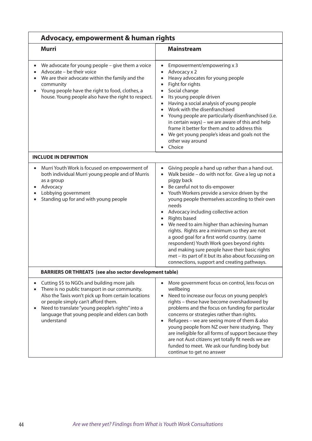| <b>Advocacy, empowerment &amp; human rights</b>                                                                                                                                                                                                                                                                  |                                                                                                                                                                                                                                                                                                                                                                                                                                                                                                                                                                                                                                                                                                                                                                                |  |
|------------------------------------------------------------------------------------------------------------------------------------------------------------------------------------------------------------------------------------------------------------------------------------------------------------------|--------------------------------------------------------------------------------------------------------------------------------------------------------------------------------------------------------------------------------------------------------------------------------------------------------------------------------------------------------------------------------------------------------------------------------------------------------------------------------------------------------------------------------------------------------------------------------------------------------------------------------------------------------------------------------------------------------------------------------------------------------------------------------|--|
| <b>Murri</b>                                                                                                                                                                                                                                                                                                     | <b>Mainstream</b>                                                                                                                                                                                                                                                                                                                                                                                                                                                                                                                                                                                                                                                                                                                                                              |  |
| We advocate for young people - give them a voice<br>Advocate - be their voice<br>We are their advocate within the family and the<br>community<br>Young people have the right to food, clothes, a<br>$\bullet$<br>house. Young people also have the right to respect.                                             | Empowerment/empowering x 3<br>$\bullet$<br>Advocacy x 2<br>$\bullet$<br>Heavy advocates for young people<br>$\bullet$<br>Fight for rights<br>$\bullet$<br>Social change<br>$\bullet$<br>Its young people driven<br>$\bullet$<br>Having a social analysis of young people<br>$\bullet$<br>Work with the disenfranchised<br>$\bullet$<br>Young people are particularly disenfranchised (i.e.<br>$\bullet$<br>in certain ways) - we are aware of this and help<br>frame it better for them and to address this<br>We get young people's ideas and goals not the<br>$\bullet$<br>other way around<br>Choice                                                                                                                                                                        |  |
| <b>INCLUDE IN DEFINITION</b>                                                                                                                                                                                                                                                                                     |                                                                                                                                                                                                                                                                                                                                                                                                                                                                                                                                                                                                                                                                                                                                                                                |  |
| Murri Youth Work is focused on empowerment of<br>both individual Murri young people and of Murris<br>as a group<br>Advocacy<br>Lobbying government<br>Standing up for and with young people                                                                                                                      | Giving people a hand up rather than a hand out.<br>$\bullet$<br>Walk beside - do with not for. Give a leg up not a<br>$\bullet$<br>piggy back<br>Be careful not to dis-empower<br>$\bullet$<br>Youth Workers provide a service driven by the<br>$\bullet$<br>young people themselves according to their own<br>needs<br>Advocacy including collective action<br>$\bullet$<br><b>Rights based</b><br>$\bullet$<br>We need to aim higher than achieving human<br>$\bullet$<br>rights. Rights are a minimum so they are not<br>a good goal for a first world country. (same<br>respondent) Youth Work goes beyond rights<br>and making sure people have their basic rights<br>met - its part of it but its also about focussing on<br>connections, support and creating pathways. |  |
| <b>BARRIERS OR THREATS (see also sector development table)</b>                                                                                                                                                                                                                                                   |                                                                                                                                                                                                                                                                                                                                                                                                                                                                                                                                                                                                                                                                                                                                                                                |  |
| Cutting \$\$ to NGOs and building more jails<br>There is no public transport in our community.<br>Also the Taxis won't pick up from certain locations<br>or people simply can't afford them.<br>Need to translate "young people's rights" into a<br>language that young people and elders can both<br>understand | More government focus on control, less focus on<br>wellbeing<br>Need to increase our focus on young people's<br>rights - these have become overshadowed by<br>problems and the focus on funding for particular<br>concerns or strategies rather than rights.<br>Refugees - we are seeing more of them & also<br>young people from NZ over here studying. They<br>are ineligible for all forms of support because they<br>are not Aust citizens yet totally fit needs we are<br>funded to meet. We ask our funding body but<br>continue to get no answer                                                                                                                                                                                                                        |  |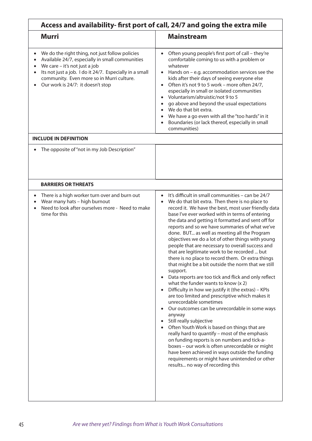| Access and availability- first port of call, 24/7 and going the extra mile                                                                                                                                                                                                       |                                                                                                                                                                                                                                                                                                                                                                                                                                                                                                                                                                                                                                                                                                                                                                                                                                                                                                                                                                                                                                                                                                                                                                                                                                                                                                                                                           |  |
|----------------------------------------------------------------------------------------------------------------------------------------------------------------------------------------------------------------------------------------------------------------------------------|-----------------------------------------------------------------------------------------------------------------------------------------------------------------------------------------------------------------------------------------------------------------------------------------------------------------------------------------------------------------------------------------------------------------------------------------------------------------------------------------------------------------------------------------------------------------------------------------------------------------------------------------------------------------------------------------------------------------------------------------------------------------------------------------------------------------------------------------------------------------------------------------------------------------------------------------------------------------------------------------------------------------------------------------------------------------------------------------------------------------------------------------------------------------------------------------------------------------------------------------------------------------------------------------------------------------------------------------------------------|--|
| Murri                                                                                                                                                                                                                                                                            | <b>Mainstream</b>                                                                                                                                                                                                                                                                                                                                                                                                                                                                                                                                                                                                                                                                                                                                                                                                                                                                                                                                                                                                                                                                                                                                                                                                                                                                                                                                         |  |
| We do the right thing, not just follow policies<br>Available 24/7, especially in small communities<br>We care - it's not just a job<br>Its not just a job. I do it 24/7. Especially in a small<br>community. Even more so in Murri culture.<br>Our work is 24/7: it doesn't stop | Often young people's first port of call - they're<br>comfortable coming to us with a problem or<br>whatever<br>Hands on $-$ e.g. accommodation services see the<br>kids after their days of seeing everyone else<br>Often it's not 9 to 5 work - more often 24/7,<br>$\bullet$<br>especially in small or isolated communities<br>Voluntarism/altruistic/not 9 to 5<br>go above and beyond the usual expectations<br>We do that bit extra.<br>We have a go even with all the "too hards" in it<br>Boundaries (or lack thereof, especially in small<br>communities)                                                                                                                                                                                                                                                                                                                                                                                                                                                                                                                                                                                                                                                                                                                                                                                         |  |
| <b>INCLUDE IN DEFINITION</b>                                                                                                                                                                                                                                                     |                                                                                                                                                                                                                                                                                                                                                                                                                                                                                                                                                                                                                                                                                                                                                                                                                                                                                                                                                                                                                                                                                                                                                                                                                                                                                                                                                           |  |
| The opposite of "not in my Job Description"                                                                                                                                                                                                                                      |                                                                                                                                                                                                                                                                                                                                                                                                                                                                                                                                                                                                                                                                                                                                                                                                                                                                                                                                                                                                                                                                                                                                                                                                                                                                                                                                                           |  |
| <b>BARRIERS OR THREATS</b>                                                                                                                                                                                                                                                       |                                                                                                                                                                                                                                                                                                                                                                                                                                                                                                                                                                                                                                                                                                                                                                                                                                                                                                                                                                                                                                                                                                                                                                                                                                                                                                                                                           |  |
| There is a high worker turn over and burn out<br>$\bullet$<br>Wear many hats - high burnout<br>Need to look after ourselves more - Need to make<br>$\bullet$<br>time for this                                                                                                    | It's difficult in small communities - can be 24/7<br>$\bullet$<br>We do that bit extra. Then there is no place to<br>record it. We have the best, most user friendly data<br>base I've ever worked with in terms of entering<br>the data and getting it formatted and sent off for<br>reports and so we have summaries of what we've<br>done. BUT as well as meeting all the Program<br>objectives we do a lot of other things with young<br>people that are necessary to overall success and<br>that are legitimate work to be recorded  but<br>there is no place to record them. Or extra things<br>that might be a bit outside the norm that we still<br>support.<br>Data reports are too tick and flick and only reflect<br>what the funder wants to know $(x 2)$<br>Difficulty in how we justify it (the extras) - KPIs<br>$\bullet$<br>are too limited and prescriptive which makes it<br>unrecordable sometimes<br>Our outcomes can be unrecordable in some ways<br>anyway<br>Still really subjective<br>Often Youth Work is based on things that are<br>really hard to quantify - most of the emphasis<br>on funding reports is on numbers and tick-a-<br>boxes - our work is often unrecordable or might<br>have been achieved in ways outside the funding<br>requirements or might have unintended or other<br>results no way of recording this |  |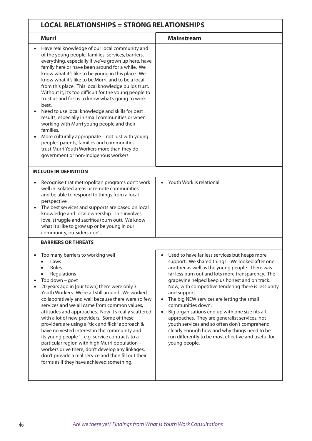| <b>LOCAL RELATIONSHIPS = STRONG RELATIONSHIPS</b>                                                                                                                                                                                                                                                                                                                                                                                                                                                                                                                                                                                                                                                                                                                                                                                                                 |                                                                                                                                                                                                                                                                                                                                                                                                                                                                                                                                                                                                                                                                               |  |
|-------------------------------------------------------------------------------------------------------------------------------------------------------------------------------------------------------------------------------------------------------------------------------------------------------------------------------------------------------------------------------------------------------------------------------------------------------------------------------------------------------------------------------------------------------------------------------------------------------------------------------------------------------------------------------------------------------------------------------------------------------------------------------------------------------------------------------------------------------------------|-------------------------------------------------------------------------------------------------------------------------------------------------------------------------------------------------------------------------------------------------------------------------------------------------------------------------------------------------------------------------------------------------------------------------------------------------------------------------------------------------------------------------------------------------------------------------------------------------------------------------------------------------------------------------------|--|
| <b>Murri</b>                                                                                                                                                                                                                                                                                                                                                                                                                                                                                                                                                                                                                                                                                                                                                                                                                                                      | <b>Mainstream</b>                                                                                                                                                                                                                                                                                                                                                                                                                                                                                                                                                                                                                                                             |  |
| Have real knowledge of our local community and<br>of the young people, families, services, barriers,<br>everything, especially if we've grown up here, have<br>family here or have been around for a while. We<br>know what it's like to be young in this place. We<br>know what it's like to be Murri, and to be a local<br>from this place. This local knowledge builds trust.<br>Without it, it's too difficult for the young people to<br>trust us and for us to know what's going to work<br>best.<br>Need to use local knowledge and skills for best<br>results, especially in small communities or when<br>working with Murri young people and their<br>families.<br>More culturally appropriate - not just with young<br>people: parents, families and communities<br>trust Murri Youth Workers more than they do<br>government or non-indigenous workers |                                                                                                                                                                                                                                                                                                                                                                                                                                                                                                                                                                                                                                                                               |  |
| <b>INCLUDE IN DEFINITION</b>                                                                                                                                                                                                                                                                                                                                                                                                                                                                                                                                                                                                                                                                                                                                                                                                                                      |                                                                                                                                                                                                                                                                                                                                                                                                                                                                                                                                                                                                                                                                               |  |
| Recognise that metropolitan programs don't work<br>well in isolated areas or remote communities<br>and be able to respond to things from a local<br>perspective<br>The best services and supports are based on local<br>knowledge and local ownership. This involves<br>love, struggle and sacrifice (burn out). We know<br>what it's like to grow up or be young in our<br>community, outsiders don't.                                                                                                                                                                                                                                                                                                                                                                                                                                                           | Youth Work is relational                                                                                                                                                                                                                                                                                                                                                                                                                                                                                                                                                                                                                                                      |  |
| <b>BARRIERS OR THREATS</b>                                                                                                                                                                                                                                                                                                                                                                                                                                                                                                                                                                                                                                                                                                                                                                                                                                        |                                                                                                                                                                                                                                                                                                                                                                                                                                                                                                                                                                                                                                                                               |  |
| Too many barriers to working well<br>Laws<br>Rules<br>Regulations<br>Top down - govt<br>20 years ago in [our town] there were only 3<br>Youth Workers. We're all still around. We worked<br>collaboratively and well because there were so few<br>services and we all came from common values,<br>attitudes and approaches. Now it's really scattered<br>with a lot of new providers. Some of these<br>providers are using a "tick and flick" approach &<br>have no vested interest in the community and<br>its young people "- e.g. service contracts to a<br>particular region with high Murri population -<br>workers drive there, don't develop any linkages,<br>don't provide a real service and then fill out their<br>forms as if they have achieved something.                                                                                            | Used to have far less services but heaps more<br>support. We shared things. We looked after one<br>another as well as the young people. There was<br>far less burn out and lots more transparency. The<br>grapevine helped keep us honest and on track.<br>Now, with competitive tendering there is less unity<br>and support.<br>The big NEW services are letting the small<br>communities down.<br>Big organisations end up with one size fits all<br>approaches. They are generalist services, not<br>youth services and so often don't comprehend<br>clearly enough how and why things need to be<br>run differently to be most effective and useful for<br>young people. |  |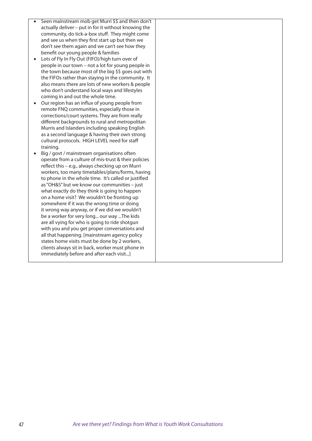- Seen mainstream mob get Murri \$\$ and then don't actually deliver – put in for it without knowing the community, do tick-a-box stuff. They might come and see us when they first start up but then we don't see them again and we can't see how they benefit our young people & families
- • Lots of Fly In Fly Out (FIFO)/high turn over of people in our town – not a lot for young people in the town because most of the big \$\$ goes out with the FIFOs rather than staying in the community. It also means there are lots of new workers & people who don't understand local ways and lifestyles coming in and out the whole time.
- • Our region has an influx of young people from remote FNQ communities, especially those in corrections/court systems. They are from really different backgrounds to rural and metropolitan Murris and Islanders including speaking English as a second language & having their own strong cultural protocols. HIGH LEVEL need for staff training.
- Big / govt / mainstream organisations often operate from a culture of mis-trust & their policies reflect this – e.g., always checking up on Murri workers, too many timetables/plans/forms, having to phone in the whole time. It's called or justified as "OH&S" but we know our communities – just what exactly do they think is going to happen on a home visit? We wouldn't be fronting up somewhere if it was the wrong time or doing it wrong way anyway, or if we did we wouldn't be a worker for very long... our way ...The kids are all vying for who is going to ride shotgun with you and you get proper conversations and all that happening. [mainstream agency policy states home visits must be done by 2 workers, clients always sit in back, worker must phone in immediately before and after each visit...]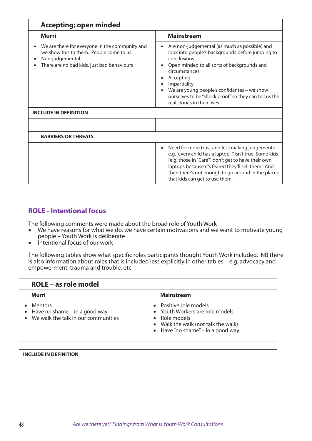| <b>Accepting; open minded</b>                                                                                                                               |                                                                                                                                                                                                                                                                                                                                                           |  |
|-------------------------------------------------------------------------------------------------------------------------------------------------------------|-----------------------------------------------------------------------------------------------------------------------------------------------------------------------------------------------------------------------------------------------------------------------------------------------------------------------------------------------------------|--|
| <b>Murri</b>                                                                                                                                                | <b>Mainstream</b>                                                                                                                                                                                                                                                                                                                                         |  |
| We are there for everyone in the community and<br>we show this to them. People come to us.<br>Non-judgemental<br>There are no bad kids, just bad behaviours | Are non-judgemental (as much as possible) and<br>٠<br>look into people's backgrounds before jumping to<br>conclusions<br>Open minded to all sorts of backgrounds and<br>circumstances<br>Accepting<br>Impartiality<br>We are young people's confidantes - we show<br>ourselves to be "shock proof" so they can tell us the<br>real stories in their lives |  |
| <b>INCLUDE IN DEFINITION</b>                                                                                                                                |                                                                                                                                                                                                                                                                                                                                                           |  |
|                                                                                                                                                             |                                                                                                                                                                                                                                                                                                                                                           |  |
| <b>BARRIERS OR THREATS</b>                                                                                                                                  |                                                                                                                                                                                                                                                                                                                                                           |  |
|                                                                                                                                                             | Need for more trust and less making judgements -<br>$\bullet$<br>e.g. "every child has a laptop" isn't true. Some kids<br>[e.g. those in "Care"] don't get to have their own<br>laptops because it's feared they'll sell them. And<br>then there's not enough to go around in the places<br>that kids can get to use them.                                |  |

## **ROLE - Intentional focus**

The following comments were made about the broad role of Youth Work

- We have reasons for what we do, we have certain motivations and we want to motivate young people – Youth Work is deliberate
- Intentional focus of our work

The following tables show what specific roles participants thought Youth Work included. NB there is also information about roles that is included less explicitly in other tables – e.g. advocacy and empowerment, trauma and trouble, etc.

| <b>ROLE - as role model</b>                                                                  |                                                                                                                                                                |
|----------------------------------------------------------------------------------------------|----------------------------------------------------------------------------------------------------------------------------------------------------------------|
| Murri                                                                                        | <b>Mainstream</b>                                                                                                                                              |
| <b>Mentors</b><br>• Have no shame $-$ in a good way<br>• We walk the talk in our communities | • Positive role models<br>• Youth Workers are role models<br>$\bullet$ Role models<br>• Walk the walk (not talk the walk)<br>• Have "no shame" – in a good way |

|  | <b>INCLUDE IN DEFINITION</b> |
|--|------------------------------|
|  |                              |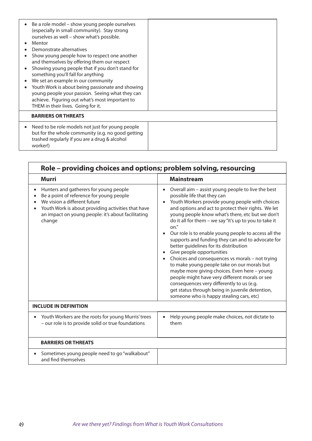| Be a role model – show young people ourselves<br>(especially in small community). Stay strong<br>ourselves as well - show what's possible.<br>Mentor<br>Demonstrate alternatives<br>Show young people how to respect one another<br>and themselves by offering them our respect<br>Showing young people that if you don't stand for<br>something you'll fall for anything<br>We set an example in our community<br>Youth Work is about being passionate and showing<br>young people your passion. Seeing what they can<br>achieve. Figuring out what's most important to<br>THEM in their lives. Going for it. |  |
|----------------------------------------------------------------------------------------------------------------------------------------------------------------------------------------------------------------------------------------------------------------------------------------------------------------------------------------------------------------------------------------------------------------------------------------------------------------------------------------------------------------------------------------------------------------------------------------------------------------|--|
| <b>BARRIERS OR THREATS</b>                                                                                                                                                                                                                                                                                                                                                                                                                                                                                                                                                                                     |  |
| Need to be role models not just for young people<br>but for the whole community (e.g. no good getting<br>trashed regularly if you are a drug & alcohol<br>worker!)                                                                                                                                                                                                                                                                                                                                                                                                                                             |  |

| Role – providing choices and options; problem solving, resourcing                                                                                                                                                                        |                                                                                                                                                                                                                                                                                                                                                                                                                                                                                                                                                                                                                                                                                                                                                                                                                                                                                              |  |
|------------------------------------------------------------------------------------------------------------------------------------------------------------------------------------------------------------------------------------------|----------------------------------------------------------------------------------------------------------------------------------------------------------------------------------------------------------------------------------------------------------------------------------------------------------------------------------------------------------------------------------------------------------------------------------------------------------------------------------------------------------------------------------------------------------------------------------------------------------------------------------------------------------------------------------------------------------------------------------------------------------------------------------------------------------------------------------------------------------------------------------------------|--|
| <b>Murri</b>                                                                                                                                                                                                                             | <b>Mainstream</b>                                                                                                                                                                                                                                                                                                                                                                                                                                                                                                                                                                                                                                                                                                                                                                                                                                                                            |  |
| Hunters and gatherers for young people<br>Be a point of reference for young people<br>We vision a different future<br>Youth Work is about providing activities that have<br>an impact on young people: it's about facilitating<br>change | Overall aim - assist young people to live the best<br>$\bullet$<br>possible life that they can<br>Youth Workers provide young people with choices<br>$\bullet$<br>and options and act to protect their rights. We let<br>young people know what's there, etc but we don't<br>do it all for them - we say "it's up to you to take it<br>on."<br>Our role is to enable young people to access all the<br>$\bullet$<br>supports and funding they can and to advocate for<br>better guidelines for its distribution<br>Give people opportunities<br>Choices and consequences vs morals - not trying<br>to make young people take on our morals but<br>maybe more giving choices. Even here - young<br>people might have very different morals or see<br>consequences very differently to us (e.g.<br>get status through being in juvenile detention,<br>someone who is happy stealing cars, etc) |  |
| <b>INCLUDE IN DEFINITION</b>                                                                                                                                                                                                             |                                                                                                                                                                                                                                                                                                                                                                                                                                                                                                                                                                                                                                                                                                                                                                                                                                                                                              |  |
| Youth Workers are the roots for young Murris' trees<br>- our role is to provide solid or true foundations                                                                                                                                | Help young people make choices, not dictate to<br>$\bullet$<br>them                                                                                                                                                                                                                                                                                                                                                                                                                                                                                                                                                                                                                                                                                                                                                                                                                          |  |
| <b>BARRIERS OR THREATS</b>                                                                                                                                                                                                               |                                                                                                                                                                                                                                                                                                                                                                                                                                                                                                                                                                                                                                                                                                                                                                                                                                                                                              |  |
| Sometimes young people need to go "walkabout"<br>and find themselves                                                                                                                                                                     |                                                                                                                                                                                                                                                                                                                                                                                                                                                                                                                                                                                                                                                                                                                                                                                                                                                                                              |  |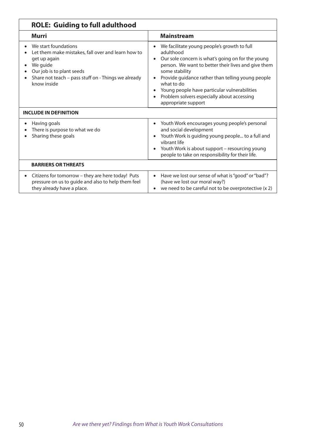| <b>ROLE: Guiding to full adulthood</b>                                                                                                                                                                    |                                                                                                                                                                                                                                                                                                                                                                                |  |
|-----------------------------------------------------------------------------------------------------------------------------------------------------------------------------------------------------------|--------------------------------------------------------------------------------------------------------------------------------------------------------------------------------------------------------------------------------------------------------------------------------------------------------------------------------------------------------------------------------|--|
| Murri                                                                                                                                                                                                     | <b>Mainstream</b>                                                                                                                                                                                                                                                                                                                                                              |  |
| We start foundations<br>Let them make mistakes, fall over and learn how to<br>get up again<br>We guide<br>Our job is to plant seeds<br>Share not teach - pass stuff on - Things we already<br>know inside | We facilitate young people's growth to full<br>adulthood<br>Our sole concern is what's going on for the young<br>person. We want to better their lives and give them<br>some stability<br>Provide guidance rather than telling young people<br>what to do<br>Young people have particular vulnerabilities<br>Problem solvers especially about accessing<br>appropriate support |  |
| <b>INCLUDE IN DEFINITION</b>                                                                                                                                                                              |                                                                                                                                                                                                                                                                                                                                                                                |  |
| Having goals<br>$\bullet$<br>There is purpose to what we do<br>Sharing these goals                                                                                                                        | Youth Work encourages young people's personal<br>$\bullet$<br>and social development<br>Youth Work is guiding young people to a full and<br>vibrant life<br>Youth Work is about support - resourcing young<br>$\bullet$<br>people to take on responsibility for their life.                                                                                                    |  |
| <b>BARRIERS OR THREATS</b>                                                                                                                                                                                |                                                                                                                                                                                                                                                                                                                                                                                |  |
| Citizens for tomorrow - they are here today! Puts<br>pressure on us to guide and also to help them feel<br>they already have a place.                                                                     | Have we lost our sense of what is "good" or "bad"?<br>$\bullet$<br>(have we lost our moral way?)<br>we need to be careful not to be overprotective (x 2)                                                                                                                                                                                                                       |  |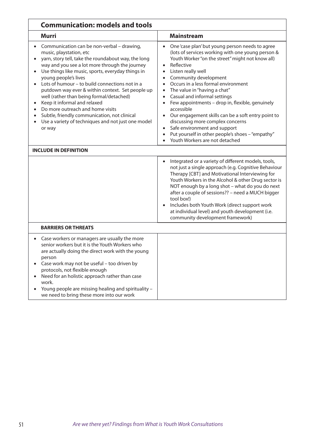| <b>Communication: models and tools</b>                                                                                                                                                                                                                                                                                                                                                                                                                                                                                                                                                                                      |                                                                                                                                                                                                                                                                                                                                                                                                                                                                                                                                                                                                                                                                                                                                                 |  |
|-----------------------------------------------------------------------------------------------------------------------------------------------------------------------------------------------------------------------------------------------------------------------------------------------------------------------------------------------------------------------------------------------------------------------------------------------------------------------------------------------------------------------------------------------------------------------------------------------------------------------------|-------------------------------------------------------------------------------------------------------------------------------------------------------------------------------------------------------------------------------------------------------------------------------------------------------------------------------------------------------------------------------------------------------------------------------------------------------------------------------------------------------------------------------------------------------------------------------------------------------------------------------------------------------------------------------------------------------------------------------------------------|--|
| <b>Murri</b>                                                                                                                                                                                                                                                                                                                                                                                                                                                                                                                                                                                                                | <b>Mainstream</b>                                                                                                                                                                                                                                                                                                                                                                                                                                                                                                                                                                                                                                                                                                                               |  |
| Communication can be non-verbal - drawing,<br>music, playstation, etc<br>yarn, story tell, take the roundabout way, the long<br>way and you see a lot more through the journey<br>Use things like music, sports, everyday things in<br>$\bullet$<br>young people's lives<br>Lots of humour - to build connections not in a<br>putdown way ever & within context. Set people up<br>well (rather than being formal/detached)<br>Keep it informal and relaxed<br>Do more outreach and home visits<br>$\bullet$<br>Subtle, friendly communication, not clinical<br>Use a variety of techniques and not just one model<br>or way | One 'case plan' but young person needs to agree<br>$\bullet$<br>(lots of services working with one young person &<br>Youth Worker "on the street" might not know all)<br>Reflective<br>$\bullet$<br>Listen really well<br>$\bullet$<br>Community development<br>$\bullet$<br>Occurs in a less formal environment<br>$\bullet$<br>The value in "having a chat"<br>$\bullet$<br>Casual and informal settings<br>$\bullet$<br>Few appointments - drop in, flexible, genuinely<br>$\bullet$<br>accessible<br>Our engagement skills can be a soft entry point to<br>discussing more complex concerns<br>Safe environment and support<br>$\bullet$<br>Put yourself in other people's shoes - "empathy"<br>$\bullet$<br>Youth Workers are not detached |  |
| <b>INCLUDE IN DEFINITION</b>                                                                                                                                                                                                                                                                                                                                                                                                                                                                                                                                                                                                |                                                                                                                                                                                                                                                                                                                                                                                                                                                                                                                                                                                                                                                                                                                                                 |  |
|                                                                                                                                                                                                                                                                                                                                                                                                                                                                                                                                                                                                                             | Integrated or a variety of different models, tools,<br>$\bullet$<br>not just a single approach (e.g. Cognitive Behaviour<br>Therapy [CBT] and Motivational Interviewing for<br>Youth Workers in the Alcohol & other Drug sector is<br>NOT enough by a long shot - what do you do next<br>after a couple of sessions?? - need a MUCH bigger<br>tool box!)<br>Includes both Youth Work (direct support work<br>at individual level) and youth development (i.e.<br>community development framework)                                                                                                                                                                                                                                               |  |
| <b>BARRIERS OR THREATS</b>                                                                                                                                                                                                                                                                                                                                                                                                                                                                                                                                                                                                  |                                                                                                                                                                                                                                                                                                                                                                                                                                                                                                                                                                                                                                                                                                                                                 |  |
| Case workers or managers are usually the more<br>senior workers but it is the Youth Workers who<br>are actually doing the direct work with the young<br>person<br>Case work may not be useful - too driven by<br>protocols, not flexible enough<br>Need for an holistic approach rather than case<br>work.<br>Young people are missing healing and spirituality -<br>we need to bring these more into our work                                                                                                                                                                                                              |                                                                                                                                                                                                                                                                                                                                                                                                                                                                                                                                                                                                                                                                                                                                                 |  |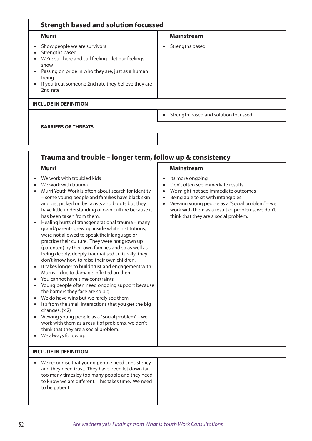| <b>Strength based and solution focussed</b>                                                                                                                                                                                                       |                                                   |  |
|---------------------------------------------------------------------------------------------------------------------------------------------------------------------------------------------------------------------------------------------------|---------------------------------------------------|--|
| Murri                                                                                                                                                                                                                                             | <b>Mainstream</b>                                 |  |
| Show people we are survivors<br>Strengths based<br>We're still here and still feeling - let our feelings<br>show<br>Passing on pride in who they are, just as a human<br>being<br>If you treat someone 2nd rate they believe they are<br>2nd rate | Strengths based<br>$\bullet$                      |  |
| <b>INCLUDE IN DEFINITION</b>                                                                                                                                                                                                                      |                                                   |  |
|                                                                                                                                                                                                                                                   | Strength based and solution focussed<br>$\bullet$ |  |
| <b>BARRIERS OR THREATS</b>                                                                                                                                                                                                                        |                                                   |  |
|                                                                                                                                                                                                                                                   |                                                   |  |

 $\overline{\phantom{a}}$ 

| Trauma and trouble – longer term, follow up & consistency                                                                                                                                                                                                                                                                                                                                                                                                                                                                                                                                                                                                                                                                                                                                                                                                                                                                                                                                                                                                                                                                                                                                                                                                          |                                                                                                                                                                                                                                                                                                                           |  |  |
|--------------------------------------------------------------------------------------------------------------------------------------------------------------------------------------------------------------------------------------------------------------------------------------------------------------------------------------------------------------------------------------------------------------------------------------------------------------------------------------------------------------------------------------------------------------------------------------------------------------------------------------------------------------------------------------------------------------------------------------------------------------------------------------------------------------------------------------------------------------------------------------------------------------------------------------------------------------------------------------------------------------------------------------------------------------------------------------------------------------------------------------------------------------------------------------------------------------------------------------------------------------------|---------------------------------------------------------------------------------------------------------------------------------------------------------------------------------------------------------------------------------------------------------------------------------------------------------------------------|--|--|
| <b>Murri</b>                                                                                                                                                                                                                                                                                                                                                                                                                                                                                                                                                                                                                                                                                                                                                                                                                                                                                                                                                                                                                                                                                                                                                                                                                                                       | <b>Mainstream</b>                                                                                                                                                                                                                                                                                                         |  |  |
| We work with troubled kids<br>$\bullet$<br>We work with trauma<br>Murri Youth Work is often about search for identity<br>- some young people and families have black skin<br>and get picked on by racists and bigots but they<br>have little understanding of own culture because it<br>has been taken from them.<br>Healing hurts of transgenerational trauma - many<br>$\bullet$<br>grand/parents grew up inside white institutions,<br>were not allowed to speak their language or<br>practice their culture. They were not grown up<br>(parented) by their own families and so as well as<br>being deeply, deeply traumatised culturally, they<br>don't know how to raise their own children.<br>It takes longer to build trust and engagement with<br>$\bullet$<br>Murris - due to damage inflicted on them<br>You cannot have time constraints<br>$\bullet$<br>Young people often need ongoing support because<br>$\bullet$<br>the barriers they face are so big<br>We do have wins but we rarely see them<br>It's from the small interactions that you get the big<br>changes. (x 2)<br>Viewing young people as a "Social problem" - we<br>work with them as a result of problems, we don't<br>think that they are a social problem.<br>We always follow up | Its more ongoing<br>$\bullet$<br>Don't often see immediate results<br>We might not see immediate outcomes<br>Being able to sit with intangibles<br>$\bullet$<br>Viewing young people as a "Social problem" - we<br>$\bullet$<br>work with them as a result of problems, we don't<br>think that they are a social problem. |  |  |
| <b>INCLUDE IN DEFINITION</b>                                                                                                                                                                                                                                                                                                                                                                                                                                                                                                                                                                                                                                                                                                                                                                                                                                                                                                                                                                                                                                                                                                                                                                                                                                       |                                                                                                                                                                                                                                                                                                                           |  |  |
| We recognise that young people need consistency<br>$\bullet$<br>and they need trust. They have been let down far<br>too many times by too many people and they need<br>to know we are different. This takes time. We need<br>to be patient.                                                                                                                                                                                                                                                                                                                                                                                                                                                                                                                                                                                                                                                                                                                                                                                                                                                                                                                                                                                                                        |                                                                                                                                                                                                                                                                                                                           |  |  |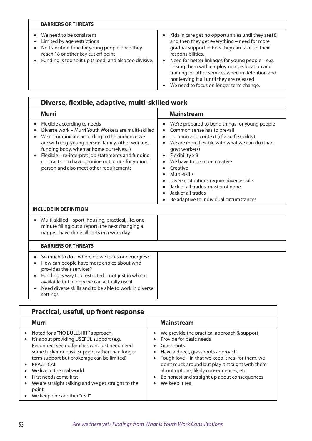| <b>BARRIERS OR THREATS</b>                                                                                                                                                                                 |                                                                                                                                                                                                                                                                                                                                                                                                                                                                  |
|------------------------------------------------------------------------------------------------------------------------------------------------------------------------------------------------------------|------------------------------------------------------------------------------------------------------------------------------------------------------------------------------------------------------------------------------------------------------------------------------------------------------------------------------------------------------------------------------------------------------------------------------------------------------------------|
| We need to be consistent<br>Limited by age restrictions<br>No transition time for young people once they<br>reach 18 or other key cut off point<br>Funding is too split up (siloed) and also too divisive. | Kids in care get no opportunities until they are 18<br>$\bullet$<br>and then they get everything - need for more<br>gradual support in how they can take up their<br>responsibilities.<br>Need for better linkages for young people - e.g.<br>$\bullet$<br>linking them with employment, education and<br>training or other services when in detention and<br>not leaving it all until they are released<br>We need to focus on longer term change.<br>$\bullet$ |

| Diverse, flexible, adaptive, multi-skilled work                                                                                                                                                                                                                                                                                                                                       |                                                                                                                                                                                                                                                                                                                                                                                                                                                                                                   |  |
|---------------------------------------------------------------------------------------------------------------------------------------------------------------------------------------------------------------------------------------------------------------------------------------------------------------------------------------------------------------------------------------|---------------------------------------------------------------------------------------------------------------------------------------------------------------------------------------------------------------------------------------------------------------------------------------------------------------------------------------------------------------------------------------------------------------------------------------------------------------------------------------------------|--|
| <b>Murri</b>                                                                                                                                                                                                                                                                                                                                                                          | <b>Mainstream</b>                                                                                                                                                                                                                                                                                                                                                                                                                                                                                 |  |
| Flexible according to needs<br>Diverse work - Murri Youth Workers are multi-skilled<br>We communicate according to the audience we<br>are with (e.g. young person, family, other workers,<br>funding body, when at home ourselves)<br>Flexible - re-interpret job statements and funding<br>contracts - to have genuine outcomes for young<br>person and also meet other requirements | We're prepared to bend things for young people<br>$\bullet$<br>Common sense has to prevail<br>Location and context (cf also flexibility)<br>$\bullet$<br>We are more flexible with what we can do (than<br>govt workers)<br>Flexibility x 3<br>$\bullet$<br>We have to be more creative<br>Creative<br>Multi-skills<br>$\bullet$<br>Diverse situations require diverse skills<br>Jack of all trades, master of none<br>Jack of all trades<br>$\bullet$<br>Be adaptive to individual circumstances |  |
| <b>INCLUDE IN DEFINITION</b>                                                                                                                                                                                                                                                                                                                                                          |                                                                                                                                                                                                                                                                                                                                                                                                                                                                                                   |  |
| Multi-skilled - sport, housing, practical, life, one<br>$\bullet$<br>minute filling out a report, the next changing a<br>nappyhave done all sorts in a work day.                                                                                                                                                                                                                      |                                                                                                                                                                                                                                                                                                                                                                                                                                                                                                   |  |
| <b>BARRIERS OR THREATS</b>                                                                                                                                                                                                                                                                                                                                                            |                                                                                                                                                                                                                                                                                                                                                                                                                                                                                                   |  |
| So much to do - where do we focus our energies?<br>How can people have more choice about who<br>provides their services?<br>Funding is way too restricted - not just in what is<br>available but in how we can actually use it<br>Need diverse skills and to be able to work in diverse<br>settings                                                                                   |                                                                                                                                                                                                                                                                                                                                                                                                                                                                                                   |  |

| Practical, useful, up front response                                                                                                                                                                                                                                                                                                                                                                             |                                                                                                                                                                                                                                                                                                                                                                   |
|------------------------------------------------------------------------------------------------------------------------------------------------------------------------------------------------------------------------------------------------------------------------------------------------------------------------------------------------------------------------------------------------------------------|-------------------------------------------------------------------------------------------------------------------------------------------------------------------------------------------------------------------------------------------------------------------------------------------------------------------------------------------------------------------|
| Murri                                                                                                                                                                                                                                                                                                                                                                                                            | <b>Mainstream</b>                                                                                                                                                                                                                                                                                                                                                 |
| Noted for a "NO BULLSHIT" approach.<br>$\bullet$<br>It's about providing USEFUL support (e.g.<br>Reconnect seeing families who just need need<br>some tucker or basic support rather than longer<br>term support but brokerage can be limited)<br>PRACTICAL<br>We live in the real world<br>First needs come first<br>We are straight talking and we get straight to the<br>point.<br>We keep one another "real" | We provide the practical approach & support<br>Provide for basic needs<br>Grass roots<br>Have a direct, grass roots approach.<br>Tough love - in that we keep it real for them, we<br>don't muck around but play it straight with them<br>about options, likely consequences, etc<br>Be honest and straight up about consequences<br>$\bullet$<br>We keep it real |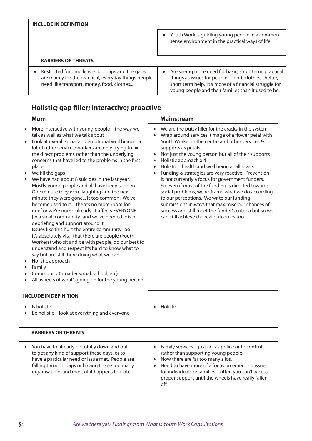| <b>INCLUDE IN DEFINITION</b>                                                                                                                                      |                                                                                                                                                                                                                                              |  |
|-------------------------------------------------------------------------------------------------------------------------------------------------------------------|----------------------------------------------------------------------------------------------------------------------------------------------------------------------------------------------------------------------------------------------|--|
|                                                                                                                                                                   | Youth Work is guiding young people in a common<br>$\bullet$<br>sense environment in the practical ways of life                                                                                                                               |  |
| <b>BARRIERS OR THREATS</b>                                                                                                                                        |                                                                                                                                                                                                                                              |  |
| Restricted funding leaves big gaps and the gaps<br>$\bullet$<br>are mainly for the practical, everyday things people<br>need like transport, money, food, clothes | Are seeing more need for basic, short term, practical<br>$\bullet$<br>things as issues for people - food, clothes, shelter,<br>short term help. It's more of a financial struggle for<br>young people and their families than it used to be. |  |

| Holistic; gap filler; interactive; proactive                                                                                                                                                                                                                                                                                                                                                                                                                                                                                                                                                                                                                                                                                                                                                                                                                                                                                                                                                                                                                                                                                            |                                                               |                                                                                                                                                                                                                                                                                                                                                                                                                                                                                                                                                                                                                                                                                                                                                   |
|-----------------------------------------------------------------------------------------------------------------------------------------------------------------------------------------------------------------------------------------------------------------------------------------------------------------------------------------------------------------------------------------------------------------------------------------------------------------------------------------------------------------------------------------------------------------------------------------------------------------------------------------------------------------------------------------------------------------------------------------------------------------------------------------------------------------------------------------------------------------------------------------------------------------------------------------------------------------------------------------------------------------------------------------------------------------------------------------------------------------------------------------|---------------------------------------------------------------|---------------------------------------------------------------------------------------------------------------------------------------------------------------------------------------------------------------------------------------------------------------------------------------------------------------------------------------------------------------------------------------------------------------------------------------------------------------------------------------------------------------------------------------------------------------------------------------------------------------------------------------------------------------------------------------------------------------------------------------------------|
| <b>Murri</b>                                                                                                                                                                                                                                                                                                                                                                                                                                                                                                                                                                                                                                                                                                                                                                                                                                                                                                                                                                                                                                                                                                                            |                                                               | <b>Mainstream</b>                                                                                                                                                                                                                                                                                                                                                                                                                                                                                                                                                                                                                                                                                                                                 |
| More interactive with young people - the way we<br>talk as well as what we talk about<br>Look at overall social and emotional well being - a<br>lot of other services/workers are only trying to fix<br>the direct problems rather than the underlying<br>concerns that have led to the problems in the first<br>place.<br>We fill the gaps<br>We have had about 8 suicides in the last year.<br>Mostly young people and all have been sudden.<br>One minute they were laughing and the next<br>minute they were gone It too common. We've<br>become used to it - there's no more room for<br>grief or we're numb already. It affects EVERYONE<br>[in a small community] and we've needed lots of<br>debriefing and support around it.<br>Issues like this hurt the entire community. So<br>it's absolutely vital that there are people (Youth<br>Workers) who sit and be with people, do our best to<br>understand and respect it's hard to know what to<br>say but are still there doing what we can<br>Holistic approach<br>Family<br>Community (broader social, school, etc)<br>All aspects of what's going on for the young person | $\bullet$<br>$\bullet$<br>$\bullet$<br>$\bullet$<br>$\bullet$ | We are the putty filler for the cracks in the system<br>Wrap around services (image of a flower petal with<br>Youth Worker in the centre and other services &<br>supports as petals)<br>Not just the young person but all of their supports<br>Holistic approach x 4<br>Holistic - health and well being at all levels<br>Funding & strategies are very reactive. Prevention<br>is not currently a focus for government funders.<br>So even if most of the funding is directed towards<br>social problems, we re-frame what we do according<br>to our perceptions. We write our funding<br>submissions in ways that maximise our chances of<br>success and still meet the funder's criteria but so we<br>can still achieve the real outcomes too. |
| <b>INCLUDE IN DEFINITION</b>                                                                                                                                                                                                                                                                                                                                                                                                                                                                                                                                                                                                                                                                                                                                                                                                                                                                                                                                                                                                                                                                                                            |                                                               |                                                                                                                                                                                                                                                                                                                                                                                                                                                                                                                                                                                                                                                                                                                                                   |
| Is holistic<br>Be holistic - look at everything and everyone                                                                                                                                                                                                                                                                                                                                                                                                                                                                                                                                                                                                                                                                                                                                                                                                                                                                                                                                                                                                                                                                            | $\bullet$                                                     | Holistic                                                                                                                                                                                                                                                                                                                                                                                                                                                                                                                                                                                                                                                                                                                                          |
| <b>BARRIERS OR THREATS</b>                                                                                                                                                                                                                                                                                                                                                                                                                                                                                                                                                                                                                                                                                                                                                                                                                                                                                                                                                                                                                                                                                                              |                                                               |                                                                                                                                                                                                                                                                                                                                                                                                                                                                                                                                                                                                                                                                                                                                                   |
| You have to already be totally down and out<br>to get any kind of support these days, or to<br>have a particular need or issue met. People are<br>falling through gaps or having to see too many<br>organisations and most of it happens too late.                                                                                                                                                                                                                                                                                                                                                                                                                                                                                                                                                                                                                                                                                                                                                                                                                                                                                      | $\bullet$                                                     | Family services - just act as police or to control<br>rather than supporting young people<br>Now there are far too many silos.<br>Need to have more of a focus on emerging issues<br>for individuals or families - often you can't access<br>proper support until the wheels have really fallen<br>off.                                                                                                                                                                                                                                                                                                                                                                                                                                           |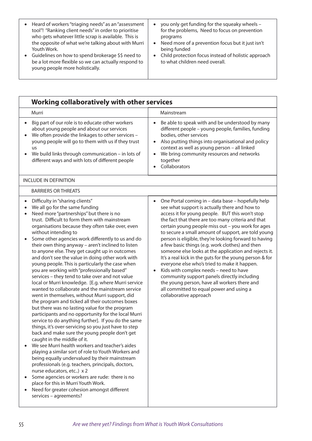| • Heard of workers "triaging needs" as an "assessment"<br>tool"! "Ranking client needs" in order to prioritise<br>who gets whatever little scrap is available. This is<br>the opposite of what we're talking about with Murri<br>Youth Work.<br>• Guidelines on how to spend brokerage \$\$ need to<br>be a lot more flexible so we can actually respond to<br>young people more holistically. | • you only get funding for the squeaky wheels $-$<br>for the problems, Need to focus on prevention<br>programs<br>• Need more of a prevention focus but it just isn't<br>being funded<br>• Child protection focus instead of holistic approach<br>to what children need overall. |
|------------------------------------------------------------------------------------------------------------------------------------------------------------------------------------------------------------------------------------------------------------------------------------------------------------------------------------------------------------------------------------------------|----------------------------------------------------------------------------------------------------------------------------------------------------------------------------------------------------------------------------------------------------------------------------------|
|------------------------------------------------------------------------------------------------------------------------------------------------------------------------------------------------------------------------------------------------------------------------------------------------------------------------------------------------------------------------------------------------|----------------------------------------------------------------------------------------------------------------------------------------------------------------------------------------------------------------------------------------------------------------------------------|

| Working collaboratively with other services                                                                                                                                                                                                                                                                                                                                                                                                                                                                                                                                                                                                                                                                                                                                                                                                                                                                                                                                                                                                                                                                                                                         |                                                                                                                                                                                                                                                                                                                                                                                                                                                                                                                                                                                                                                                                                                                                                                                                                                     |
|---------------------------------------------------------------------------------------------------------------------------------------------------------------------------------------------------------------------------------------------------------------------------------------------------------------------------------------------------------------------------------------------------------------------------------------------------------------------------------------------------------------------------------------------------------------------------------------------------------------------------------------------------------------------------------------------------------------------------------------------------------------------------------------------------------------------------------------------------------------------------------------------------------------------------------------------------------------------------------------------------------------------------------------------------------------------------------------------------------------------------------------------------------------------|-------------------------------------------------------------------------------------------------------------------------------------------------------------------------------------------------------------------------------------------------------------------------------------------------------------------------------------------------------------------------------------------------------------------------------------------------------------------------------------------------------------------------------------------------------------------------------------------------------------------------------------------------------------------------------------------------------------------------------------------------------------------------------------------------------------------------------------|
| Murri                                                                                                                                                                                                                                                                                                                                                                                                                                                                                                                                                                                                                                                                                                                                                                                                                                                                                                                                                                                                                                                                                                                                                               | Mainstream                                                                                                                                                                                                                                                                                                                                                                                                                                                                                                                                                                                                                                                                                                                                                                                                                          |
| Big part of our role is to educate other workers<br>about young people and about our services<br>We often provide the linkages to other services -<br>young people will go to them with us if they trust<br>us<br>We build links through communication - in lots of<br>different ways and with lots of different people                                                                                                                                                                                                                                                                                                                                                                                                                                                                                                                                                                                                                                                                                                                                                                                                                                             | Be able to speak with and be understood by many<br>$\bullet$<br>different people - young people, families, funding<br>bodies, other services<br>Also putting things into organisational and policy<br>$\bullet$<br>context as well as young person - all linked<br>We bring community resources and networks<br>$\bullet$<br>together<br>Collaborators                                                                                                                                                                                                                                                                                                                                                                                                                                                                              |
| <b>INCLUDE IN DEFINITION</b>                                                                                                                                                                                                                                                                                                                                                                                                                                                                                                                                                                                                                                                                                                                                                                                                                                                                                                                                                                                                                                                                                                                                        |                                                                                                                                                                                                                                                                                                                                                                                                                                                                                                                                                                                                                                                                                                                                                                                                                                     |
| <b>BARRIERS OR THREATS</b>                                                                                                                                                                                                                                                                                                                                                                                                                                                                                                                                                                                                                                                                                                                                                                                                                                                                                                                                                                                                                                                                                                                                          |                                                                                                                                                                                                                                                                                                                                                                                                                                                                                                                                                                                                                                                                                                                                                                                                                                     |
| Difficulty in "sharing clients"<br>$\bullet$<br>We all go for the same funding<br>Need more "partnerships" but there is no<br>$\bullet$<br>trust. Difficult to form them with mainstream<br>organisations because they often take over, even<br>without intending to<br>Some other agencies work differently to us and do<br>their own thing anyway - aren't inclined to listen<br>to anyone else. They get caught up in outcomes<br>and don't see the value in doing other work with<br>young people. This is particularly the case when<br>you are working with "professionally based"<br>services - they tend to take over and not value<br>local or Murri knowledge. [E.g. where Murri service<br>wanted to collaborate and the mainstream service<br>went in themselves, without Murri support, did<br>the program and ticked all their outcomes boxes<br>but there was no lasting value for the program<br>participants and no opportunity for the local Murri<br>service to do anything further]. If you do the same<br>things, it's over-servicing so you just have to step<br>back and make sure the young people don't get<br>caught in the middle of it. | One Portal coming in - data base - hopefully help<br>$\bullet$<br>see what support is actually there and how to<br>access it for young people. BUT this won't stop<br>the fact that there are too many criteria and that<br>certain young people miss out - you work for ages<br>to secure a small amount of support, are told young<br>person is eligible, they're looking forward to having<br>a few basic things (e.g. work clothes) and then<br>someone else looks at the application and rejects it.<br>It's a real kick in the guts for the young person & for<br>everyone else who's tried to make it happen.<br>Kids with complex needs - need to have<br>community support panels directly including<br>the young person, have all workers there and<br>all committed to equal power and using a<br>collaborative approach |

• We see Murri health workers and teacher's aides playing a similar sort of role to Youth Workers and being equally undervalued by their mainstream professionals (e.g. teachers, principals, doctors, nurse educators, etc..) x 2

• Some agencies or workers are rude: there is no place for this in Murri Youth Work.

• Need for greater cohesion amongst different services – agreements?

55 *Are we there yet? Findings from What is Youth Work Consultations*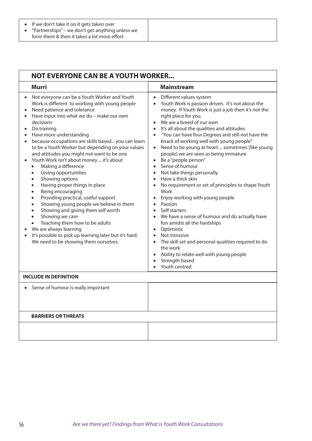#### • If we don't take it on it gets taken over

• "Partnerships" – we don't get anything unless we form them & then it takes a lot more effort

| <b>NOT EVERYONE CAN BE A YOUTH WORKER</b>                                                                                                                                                                                                                                                                                                                                                                                                                                                                                                                                                                                                                                                                                                                                                                                                                                                                                                                                                                                                         |                                                                                                                                                                                                                                                                                                                                                                                                                                                                                                                                                                                                                                                                                                                                                                                                                                                                                                                                                                                                                                                                                                                                                                                             |  |  |  |
|---------------------------------------------------------------------------------------------------------------------------------------------------------------------------------------------------------------------------------------------------------------------------------------------------------------------------------------------------------------------------------------------------------------------------------------------------------------------------------------------------------------------------------------------------------------------------------------------------------------------------------------------------------------------------------------------------------------------------------------------------------------------------------------------------------------------------------------------------------------------------------------------------------------------------------------------------------------------------------------------------------------------------------------------------|---------------------------------------------------------------------------------------------------------------------------------------------------------------------------------------------------------------------------------------------------------------------------------------------------------------------------------------------------------------------------------------------------------------------------------------------------------------------------------------------------------------------------------------------------------------------------------------------------------------------------------------------------------------------------------------------------------------------------------------------------------------------------------------------------------------------------------------------------------------------------------------------------------------------------------------------------------------------------------------------------------------------------------------------------------------------------------------------------------------------------------------------------------------------------------------------|--|--|--|
| <b>Murri</b>                                                                                                                                                                                                                                                                                                                                                                                                                                                                                                                                                                                                                                                                                                                                                                                                                                                                                                                                                                                                                                      | <b>Mainstream</b>                                                                                                                                                                                                                                                                                                                                                                                                                                                                                                                                                                                                                                                                                                                                                                                                                                                                                                                                                                                                                                                                                                                                                                           |  |  |  |
| Not everyone can be a Youth Worker and Youth<br>Work is different to working with young people<br>Need patience and tolerance<br>Have input into what we do - make our own<br>decisions<br>Do training<br>Have more understanding<br>$\bullet$<br>because occupations are skills based you can learn<br>$\bullet$<br>to be a Youth Worker but depending on your values<br>and attitudes you might not want to be one<br>Youth Work isn't about money  it's about<br>$\bullet$<br>Making a difference<br>$\bullet$<br>Giving opportunities<br>$\bullet$<br>Showing options<br>$\bullet$<br>Having proper things in place<br>$\bullet$<br>Being encouraging<br>$\bullet$<br>Providing practical, useful support<br>$\bullet$<br>Showing young people we believe in them<br>$\bullet$<br>Showing and giving them self worth<br>$\bullet$<br>Showing we care<br>$\bullet$<br>Teaching them how to be adults<br>$\bullet$<br>We are always learning<br>It's possible to pick up learning later but it's hard.<br>We need to be showing them ourselves. | Different values system<br>$\bullet$<br>Youth Work is passion driven. It's not about the<br>$\bullet$<br>money. If Youth Work is just a job then it's not the<br>right place for you.<br>We are a breed of our own<br>$\bullet$<br>It's all about the qualities and attitudes<br>$\bullet$<br>"You can have four Degrees and still not have the<br>$\bullet$<br>knack of working well with young people"<br>Need to be young at heart  sometimes [like young<br>$\bullet$<br>people] we are seen as being immature<br>Be a "people person"<br>$\bullet$<br>Sense of humour<br>$\bullet$<br>Not take things personally<br>$\bullet$<br>Have a thick skin<br>$\bullet$<br>No requirement or set of principles to shape Youth<br>$\bullet$<br>Work<br>Enjoy working with young people<br>$\bullet$<br>• Passion<br>Self starters<br>$\bullet$<br>We have a sense of humour and do actually have<br>$\bullet$<br>fun amidst all the hardships<br>Optimistic<br>$\bullet$<br>Not intrusive<br>$\bullet$<br>The skill set and personal qualities required to do<br>$\bullet$<br>the work<br>Ability to relate well with young people<br>$\bullet$<br>Strength based<br>$\bullet$<br>Youth centred |  |  |  |
| <b>INCLUDE IN DEFINITION</b>                                                                                                                                                                                                                                                                                                                                                                                                                                                                                                                                                                                                                                                                                                                                                                                                                                                                                                                                                                                                                      |                                                                                                                                                                                                                                                                                                                                                                                                                                                                                                                                                                                                                                                                                                                                                                                                                                                                                                                                                                                                                                                                                                                                                                                             |  |  |  |
| Sense of humour is really important                                                                                                                                                                                                                                                                                                                                                                                                                                                                                                                                                                                                                                                                                                                                                                                                                                                                                                                                                                                                               |                                                                                                                                                                                                                                                                                                                                                                                                                                                                                                                                                                                                                                                                                                                                                                                                                                                                                                                                                                                                                                                                                                                                                                                             |  |  |  |
| <b>BARRIERS OR THREATS</b>                                                                                                                                                                                                                                                                                                                                                                                                                                                                                                                                                                                                                                                                                                                                                                                                                                                                                                                                                                                                                        |                                                                                                                                                                                                                                                                                                                                                                                                                                                                                                                                                                                                                                                                                                                                                                                                                                                                                                                                                                                                                                                                                                                                                                                             |  |  |  |
|                                                                                                                                                                                                                                                                                                                                                                                                                                                                                                                                                                                                                                                                                                                                                                                                                                                                                                                                                                                                                                                   |                                                                                                                                                                                                                                                                                                                                                                                                                                                                                                                                                                                                                                                                                                                                                                                                                                                                                                                                                                                                                                                                                                                                                                                             |  |  |  |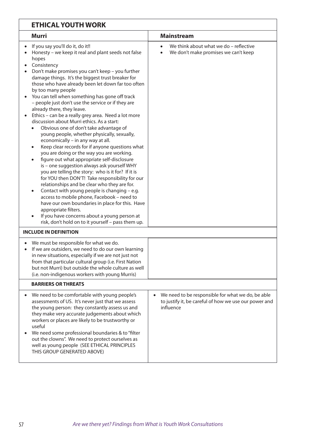|           | <b>ETHICAL YOUTH WORK</b>                                                                                                                                                                                                                                                                                                                                                                                                                                                                                                                                                                                                                                                                                                                                                                                                                                                                                                                                                                                                                                                                                                                                                                                                                                                                                                                                  |                                                                                                                         |
|-----------|------------------------------------------------------------------------------------------------------------------------------------------------------------------------------------------------------------------------------------------------------------------------------------------------------------------------------------------------------------------------------------------------------------------------------------------------------------------------------------------------------------------------------------------------------------------------------------------------------------------------------------------------------------------------------------------------------------------------------------------------------------------------------------------------------------------------------------------------------------------------------------------------------------------------------------------------------------------------------------------------------------------------------------------------------------------------------------------------------------------------------------------------------------------------------------------------------------------------------------------------------------------------------------------------------------------------------------------------------------|-------------------------------------------------------------------------------------------------------------------------|
|           | <b>Murri</b>                                                                                                                                                                                                                                                                                                                                                                                                                                                                                                                                                                                                                                                                                                                                                                                                                                                                                                                                                                                                                                                                                                                                                                                                                                                                                                                                               | <b>Mainstream</b>                                                                                                       |
|           | If you say you'll do it, do it!!<br>Honesty - we keep it real and plant seeds not false<br>hopes<br>Consistency<br>Don't make promises you can't keep - you further<br>damage things. It's the biggest trust breaker for<br>those who have already been let down far too often<br>by too many people<br>You can tell when something has gone off track<br>- people just don't use the service or if they are<br>already there, they leave.<br>Ethics - can be a really grey area. Need a lot more<br>discussion about Murri ethics. As a start:<br>Obvious one of don't take advantage of<br>young people, whether physically, sexually,<br>economically - in any way at all.<br>Keep clear records for if anyone questions what<br>$\bullet$<br>you are doing or the way you are working.<br>figure out what appropriate self-disclosure<br>$\bullet$<br>is - one suggestion always ask yourself WHY<br>you are telling the story: who is it for? If it is<br>for YOU then DON'T! Take responsibility for our<br>relationships and be clear who they are for.<br>Contact with young people is changing - e.g.<br>$\bullet$<br>access to mobile phone, Facebook - need to<br>have our own boundaries in place for this. Have<br>appropriate filters.<br>If you have concerns about a young person at<br>risk, don't hold on to it yourself - pass them up. | We think about what we do - reflective<br>We don't make promises we can't keep                                          |
|           | <b>INCLUDE IN DEFINITION</b>                                                                                                                                                                                                                                                                                                                                                                                                                                                                                                                                                                                                                                                                                                                                                                                                                                                                                                                                                                                                                                                                                                                                                                                                                                                                                                                               |                                                                                                                         |
|           | We must be responsible for what we do.<br>If we are outsiders, we need to do our own learning<br>in new situations, especially if we are not just not<br>from that particular cultural group (i.e. First Nation<br>but not Murri) but outside the whole culture as well<br>(i.e. non-indigenous workers with young Murris)                                                                                                                                                                                                                                                                                                                                                                                                                                                                                                                                                                                                                                                                                                                                                                                                                                                                                                                                                                                                                                 |                                                                                                                         |
|           | <b>BARRIERS OR THREATS</b>                                                                                                                                                                                                                                                                                                                                                                                                                                                                                                                                                                                                                                                                                                                                                                                                                                                                                                                                                                                                                                                                                                                                                                                                                                                                                                                                 |                                                                                                                         |
| $\bullet$ | We need to be comfortable with young people's<br>assessments of US. It's never just that we assess<br>the young person: they constantly assess us and<br>they make very accurate judgements about which<br>workers or places are likely to be trustworthy or<br>useful<br>We need some professional boundaries & to "filter<br>out the clowns". We need to protect ourselves as<br>well as young people (SEE ETHICAL PRINCIPLES<br>THIS GROUP GENERATED ABOVE)                                                                                                                                                                                                                                                                                                                                                                                                                                                                                                                                                                                                                                                                                                                                                                                                                                                                                             | We need to be responsible for what we do, be able<br>to justify it, be careful of how we use our power and<br>influence |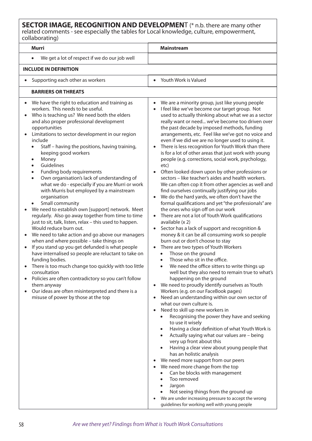### **SECTOR IMAGE, RECOGNITION AND DEVELOPMEN**T (\* n.b. there are many other related comments - see especially the tables for Local knowledge, culture, empowerment, collaborating)

| collaborating)                                                                                                                                                                                                                                                                                                                                                                                                                                                                                                                                                                                                                                                                                                                                                                                                                                                                                                                                                                                                                                                                                                                                                                                                                                                                                                                      |                                                                                                                                                                                                                                                                                                                                                                                                                                                                                                                                                                                                                                                                                                                                                                                                                                                                                                                                                                                                                                                                                                                                                                                                                                                                                                                                                                                                                                                                                                                                                                                                                                                                                                                                                                                                                                                                                                                                                                                                                                                                                                                                                                                                                                                                                                              |  |  |  |
|-------------------------------------------------------------------------------------------------------------------------------------------------------------------------------------------------------------------------------------------------------------------------------------------------------------------------------------------------------------------------------------------------------------------------------------------------------------------------------------------------------------------------------------------------------------------------------------------------------------------------------------------------------------------------------------------------------------------------------------------------------------------------------------------------------------------------------------------------------------------------------------------------------------------------------------------------------------------------------------------------------------------------------------------------------------------------------------------------------------------------------------------------------------------------------------------------------------------------------------------------------------------------------------------------------------------------------------|--------------------------------------------------------------------------------------------------------------------------------------------------------------------------------------------------------------------------------------------------------------------------------------------------------------------------------------------------------------------------------------------------------------------------------------------------------------------------------------------------------------------------------------------------------------------------------------------------------------------------------------------------------------------------------------------------------------------------------------------------------------------------------------------------------------------------------------------------------------------------------------------------------------------------------------------------------------------------------------------------------------------------------------------------------------------------------------------------------------------------------------------------------------------------------------------------------------------------------------------------------------------------------------------------------------------------------------------------------------------------------------------------------------------------------------------------------------------------------------------------------------------------------------------------------------------------------------------------------------------------------------------------------------------------------------------------------------------------------------------------------------------------------------------------------------------------------------------------------------------------------------------------------------------------------------------------------------------------------------------------------------------------------------------------------------------------------------------------------------------------------------------------------------------------------------------------------------------------------------------------------------------------------------------------------------|--|--|--|
| <b>Murri</b>                                                                                                                                                                                                                                                                                                                                                                                                                                                                                                                                                                                                                                                                                                                                                                                                                                                                                                                                                                                                                                                                                                                                                                                                                                                                                                                        | <b>Mainstream</b>                                                                                                                                                                                                                                                                                                                                                                                                                                                                                                                                                                                                                                                                                                                                                                                                                                                                                                                                                                                                                                                                                                                                                                                                                                                                                                                                                                                                                                                                                                                                                                                                                                                                                                                                                                                                                                                                                                                                                                                                                                                                                                                                                                                                                                                                                            |  |  |  |
| We get a lot of respect if we do our job well                                                                                                                                                                                                                                                                                                                                                                                                                                                                                                                                                                                                                                                                                                                                                                                                                                                                                                                                                                                                                                                                                                                                                                                                                                                                                       |                                                                                                                                                                                                                                                                                                                                                                                                                                                                                                                                                                                                                                                                                                                                                                                                                                                                                                                                                                                                                                                                                                                                                                                                                                                                                                                                                                                                                                                                                                                                                                                                                                                                                                                                                                                                                                                                                                                                                                                                                                                                                                                                                                                                                                                                                                              |  |  |  |
| <b>INCLUDE IN DEFINITION</b>                                                                                                                                                                                                                                                                                                                                                                                                                                                                                                                                                                                                                                                                                                                                                                                                                                                                                                                                                                                                                                                                                                                                                                                                                                                                                                        |                                                                                                                                                                                                                                                                                                                                                                                                                                                                                                                                                                                                                                                                                                                                                                                                                                                                                                                                                                                                                                                                                                                                                                                                                                                                                                                                                                                                                                                                                                                                                                                                                                                                                                                                                                                                                                                                                                                                                                                                                                                                                                                                                                                                                                                                                                              |  |  |  |
| Supporting each other as workers                                                                                                                                                                                                                                                                                                                                                                                                                                                                                                                                                                                                                                                                                                                                                                                                                                                                                                                                                                                                                                                                                                                                                                                                                                                                                                    | Youth Work is Valued                                                                                                                                                                                                                                                                                                                                                                                                                                                                                                                                                                                                                                                                                                                                                                                                                                                                                                                                                                                                                                                                                                                                                                                                                                                                                                                                                                                                                                                                                                                                                                                                                                                                                                                                                                                                                                                                                                                                                                                                                                                                                                                                                                                                                                                                                         |  |  |  |
| <b>BARRIERS OR THREATS</b>                                                                                                                                                                                                                                                                                                                                                                                                                                                                                                                                                                                                                                                                                                                                                                                                                                                                                                                                                                                                                                                                                                                                                                                                                                                                                                          |                                                                                                                                                                                                                                                                                                                                                                                                                                                                                                                                                                                                                                                                                                                                                                                                                                                                                                                                                                                                                                                                                                                                                                                                                                                                                                                                                                                                                                                                                                                                                                                                                                                                                                                                                                                                                                                                                                                                                                                                                                                                                                                                                                                                                                                                                                              |  |  |  |
| We have the right to education and training as<br>workers. This needs to be useful.<br>Who is teaching us? We need both the elders<br>$\bullet$<br>and also proper professional development<br>opportunities<br>Limitations to sector development in our region<br>include<br>Staff - having the positions, having training,<br>keeping good workers<br>Money<br>$\bullet$<br>Guidelines<br>Funding body requirements<br>Own organisation's lack of understanding of<br>$\bullet$<br>what we do - especially if you are Murri or work<br>with Murris but employed by a mainstream<br>organisation<br>Small community<br>$\bullet$<br>We need to establish own [support] network. Meet<br>regularly. Also go away together from time to time<br>just to sit, talk, listen, relax - this used to happen.<br>Would reduce burn out.<br>We need to take action and go above our managers<br>when and where possible - take things on<br>If you stand up you get defunded is what people<br>$\bullet$<br>have internalised so people are reluctant to take on<br>funding bodies.<br>There is too much change too quickly with too little<br>consultation<br>Policies are often contradictory so you can't follow<br>them anyway<br>Our ideas are often misinterpreted and there is a<br>$\bullet$<br>misuse of power by those at the top | We are a minority group, just like young people<br>$\bullet$<br>I feel like we've become our target group. Not<br>used to actually thinking about what we as a sector<br>really want or need we've become too driven over<br>the past decade by imposed methods, funding<br>arrangements, etc. Feel like we've got no voice and<br>even if we did we are no longer used to using it.<br>There is less recognition for Youth Work than there<br>is for a lot of other areas that just work with young<br>people (e.g. corrections, social work, psychology,<br>etc)<br>Often looked down upon by other professions or<br>sectors - like teacher's aides and health workers.<br>We can often cop it from other agencies as well and<br>find ourselves continually justifying our jobs<br>We do the hard yards, we often don't have the<br>formal qualifications and yet "the professionals" are<br>the ones who sign off on our work<br>There are not a lot of Youth Work qualifications<br>$\bullet$<br>available (x 2)<br>Sector has a lack of support and recognition &<br>money & it can be all consuming work so people<br>burn out or don't choose to stay<br>There are two types of Youth Workers<br>$\bullet$<br>Those on the ground<br>$\bullet$<br>Those who sit in the office.<br>$\bullet$<br>We need the office sitters to write things up<br>$\bullet$<br>well but they also need to remain true to what's<br>happening on the ground<br>We need to proudly identify ourselves as Youth<br>Workers (e.g. on our FaceBook pages)<br>Need an understanding within our own sector of<br>what our own culture is.<br>Need to skill up new workers in<br>$\bullet$<br>Recognising the power they have and seeking<br>to use it wisely<br>Having a clear definition of what Youth Work is<br>$\bullet$<br>Actually saying what our values are - being<br>$\bullet$<br>very up front about this<br>Having a clear view about young people that<br>$\bullet$<br>has an holistic analysis<br>We need more support from our peers<br>We need more change from the top<br>Can be blocks with management<br>Too removed<br>$\bullet$<br>Jargon<br>$\bullet$<br>Not seeing things from the ground up<br>We are under increasing pressure to accept the wrong<br>guidelines for working well with young people |  |  |  |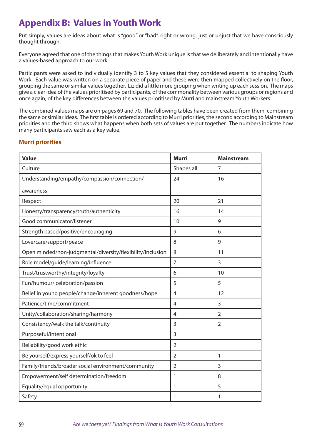# **Appendix B: Values in Youth Work**

Put simply, values are ideas about what is "good" or "bad", right or wrong, just or unjust that we have consciously thought through.

Everyone agreed that one of the things that makes Youth Work unique is that we deliberately and intentionally have a values-based approach to our work.

Participants were asked to individually identify 3 to 5 key values that they considered essential to shaping Youth Work. Each value was written on a separate piece of paper and these were then mapped collectively on the floor, grouping the same or similar values together. Liz did a little more grouping when writing up each session. The maps give a clear idea of the values prioritised by participants, of the commonality between various groups or regions and once again, of the key differences between the values prioritised by Murri and mainstream Youth Workers.

The combined values maps are on pages 69 and 70. The following tables have been created from them, combining the same or similar ideas. The first table is ordered according to Murri priorities, the second according to Mainstream priorities and the third shows what happens when both sets of values are put together. The numbers indicate how many participants saw each as a key value.

### **Murri priorities**

| <b>Value</b>                                               | <b>Murri</b>   | <b>Mainstream</b> |
|------------------------------------------------------------|----------------|-------------------|
| Culture                                                    | Shapes all     | $\overline{7}$    |
| Understanding/empathy/compassion/connection/               | 24             | 16                |
| awareness                                                  |                |                   |
| Respect                                                    | 20             | 21                |
| Honesty/transparency/truth/authenticity                    | 16             | 14                |
| Good communicator/listener                                 | 10             | 9                 |
| Strength based/positive/encouraging                        | 9              | 6                 |
| Love/care/support/peace                                    | 8              | 9                 |
| Open minded/non-judgmental/diversity/flexibility/inclusion | 8              | 11                |
| Role model/guide/learning/influence                        | $\overline{7}$ | 3                 |
| Trust/trustworthy/integrity/loyalty                        | 6              | 10                |
| Fun/humour/ celebration/passion                            | 5              | 5                 |
| Belief in young people/change/inherent goodness/hope       | 4              | 12                |
| Patience/time/commitment                                   | $\overline{4}$ | 3                 |
| Unity/collaboration/sharing/harmony                        | $\overline{4}$ | $\overline{2}$    |
| Consistency/walk the talk/continuity                       | 3              | $\overline{2}$    |
| Purposeful/intentional                                     | 3              |                   |
| Reliability/good work ethic                                | $\overline{2}$ |                   |
| Be yourself/express yourself/ok to feel                    | $\overline{2}$ | 1                 |
| Family/friends/broader social environment/community        | $\overline{2}$ | $\overline{3}$    |
| Empowerment/self determination/freedom                     | 1              | 8                 |
| Equality/equal opportunity                                 | 1              | 5                 |
| Safety                                                     | 1              | 1                 |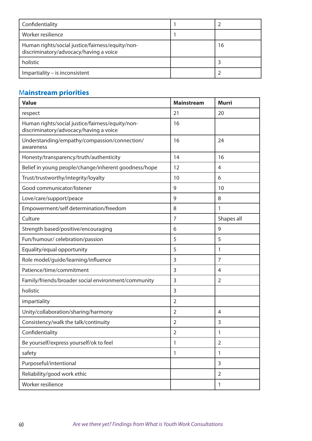| Confidentiality                                                                            |    |
|--------------------------------------------------------------------------------------------|----|
| Worker resilience                                                                          |    |
| Human rights/social justice/fairness/equity/non-<br>discriminatory/advocacy/having a voice | 16 |
| holistic                                                                                   |    |
| Impartiality - is inconsistent                                                             |    |

## M**ainstream priorities**

| <b>Value</b>                                                                               | <b>Mainstream</b> | <b>Murri</b>   |
|--------------------------------------------------------------------------------------------|-------------------|----------------|
| respect                                                                                    | 21                | 20             |
| Human rights/social justice/fairness/equity/non-<br>discriminatory/advocacy/having a voice | 16                |                |
| Understanding/empathy/compassion/connection/<br>awareness                                  | 16                | 24             |
| Honesty/transparency/truth/authenticity                                                    | 14                | 16             |
| Belief in young people/change/inherent goodness/hope                                       | 12                | 4              |
| Trust/trustworthy/integrity/loyalty                                                        | 10                | 6              |
| Good communicator/listener                                                                 | 9                 | 10             |
| Love/care/support/peace                                                                    | 9                 | 8              |
| Empowerment/self determination/freedom                                                     | 8                 | 1              |
| Culture                                                                                    | $\overline{7}$    | Shapes all     |
| Strength based/positive/encouraging                                                        | 6                 | 9              |
| Fun/humour/ celebration/passion                                                            | 5                 | 5              |
| Equality/equal opportunity                                                                 | 5                 | 1              |
| Role model/guide/learning/influence                                                        | 3                 | 7              |
| Patience/time/commitment                                                                   | 3                 | 4              |
| Family/friends/broader social environment/community                                        | 3                 | $\overline{2}$ |
| holistic                                                                                   | 3                 |                |
| impartiality                                                                               | $\overline{2}$    |                |
| Unity/collaboration/sharing/harmony                                                        | $\overline{2}$    | 4              |
| Consistency/walk the talk/continuity                                                       | $\overline{2}$    | 3              |
| Confidentiality                                                                            | $\overline{2}$    | 1              |
| Be yourself/express yourself/ok to feel                                                    | 1                 | $\overline{2}$ |
| safety                                                                                     | 1                 | 1              |
| Purposeful/intentional                                                                     |                   | 3              |
| Reliability/good work ethic                                                                |                   | $\overline{2}$ |
| Worker resilience                                                                          |                   | $\mathbf{1}$   |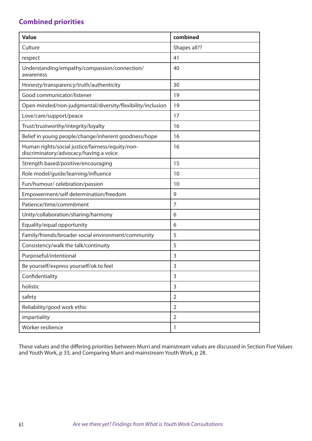## **Combined priorities**

| <b>Value</b>                                                                               | combined       |
|--------------------------------------------------------------------------------------------|----------------|
| Culture                                                                                    | Shapes all??   |
| respect                                                                                    | 41             |
| Understanding/empathy/compassion/connection/<br>awareness                                  | 40             |
| Honesty/transparency/truth/authenticity                                                    | 30             |
| Good communicator/listener                                                                 | 19             |
| Open minded/non-judgmental/diversity/flexibility/inclusion                                 | 19             |
| Love/care/support/peace                                                                    | 17             |
| Trust/trustworthy/integrity/loyalty                                                        | 16             |
| Belief in young people/change/inherent goodness/hope                                       | 16             |
| Human rights/social justice/fairness/equity/non-<br>discriminatory/advocacy/having a voice | 16             |
| Strength based/positive/encouraging                                                        | 15             |
| Role model/guide/learning/influence                                                        | 10             |
| Fun/humour/ celebration/passion                                                            | 10             |
| Empowerment/self determination/freedom                                                     | 9              |
| Patience/time/commitment                                                                   | $\overline{7}$ |
| Unity/collaboration/sharing/harmony                                                        | 6              |
| Equality/equal opportunity                                                                 | 6              |
| Family/friends/broader social environment/community                                        | 5              |
| Consistency/walk the talk/continuity                                                       | 5              |
| Purposeful/intentional                                                                     | 3              |
| Be yourself/express yourself/ok to feel                                                    | 3              |
| Confidentiality                                                                            | 3              |
| holistic                                                                                   | 3              |
| safety                                                                                     | $\overline{2}$ |
| Reliability/good work ethic                                                                | $\overline{2}$ |
| impartiality                                                                               | $\overline{2}$ |
| Worker resilience                                                                          | $\mathbf{1}$   |

These values and the differing priorities between Murri and mainstream values are discussed in Section Five Values and Youth Work, p 33, and Comparing Murri and mainstream Youth Work, p 28.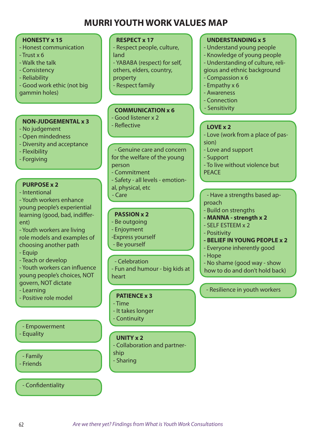# **MURRI YOUTH WORK VALUES MAP**

| <b>HONESTY x 15</b><br>- Honest communication<br>$-Trust \times 6$<br>- Walk the talk<br>- Consistency<br>- Reliability<br>- Good work ethic (not big<br>gammin holes)<br><b>NON-JUDGEMENTAL x 3</b>                                                                                                                            | <b>RESPECT x 17</b><br>- Respect people, culture,<br>land<br>- YABABA (respect) for self,<br>others, elders, country,<br>property<br>- Respect family<br><b>COMMUNICATION x 6</b><br>- Good listener x 2<br>- Reflective | <b>UNDERSTANDING x 5</b><br>- Understand young people<br>- Knowledge of young people<br>- Understanding of culture, reli-<br>gious and ethnic background<br>- Compassion x 6<br>- Empathy x 6<br>- Awareness<br>- Connection<br>- Sensitivity<br><b>LOVE x 2</b>       |
|---------------------------------------------------------------------------------------------------------------------------------------------------------------------------------------------------------------------------------------------------------------------------------------------------------------------------------|--------------------------------------------------------------------------------------------------------------------------------------------------------------------------------------------------------------------------|------------------------------------------------------------------------------------------------------------------------------------------------------------------------------------------------------------------------------------------------------------------------|
| - No judgement<br>- Open mindedness<br>- Diversity and acceptance<br>- Flexibility<br>- Forgiving<br><b>PURPOSE x 2</b>                                                                                                                                                                                                         | - Genuine care and concern<br>for the welfare of the young<br>person<br>- Commitment<br>- Safety - all levels - emotion-<br>al, physical, etc                                                                            | - Love (work from a place of pas-<br>sion)<br>- Love and support<br>- Support<br>- To live without violence but<br><b>PEACE</b>                                                                                                                                        |
| - Intentional<br>- Youth workers enhance<br>young people's experiential<br>learning (good, bad, indiffer-<br>ent)<br>- Youth workers are living<br>role models and examples of<br>choosing another path<br>- Equip<br>- Teach or develop<br>- Youth workers can influence<br>young people's choices, NOT<br>govern, NOT dictate | - Care<br><b>PASSION x 2</b><br>- Be outgoing<br>- Enjoyment<br>-Express yourself<br>- Be yourself<br>- Celebration<br>- Fun and humour - big kids at<br>heart                                                           | - Have a strengths based ap-<br>proach<br>- Build on strengths<br>- MANNA - strength x 2<br>- SELF ESTEEM x 2<br>- Positivity<br>- BELIEF IN YOUNG PEOPLE x 2<br>- Everyone inherently good<br>- Hope<br>- No shame (good way - show<br>how to do and don't hold back) |
| - Learning<br>- Positive role model                                                                                                                                                                                                                                                                                             | <b>PATIENCE x 3</b><br>- Time<br>- It takes longer<br>- Continuity                                                                                                                                                       | - Resilience in youth workers                                                                                                                                                                                                                                          |
| - Empowerment<br>- Equality<br>- Family<br>- Friends                                                                                                                                                                                                                                                                            | <b>UNITY x 2</b><br>- Collaboration and partner-<br>ship<br>- Sharing                                                                                                                                                    |                                                                                                                                                                                                                                                                        |
| - Confidentiality                                                                                                                                                                                                                                                                                                               |                                                                                                                                                                                                                          |                                                                                                                                                                                                                                                                        |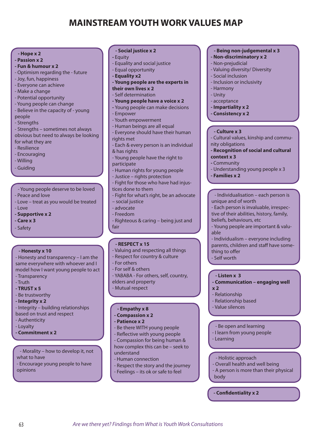# **MAINSTREAM YOUTH WORK VALUES MAP**

### **- Hope x 2**

- **Passion x 2**
- **Fun & humour x 2**
- Optimism regarding the future
- Joy, fun, happiness
- Everyone can achieve
- Make a change
- Potential opportunity
- Young people can change
- Believe in the capacity of young people
- Strengths

- Strengths – sometimes not always obvious but need to always be looking for what they are

- Resilience

- Encouraging
- Willing
- Guiding
- Young people deserve to be loved
- Peace and love
- Love treat as you would be treated
- $-$  Love
- **Supportive x 2**
- **Care x 3**
- Safety

### **- Honesty x 10**

- Honesty and transparency – I am the same everywhere with whoever and I model how I want young people to act

- Transparency
- Truth
- **TRUST x 5**
- Be trustworthy
- **Integrity x 2**

- Integrity – building relationships based on trust and respect

- Authenticity
- Loyalty
- **Commitment x 2**
- Morality how to develop it, not what to have
- Encourage young people to have opinions
- **Social justice x 2**
- Equity
- Equality and social justice
- Equal opportunity
- **Equality x2**
- **Young people are the experts in**
- **their own lives x 2**
- Self determination
- **Young people have a voice x 2**
- Young people can make decisions - Empower
- Youth empowerment
- Human beings are all equal
- Everyone should have their human rights met
- Each & every person is an individual & has rights
- Young people have the right to participate
- Human rights for young people
- Justice rights protection
- Fight for those who have had injustices done to them
- Fight for what's right, be an advocate – social justice
- advocate
- Freedom
- Righteous & caring being just and fair

### **- RESPECT x 15**

- Valuing and respecting all things
- Respect for country & culture
- For others
- For self & others
- YABABA For others, self, country,
- elders and property
- Mutual respect

#### **- Empathy x 8**

- **Compassion x 2**
- **Patience x 2**

63 *Are we there yet? Findings from What is Youth Work Consultations*

- Be there WITH young people
- Reflective with young people - Compassion for being human & how complex this can be – seek to
- understand - Human connection
- 
- Respect the story and the journey - Feelings – its ok or safe to feel
	-

### **- Being non-judgemental x 3**

- **Non-discriminatory x 2**
- Non-prejudicial
- Valuing diversity/ Diversity
- Social inclusion
- Inclusion or inclusivity
- Harmony
- Unity
- acceptance
- **Impartiality x 2**
- **Consistency x 2**

#### **- Culture x 3**

- Cultural values, kinship and community obligations
- **Recognition of social and cultural**
- **context x 3**
- Community
- Understanding young people x 3
- **Families x 2**

- Individualisation – each person is unique and of worth

- Each person is invaluable, irrespective of their abilities, history, family, beliefs, behaviours, etc
- Young people are important & valuable
- Individualism everyone including parents, children and staff have something to offer

**- Communication – engaging well** 

- Self worth

**x 2**

#### **- Listen x 3**

- Relationship - Relationship based - Value silences

- Learning

body

- Be open and learning - I learn from young people

- Holistic approach

**- Confidentiality x 2**

- Overall health and well being - A person is more than their physical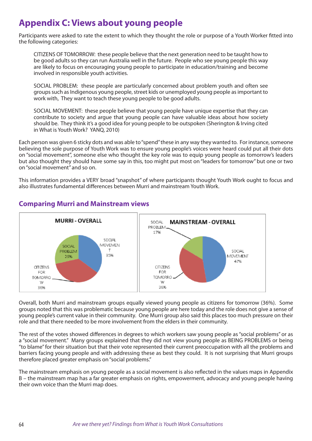# **Appendix C: Views about young people**

Participants were asked to rate the extent to which they thought the role or purpose of a Youth Worker fitted into the following categories:

CITIZENS OF TOMORROW: these people believe that the next generation need to be taught how to be good adults so they can run Australia well in the future. People who see young people this way are likely to focus on encouraging young people to participate in education/training and become involved in responsible youth activities.

SOCIAL PROBLEM: these people are particularly concerned about problem youth and often see groups such as Indigenous young people, street kids or unemployed young people as important to work with, They want to teach these young people to be good adults.

SOCIAL MOVEMENT: these people believe that young people have unique expertise that they can contribute to society and argue that young people can have valuable ideas about how society should be. They think it's a good idea for young people to be outspoken (Sherington & Irving cited in What is Youth Work? YANQ, 2010)

Each person was given 6 sticky dots and was able to "spend" these in any way they wanted to. For instance, someone believing the sole purpose of Youth Work was to ensure young people's voices were heard could put all their dots on "social movement", someone else who thought the key role was to equip young people as tomorrow's leaders but also thought they should have some say in this, too might put most on "leaders for tomorrow" but one or two on "social movement" and so on.

This information provides a VERY broad "snapshot" of where participants thought Youth Work ought to focus and also illustrates fundamental differences between Murri and mainstream Youth Work.



## **Comparing Murri and Mainstream views**

Overall, both Murri and mainstream groups equally viewed young people as citizens for tomorrow (36%). Some groups noted that this was problematic because young people are here today and the role does not give a sense of young people's current value in their community. One Murri group also said this places too much pressure on their role and that there needed to be more involvement from the elders in their community.

The rest of the votes showed differences in degrees to which workers saw young people as "social problems" or as a "social movement." Many groups explained that they did not view young people as BEING PROBLEMS or being "to blame" for their situation but that their vote represented their current preoccupation with all the problems and barriers facing young people and with addressing these as best they could. It is not surprising that Murri groups therefore placed greater emphasis on "social problems."

The mainstream emphasis on young people as a social movement is also reflected in the values maps in Appendix B – the mainstream map has a far greater emphasis on rights, empowerment, advocacy and young people having their own voice than the Murri map does.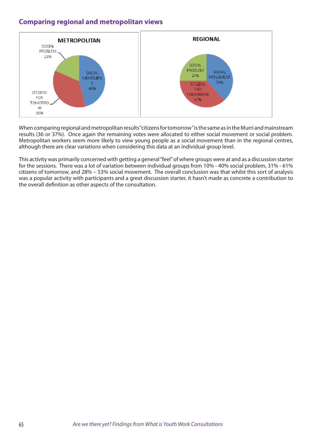## **Comparing regional and metropolitan views**



When comparing regional and metropolitan results "citizens for tomorrow" is the same as in the Murri and mainstream results (36 or 37%). Once again the remaining votes were allocated to either social movement or social problem. Metropolitan workers seem more likely to view young people as a social movement than in the regional centres, although there are clear variations when considering this data at an individual group level.

This activity was primarily concerned with getting a general "feel" of where groups were at and as a discussion starter for the sessions. There was a lot of variation between individual groups from 10% - 40% social problem, 31% - 61% citizens of tomorrow, and 28% – 53% social movement. The overall conclusion was that whilst this sort of analysis was a popular activity with participants and a great discussion starter, it hasn't made as concrete a contribution to the overall definition as other aspects of the consultation.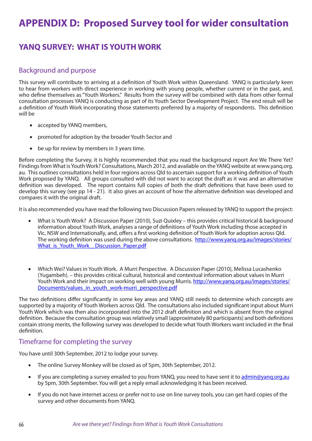# **APPENDIX D: Proposed Survey tool for wider consultation**

## **YANQ SURVEY: WHAT IS YOUTH WORK**

## Background and purpose

This survey will contribute to arriving at a definition of Youth Work within Queensland. YANQ is particularly keen to hear from workers with direct experience in working with young people, whether current or in the past, and, who define themselves as "Youth Workers." Results from the survey will be combined with data from other formal consultation processes YANQ is conducting as part of its Youth Sector Development Project. The end result will be a definition of Youth Work incorporating those statements preferred by a majority of respondents. This definition will be

- accepted by YANQ members,
- promoted for adoption by the broader Youth Sector and
- be up for review by members in 3 years time.

Before completing the Survey, it is highly recommended that you read the background report Are We There Yet? Findings from What is Youth Work? Consultations, March 2012, and available on the YANQ website at www.yanq.org. au. This outlines consultations held in four regions across Qld to ascertain support for a working definition of Youth Work proposed by YANQ. All groups consulted with did not want to accept the draft as it was and an alternative definition was developed. The report contains full copies of both the draft definitions that have been used to develop this survey (see pp 14 - 21). It also gives an account of how the alternative definition was developed and compares it with the original draft.

It is also recommended you have read the following two Discussion Papers released by YANQ to support the project:

- What is Youth Work? A Discussion Paper (2010), Suzi Quixley this provides critical historical & background information about Youth Work, analyses a range of definitions of Youth Work including those accepted in Vic, NSW and Internationally, and, offers a first working definition of Youth Work for adoption across Qld. The working definition was used during the above consultations. http://www.yanq.org.au/images/stories/ What is Youth Work Discussion Paper.pdf
- Which Wei? Values in Youth Work. A Murri Perspective. A Discussion Paper (2010), Melissa Lucashenko (Yugambeh). – this provides critical cultural, historical and contextual information about values in Murri Youth Work and their impact on working well with young Murris. http://www.yang.org.au/images/stories/ Documents/values\_in\_youth\_work-murri\_perspective.pdf

The two definitions differ significantly in some key areas and YANQ still needs to determine which concepts are supported by a majority of Youth Workers across Qld. The consultations also included significant input about Murri Youth Work which was then also incorporated into the 2012 draft definition and which is absent from the original definition. Because the consultation group was relatively small (approximately 80 participants) and both definitions contain strong merits, the following survey was developed to decide what Youth Workers want included in the final definition.

### Timeframe for completing the survey

You have until 30th September, 2012 to lodge your survey.

- The online Survey Monkey will be closed as of 5pm, 30th September, 2012.
- If you are completing a survey emailed to you from YANQ, you need to have sent it to admin@yanq.org.au by 5pm, 30th September. You will get a reply email acknowledging it has been received.
- If you do not have internet access or prefer not to use on line survey tools, you can get hard copies of the survey and other documents from YANQ.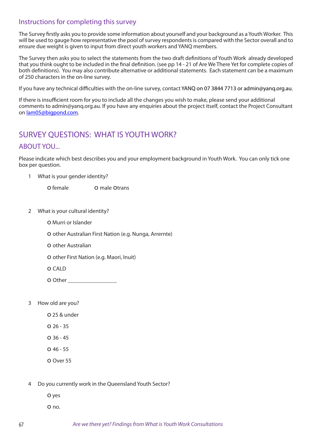## Instructions for completing this survey

The Survey firstly asks you to provide some information about yourself and your background as a Youth Worker. This will be used to gauge how representative the pool of survey respondents is compared with the Sector overall and to ensure due weight is given to input from direct youth workers and YANQ members.

The Survey then asks you to select the statements from the two draft definitions of Youth Work already developed that you think ought to be included in the final definition. (see pp 14 - 21 of Are We There Yet for complete copies of both definitions). You may also contribute alternative or additional statements. Each statement can be a maximum of 250 characters in the on-line survey.

If you have any technical difficulties with the on-line survey, contact YANQ on 07 3844 7713 or admin@yanq.org.au.

If there is insufficient room for you to include all the changes you wish to make, please send your additional comments to admin@yanq.org.au. If you have any enquiries about the project itself, contact the Project Consultant on lam05@bigpond.com.

## SURVEY QUESTIONS: WHAT IS YOUTH WORK?

### ABOUT YOU...

Please indicate which best describes you and your employment background in Youth Work. You can only tick one box per question.

1 What is your gender identity?

o female o male otrans

- 2 What is your cultural identity?
	- o Murri or Islander

o other Australian First Nation (e.g. Nunga, Arrernte)

o other Australian

o other First Nation (e.g. Maori, Inuit)

o CALD

- **O** Other
- 3 How old are you?

o 25 & under

- o 26 35
- o 36 45
- o 46 55

o Over 55

- 4 Do you currently work in the Queensland Youth Sector?
	- o yes

o no.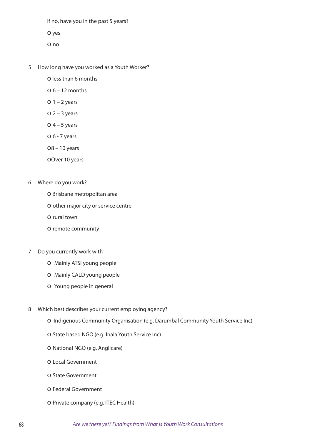If no, have you in the past 5 years?

o yes

- o no
- 5 How long have you worked as a Youth Worker?
	- o less than 6 months
	- $0.6 12$  months
	- $O<sub>1</sub> 2$  years
	- $O$  2 3 years
	- $O$  4 5 years
	- o 6 7 years
	- o8 10 years
	- oOver 10 years
- 6 Where do you work?
	- o Brisbane metropolitan area
	- o other major city or service centre
	- o rural town
	- o remote community
- 7 Do you currently work with
	- o Mainly ATSI young people
	- o Mainly CALD young people
	- o Young people in general
- 8 Which best describes your current employing agency?
	- o Indigenous Community Organisation (e.g. Darumbal Community Youth Service Inc)
	- o State based NGO (e.g. Inala Youth Service Inc)
	- o National NGO (e.g. Anglicare)
	- o Local Government
	- o State Government
	- o Federal Government
	- o Private company (e.g. ITEC Health)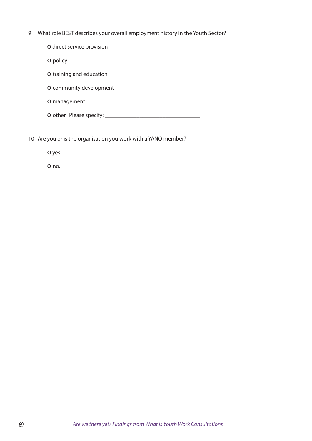9 What role BEST describes your overall employment history in the Youth Sector?

o direct service provision

o policy

o training and education

o community development

o management

o other. Please specify: \_\_\_\_\_\_\_\_\_\_\_\_\_\_\_\_\_\_\_\_\_\_\_\_\_\_\_\_\_\_\_\_\_

10 Are you or is the organisation you work with a YANQ member?

o yes

o no.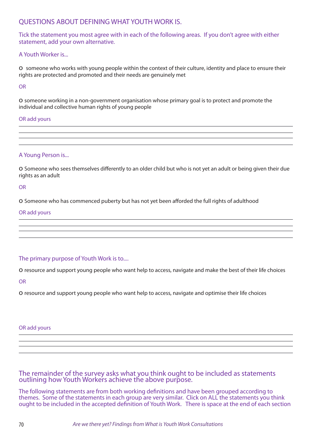## QUESTIONS ABOUT DEFINING WHAT YOUTH WORK IS.

Tick the statement you most agree with in each of the following areas. If you don't agree with either statement, add your own alternative.

### A Youth Worker is...

o someone who works with young people within the context of their culture, identity and place to ensure their rights are protected and promoted and their needs are genuinely met

OR

o someone working in a non-government organisation whose primary goal is to protect and promote the individual and collective human rights of young people

### OR add yours

### A Young Person is...

o Someone who sees themselves differently to an older child but who is not yet an adult or being given their due rights as an adult

OR

o Someone who has commenced puberty but has not yet been afforded the full rights of adulthood

### OR add yours

### The primary purpose of Youth Work is to....

o resource and support young people who want help to access, navigate and make the best of their life choices

OR

o resource and support young people who want help to access, navigate and optimise their life choices

OR add yours

### The remainder of the survey asks what you think ought to be included as statements outlining how Youth Workers achieve the above purpose.

The following statements are from both working definitions and have been grouped according to themes. Some of the statements in each group are very similar. Click on ALL the statements you think ought to be included in the accepted definition of Youth Work. There is space at the end of each section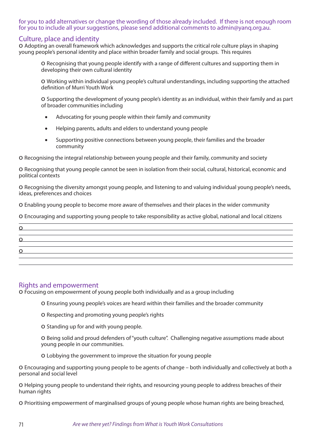### for you to add alternatives or change the wording of those already included. If there is not enough room for you to include all your suggestions, please send additional comments to admin@yanq.org.au.

### Culture, place and identity

o Adopting an overall framework which acknowledges and supports the critical role culture plays in shaping young people's personal identity and place within broader family and social groups. This requires

o Recognising that young people identify with a range of different cultures and supporting them in developing their own cultural identity

o Working within individual young people's cultural understandings, including supporting the attached definition of Murri Youth Work

o Supporting the development of young people's identity as an individual, within their family and as part of broader communities including

- Advocating for young people within their family and community
- • Helping parents, adults and elders to understand young people
- Supporting positive connections between young people, their families and the broader community

o Recognising the integral relationship between young people and their family, community and society

o Recognising that young people cannot be seen in isolation from their social, cultural, historical, economic and political contexts

o Recognising the diversity amongst young people, and listening to and valuing individual young people's needs, ideas, preferences and choices

o Enabling young people to become more aware of themselves and their places in the wider community

o Encouraging and supporting young people to take responsibility as active global, national and local citizens

| $\Omega$    |  |  |
|-------------|--|--|
| $\mathbf O$ |  |  |
|             |  |  |

### Rights and empowerment

o Focusing on empowerment of young people both individually and as a group including

o Ensuring young people's voices are heard within their families and the broader community

o Respecting and promoting young people's rights

o Standing up for and with young people.

o Being solid and proud defenders of "youth culture". Challenging negative assumptions made about young people in our communities.

o Lobbying the government to improve the situation for young people

o Encouraging and supporting young people to be agents of change – both individually and collectively at both a personal and social level

o Helping young people to understand their rights, and resourcing young people to address breaches of their human rights

o Prioritising empowerment of marginalised groups of young people whose human rights are being breached,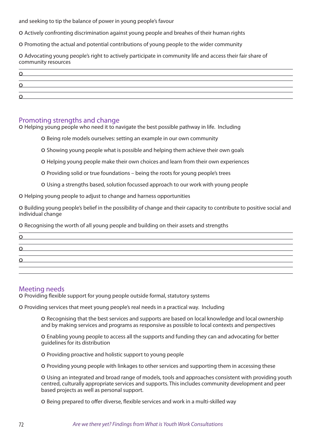and seeking to tip the balance of power in young people's favour

o Actively confronting discrimination against young people and breahes of their human rights

o Promoting the actual and potential contributions of young people to the wider community

o Advocating young people's right to actively participate in community life and access their fair share of community resources

| ◡        |  |  |
|----------|--|--|
|          |  |  |
| <u>0</u> |  |  |
|          |  |  |
|          |  |  |

### Promoting strengths and change

o Helping young people who need it to navigate the best possible pathway in life. Including

o Being role models ourselves: setting an example in our own community

o Showing young people what is possible and helping them achieve their own goals

o Helping young people make their own choices and learn from their own experiences

o Providing solid or true foundations – being the roots for young people's trees

o Using a strengths based, solution focussed approach to our work with young people

o Helping young people to adjust to change and harness opportunities

o Building young people's belief in the possibility of change and their capacity to contribute to positive social and individual change

o Recognising the worth of all young people and building on their assets and strengths

| O |  |  |  |
|---|--|--|--|
| O |  |  |  |
| Ω |  |  |  |
|   |  |  |  |

### Meeting needs

o Providing flexible support for young people outside formal, statutory systems

o Providing services that meet young people's real needs in a practical way. Including

o Recognising that the best services and supports are based on local knowledge and local ownership and by making services and programs as responsive as possible to local contexts and perspectives

o Enabling young people to access all the supports and funding they can and advocating for better guidelines for its distribution

o Providing proactive and holistic support to young people

o Providing young people with linkages to other services and supporting them in accessing these

o Using an integrated and broad range of models, tools and approaches consistent with providing youth centred, culturally appropriate services and supports. This includes community development and peer based projects as well as personal support.

o Being prepared to offer diverse, flexible services and work in a multi-skilled way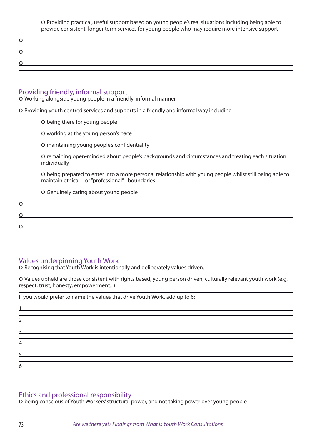o Providing practical, useful support based on young people's real situations including being able to provide consistent, longer term services for young people who may require more intensive support

| the contract of the contract of the contract of the contract of the contract of the contract of the contract of |  |  |
|-----------------------------------------------------------------------------------------------------------------|--|--|
|                                                                                                                 |  |  |
| <u> 1990 - Jan Barbara de La Barbara (h. 1989).</u>                                                             |  |  |
|                                                                                                                 |  |  |
|                                                                                                                 |  |  |

#### Providing friendly, informal support

o Working alongside young people in a friendly, informal manner

o Providing youth centred services and supports in a friendly and informal way including

- o being there for young people
- o working at the young person's pace
- o maintaining young people's confidentiality

o remaining open-minded about people's backgrounds and circumstances and treating each situation individually

o being prepared to enter into a more personal relationship with young people whilst still being able to maintain ethical – or "professional" - boundaries

o Genuinely caring about young people

| O.        |  |  |  |
|-----------|--|--|--|
|           |  |  |  |
| Ω         |  |  |  |
|           |  |  |  |
| <u>o </u> |  |  |  |
|           |  |  |  |

### Values underpinning Youth Work

o Recognising that Youth Work is intentionally and deliberately values driven.

o Values upheld are those consistent with rights based, young person driven, culturally relevant youth work (e.g. respect, trust, honesty, empowerment...)

| If you would prefer to name the values that drive Youth Work, add up to 6:                                                                                                                                                                            |  |
|-------------------------------------------------------------------------------------------------------------------------------------------------------------------------------------------------------------------------------------------------------|--|
|                                                                                                                                                                                                                                                       |  |
|                                                                                                                                                                                                                                                       |  |
| <u> 1989 - Johann Harry Harry Harry Harry Harry Harry Harry Harry Harry Harry Harry Harry Harry Harry Harry Harry Harry Harry Harry Harry Harry Harry Harry Harry Harry Harry Harry Harry Harry Harry Harry Harry Harry Harry Ha</u><br>$\mathcal{P}$ |  |
|                                                                                                                                                                                                                                                       |  |
| 3<br><u> 1989 - Andrea Andrew Maria (h. 1989).</u>                                                                                                                                                                                                    |  |
| $\overline{4}$<br><u> 1989 - Johann Stein, mars an deutscher Stein und der Stein und der Stein und der Stein und der Stein und der</u>                                                                                                                |  |
|                                                                                                                                                                                                                                                       |  |
| 5                                                                                                                                                                                                                                                     |  |
| 6                                                                                                                                                                                                                                                     |  |
|                                                                                                                                                                                                                                                       |  |
|                                                                                                                                                                                                                                                       |  |

### Ethics and professional responsibility

o being conscious of Youth Workers' structural power, and not taking power over young people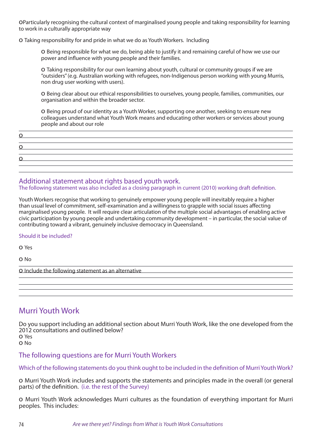oParticularly recognising the cultural context of marginalised young people and taking responsibility for learning to work in a culturally appropriate way

o Taking responsibility for and pride in what we do as Youth Workers. Including

o Being responsible for what we do, being able to justify it and remaining careful of how we use our power and influence with young people and their families.

o Taking responsibility for our own learning about youth, cultural or community groups if we are "outsiders" (e.g. Australian working with refugees, non-Indigenous person working with young Murris, non drug user working with users).

o Being clear about our ethical responsibilities to ourselves, young people, families, communities, our organisation and within the broader sector.

o Being proud of our identity as a Youth Worker, supporting one another, seeking to ensure new colleagues understand what Youth Work means and educating other workers or services about young people and about our role

| <u>o </u> |  |
|-----------|--|
|           |  |
| O         |  |
|           |  |
| <u>o </u> |  |
|           |  |

Additional statement about rights based youth work. The following statement was also included as a closing paragraph in current (2010) working draft definition.

Youth Workers recognise that working to genuinely empower young people will inevitably require a higher than usual level of commitment, self-examination and a willingness to grapple with social issues affecting marginalised young people. It will require clear articulation of the multiple social advantages of enabling active civic participation by young people and undertaking community development – in particular, the social value of contributing toward a vibrant, genuinely inclusive democracy in Queensland.

#### Should it be included?

o Yes

o No

o Include the following statement as an alternative

# Murri Youth Work

Do you support including an additional section about Murri Youth Work, like the one developed from the 2012 consultations and outlined below? o Yes

o No

### The following questions are for Murri Youth Workers

Which of the following statements do you think ought to be included in the definition of Murri Youth Work?

o Murri Youth Work includes and supports the statements and principles made in the overall (or general parts) of the definition. (i.e. the rest of the Survey)

o Murri Youth Work acknowledges Murri cultures as the foundation of everything important for Murri peoples. This includes: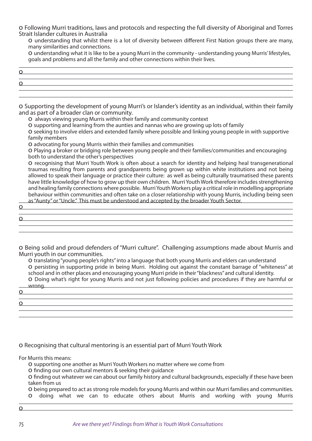o Following Murri traditions, laws and protocols and respecting the full diversity of Aboriginal and Torres Strait Islander cultures in Australia

o understanding that whilst there is a lot of diversity between different First Nation groups there are many, many similarities and connections.

o understanding what it is like to be a young Murri in the community - understanding young Murris' lifestyles, goals and problems and all the family and other connections within their lives.

| <u>and the contract of the contract of the contract of the contract of the contract of the contract of the contract of the contract of the contract of the contract of the contract of the contract of the contract of the contr</u> |  |  |
|--------------------------------------------------------------------------------------------------------------------------------------------------------------------------------------------------------------------------------------|--|--|
|                                                                                                                                                                                                                                      |  |  |
| <u> 1989 - Johann Stein, Amerikaansk politiker († 1908)</u>                                                                                                                                                                          |  |  |
|                                                                                                                                                                                                                                      |  |  |

o Supporting the development of young Murri's or Islander's identity as an individual, within their family and as part of a broader clan or community.

o always viewing young Murris within their family and community context

o supporting and learning from the aunties and nannas who are growing up lots of family

o seeking to involve elders and extended family where possible and linking young people in with supportive family members

o advocating for young Murris within their families and communities

o Playing a broker or bridging role between young people and their families/communities and encouraging both to understand the other's perspectives

o recognising that Murri Youth Work is often about a search for identity and helping heal transgenerational traumas resulting from parents and grandparents being grown up within white institutions and not being allowed to speak their language or practice their culture: as well as being culturally traumatised these parents have little knowledge of how to grow up their own children. Murri Youth Work therefore includes strengthening and healing family connections where possible. Murri Youth Workers play a critical role in modelling appropriate behaviour within communities and often take on a closer relationship with young Murris, including being seen as "Aunty" or "Uncle." This must be understood and accepted by the broader Youth Sector.

o  $\Omega$ 

o Being solid and proud defenders of "Murri culture". Challenging assumptions made about Murris and Murri youth in our communities.

o translating "young people's rights" into a language that both young Murris and elders can understand o persisting in supporting pride in being Murri. Holding out against the constant barrage of "whiteness" at school and in other places and encouraging young Murri pride in their "blackness" and cultural identity.

o Doing what's right for young Murris and not just following policies and procedures if they are harmful or wrong.

o o

o Recognising that cultural mentoring is an essential part of Murri Youth Work

For Murris this means:

o supporting one another as Murri Youth Workers no matter where we come from

o finding our own cultural mentors & seeking their guidance

o finding out whatever we can about our family history and cultural backgrounds, especially if these have been taken from us

o being prepared to act as strong role models for young Murris and within our Murri families and communities. o doing what we can to educate others about Murris and working with young Murris

o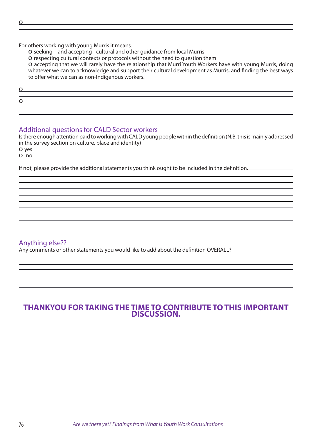o

For others working with young Murris it means:

o seeking – and accepting - cultural and other guidance from local Murris

o respecting cultural contexts or protocols without the need to question them

o accepting that we will rarely have the relationship that Murri Youth Workers have with young Murris, doing whatever we can to acknowledge and support their cultural development as Murris, and finding the best ways to offer what we can as non-Indigenous workers.

o

<u>o</u>

### Additional questions for CALD Sector workers

Is there enough attention paid to working with CALD young people within the definition (N.B. this is mainly addressed in the survey section on culture, place and identity) o yes

o no

If not, please provide the additional statements you think ought to be included in the definition.

### Anything else??

Any comments or other statements you would like to add about the definition OVERALL?

## **THANKYOU FOR TAKING THE TIME TO CONTRIBUTE TO THIS IMPORTANT DISCUSSION.**